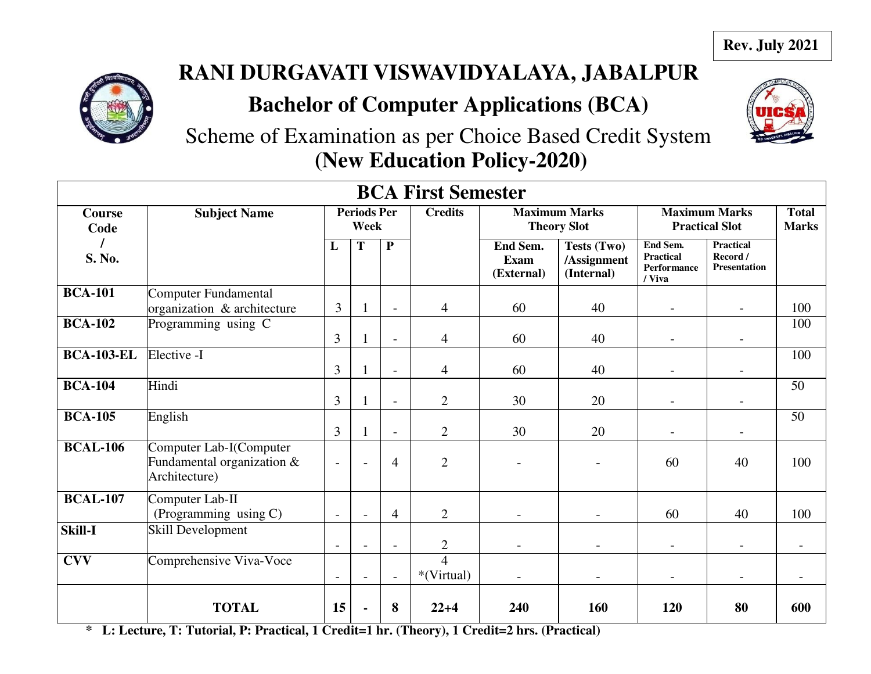

# **RANI DURGAVATI VISWAVIDYALAYA, JABALPUR**

# **Bachelor of Computer Applications (BCA)**



Scheme of Examination as per Choice Based Credit System **(New Education Policy-2020)**

| <b>BCA First Semester</b> |                                                                        |                          |                            |                          |                              |                                            |                                          |                                                       |                                                     |                              |
|---------------------------|------------------------------------------------------------------------|--------------------------|----------------------------|--------------------------|------------------------------|--------------------------------------------|------------------------------------------|-------------------------------------------------------|-----------------------------------------------------|------------------------------|
| <b>Course</b><br>Code     | <b>Subject Name</b>                                                    |                          | <b>Periods Per</b><br>Week |                          | <b>Credits</b>               | <b>Maximum Marks</b><br><b>Theory Slot</b> |                                          |                                                       | <b>Maximum Marks</b><br><b>Practical Slot</b>       | <b>Total</b><br><b>Marks</b> |
| S. No.                    |                                                                        | L                        | T                          | $\overline{\mathbf{P}}$  |                              | End Sem.<br><b>Exam</b><br>(External)      | Tests (Two)<br>/Assignment<br>(Internal) | End Sem.<br><b>Practical</b><br>Performance<br>/ Viva | <b>Practical</b><br>Record /<br><b>Presentation</b> |                              |
| <b>BCA-101</b>            | Computer Fundamental<br>organization & architecture                    | 3                        |                            | $\overline{\phantom{a}}$ | $\overline{4}$               | 60                                         | 40                                       |                                                       | $\overline{a}$                                      | 100                          |
| <b>BCA-102</b>            | Programming using C                                                    | 3                        |                            | $\overline{\phantom{a}}$ | $\overline{4}$               | 60                                         | 40                                       |                                                       |                                                     | 100                          |
| <b>BCA-103-EL</b>         | Elective -I                                                            | 3                        |                            | $\overline{a}$           | $\overline{4}$               | 60                                         | 40                                       |                                                       |                                                     | 100                          |
| <b>BCA-104</b>            | Hindi                                                                  | $\overline{3}$           |                            |                          | $\overline{2}$               | 30                                         | 20                                       |                                                       |                                                     | 50                           |
| <b>BCA-105</b>            | English                                                                | 3                        |                            | $\overline{\phantom{a}}$ | $\overline{2}$               | 30                                         | 20                                       |                                                       | $\qquad \qquad$                                     | 50                           |
| <b>BCAL-106</b>           | Computer Lab-I(Computer<br>Fundamental organization &<br>Architecture) | $\overline{a}$           | $\overline{\phantom{a}}$   | 4                        | $\overline{2}$               |                                            | $\overline{\phantom{0}}$                 | 60                                                    | 40                                                  | 100                          |
| <b>BCAL-107</b>           | Computer Lab-II<br>(Programming using C)                               | $\overline{\phantom{0}}$ |                            | $\overline{4}$           | $\overline{2}$               |                                            | $\overline{\phantom{a}}$                 | 60                                                    | 40                                                  | 100                          |
| <b>Skill-I</b>            | Skill Development                                                      | $\blacksquare$           | $\overline{a}$             | $\overline{\phantom{a}}$ | $\overline{2}$               | $\overline{\phantom{a}}$                   | $\overline{\phantom{0}}$                 | $\overline{\phantom{a}}$                              | $\overline{\phantom{0}}$                            |                              |
| <b>CVV</b>                | Comprehensive Viva-Voce                                                | $\overline{a}$           | $\overline{a}$             | $\blacksquare$           | $\overline{4}$<br>*(Virtual) |                                            | $\overline{\phantom{0}}$                 |                                                       | $\overline{a}$                                      |                              |
|                           | <b>TOTAL</b>                                                           | 15                       |                            | 8                        | $22+4$                       | 240                                        | 160                                      | 120                                                   | 80                                                  | 600                          |

**\* L: Lecture, T: Tutorial, P: Practical, 1 Credit=1 hr. (Theory), 1 Credit=2 hrs. (Practical)**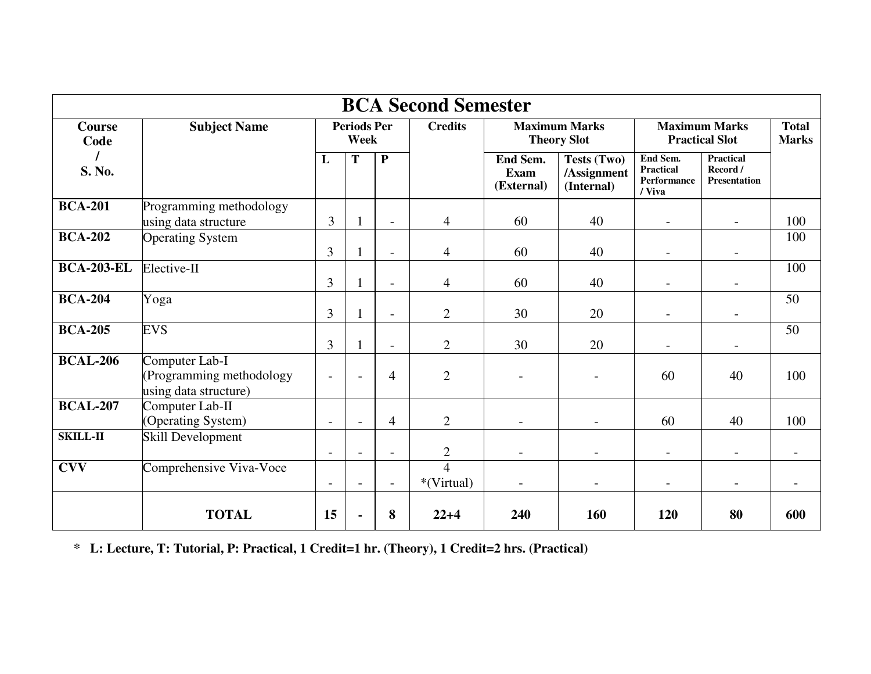|                       | <b>BCA Second Semester</b>                                          |                          |                            |                          |                              |                                            |                                          |                                                              |                                                     |                              |
|-----------------------|---------------------------------------------------------------------|--------------------------|----------------------------|--------------------------|------------------------------|--------------------------------------------|------------------------------------------|--------------------------------------------------------------|-----------------------------------------------------|------------------------------|
| <b>Course</b><br>Code | <b>Subject Name</b>                                                 |                          | <b>Periods Per</b><br>Week |                          | <b>Credits</b>               | <b>Maximum Marks</b><br><b>Theory Slot</b> |                                          | <b>Maximum Marks</b><br><b>Practical Slot</b>                |                                                     | <b>Total</b><br><b>Marks</b> |
| S. No.                |                                                                     | L                        | T                          | $\overline{\mathbf{P}}$  |                              | End Sem.<br><b>Exam</b><br>(External)      | Tests (Two)<br>/Assignment<br>(Internal) | End Sem.<br><b>Practical</b><br><b>Performance</b><br>/ Viva | <b>Practical</b><br>Record /<br><b>Presentation</b> |                              |
| <b>BCA-201</b>        | Programming methodology<br>using data structure                     | 3                        |                            | $\overline{a}$           | $\overline{4}$               | 60                                         | 40                                       |                                                              | $\overline{\phantom{a}}$                            | 100                          |
| <b>BCA-202</b>        | <b>Operating System</b>                                             | 3                        |                            | $\overline{a}$           | 4                            | 60                                         | 40                                       |                                                              |                                                     | 100                          |
| <b>BCA-203-EL</b>     | Elective-II                                                         | $\mathfrak{Z}$           |                            | $\overline{a}$           | 4                            | 60                                         | 40                                       |                                                              |                                                     | 100                          |
| <b>BCA-204</b>        | Yoga                                                                | $\mathfrak{Z}$           |                            | $\overline{a}$           | $\overline{2}$               | 30                                         | 20                                       | $\overline{\phantom{a}}$                                     |                                                     | 50                           |
| <b>BCA-205</b>        | <b>EVS</b>                                                          | 3                        |                            | $\overline{a}$           | $\overline{2}$               | 30                                         | 20                                       | $\overline{\phantom{a}}$                                     |                                                     | 50                           |
| <b>BCAL-206</b>       | Computer Lab-I<br>(Programming methodology<br>using data structure) | $\overline{a}$           |                            | $\overline{4}$           | $\overline{2}$               |                                            |                                          | 60                                                           | 40                                                  | 100                          |
| <b>BCAL-207</b>       | Computer Lab-II<br>(Operating System)                               | $\overline{\phantom{a}}$ | $\overline{a}$             | $\overline{4}$           | $\overline{2}$               | $\overline{\phantom{0}}$                   |                                          | 60                                                           | 40                                                  | 100                          |
| SKILL-II              | Skill Development                                                   | $\overline{\phantom{a}}$ |                            | $\overline{\phantom{a}}$ | $\overline{c}$               | $\overline{\phantom{0}}$                   |                                          |                                                              | $\overline{\phantom{a}}$                            |                              |
| <b>CVV</b>            | Comprehensive Viva-Voce                                             |                          |                            |                          | $\overline{4}$<br>*(Virtual) |                                            |                                          |                                                              |                                                     |                              |
|                       | <b>TOTAL</b>                                                        | 15                       |                            | 8                        | $22+4$                       | 240                                        | 160                                      | 120                                                          | 80                                                  | 600                          |

**\* L: Lecture, T: Tutorial, P: Practical, 1 Credit=1 hr. (Theory), 1 Credit=2 hrs. (Practical)**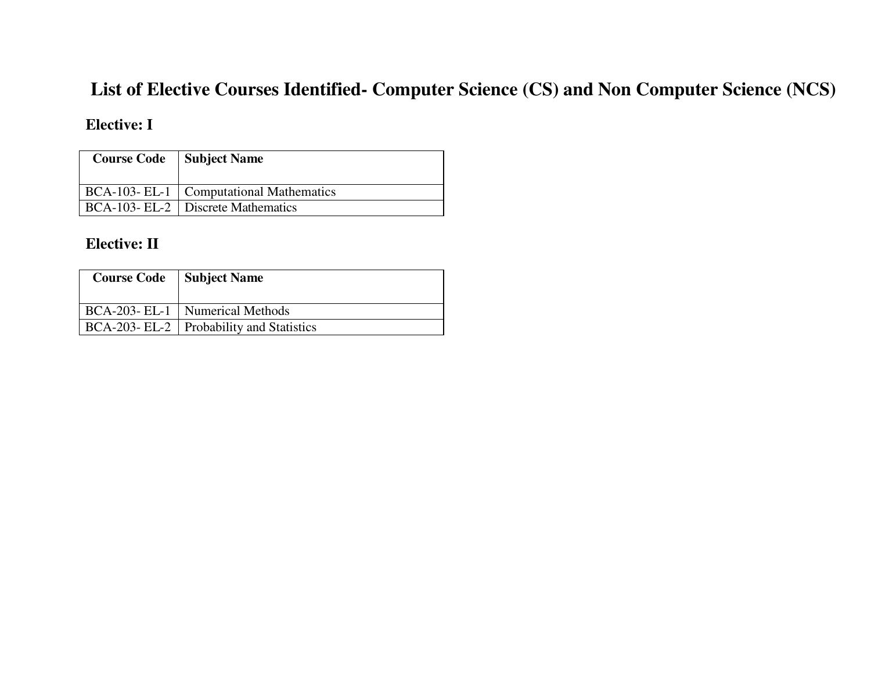## **List of Elective Courses Identified- Computer Science (CS) and Non Computer Science (NCS)**

## **Elective: I**

| <b>Course Code</b> | Subject Name                              |
|--------------------|-------------------------------------------|
|                    | BCA-103- EL-1   Computational Mathematics |
|                    | BCA-103- EL-2   Discrete Mathematics      |

## **Elective: II**

| <b>Course Code</b> | <b>Subject Name</b>                        |
|--------------------|--------------------------------------------|
|                    | BCA-203- EL-1   Numerical Methods          |
|                    | BCA-203- EL-2   Probability and Statistics |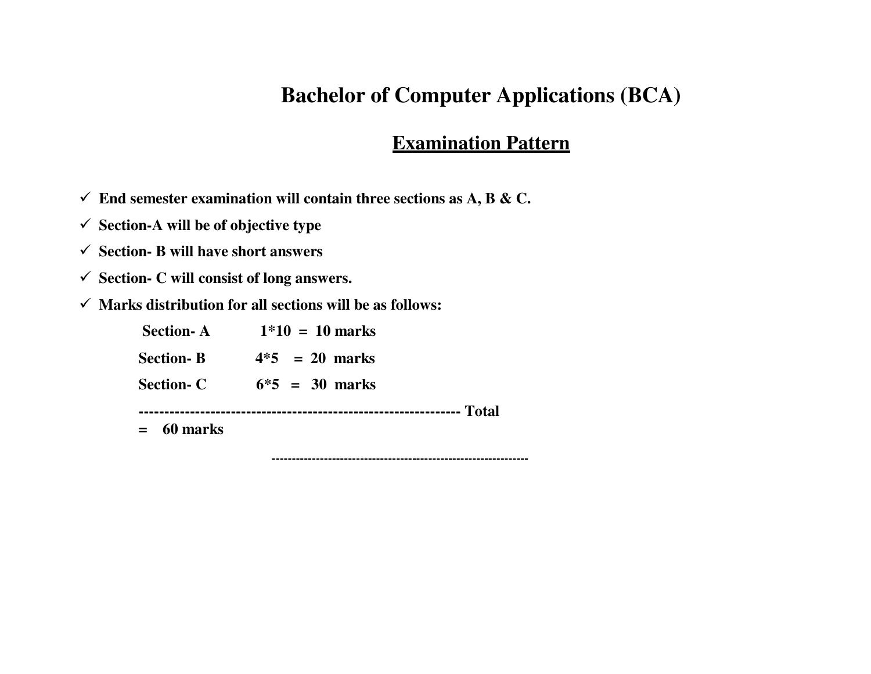## **Bachelor of Computer Applications (BCA)**

## **Examination Pattern**

- $\checkmark$  End semester examination will contain three sections as A, B & C.
- **Section-A will be of objective type**
- **Section- B will have short answers**
- **Section- C will consist of long answers.**
- **Marks distribution for all sections will be as follows:**

| <b>Section-A</b> | $1*10 = 10$ marks |
|------------------|-------------------|
| <b>Section-B</b> | $4*5 = 20$ marks  |
| <b>Section-C</b> | $6*5 = 30$ marks  |
| 60 marks         |                   |

**----------------------------------------------------------------**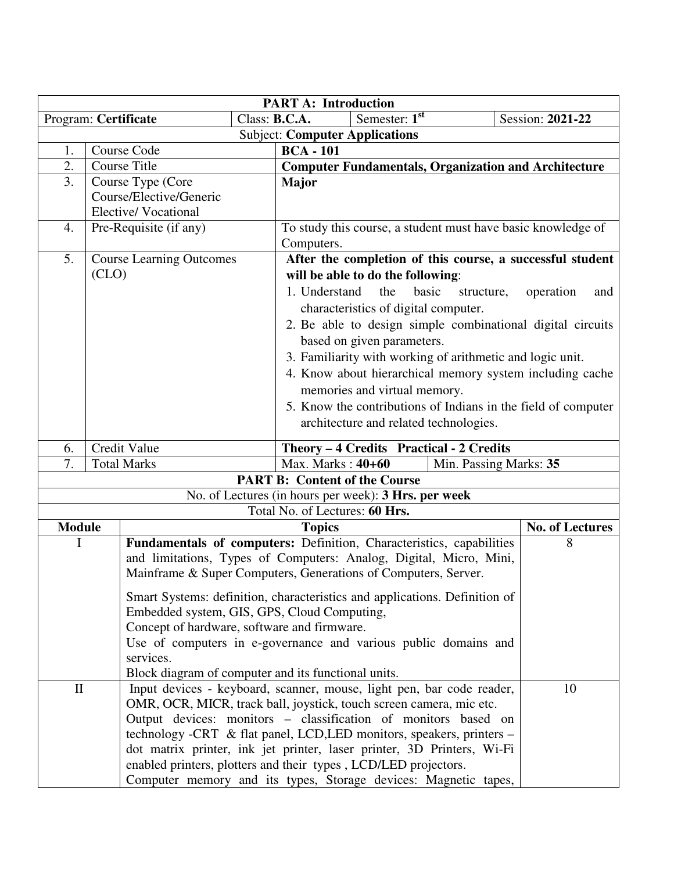|                                                                     | <b>PART A: Introduction</b>                               |                                                                        |  |                                                                            |     |                                      |  |                                                               |
|---------------------------------------------------------------------|-----------------------------------------------------------|------------------------------------------------------------------------|--|----------------------------------------------------------------------------|-----|--------------------------------------|--|---------------------------------------------------------------|
| Program: Certificate                                                |                                                           |                                                                        |  | Semester: $1st$<br>Class: B.C.A.<br>Session: 2021-22                       |     |                                      |  |                                                               |
|                                                                     |                                                           |                                                                        |  | <b>Subject: Computer Applications</b>                                      |     |                                      |  |                                                               |
| 1.                                                                  |                                                           | Course Code                                                            |  | <b>BCA-101</b>                                                             |     |                                      |  |                                                               |
| 2.                                                                  |                                                           | <b>Course Title</b>                                                    |  | <b>Computer Fundamentals, Organization and Architecture</b>                |     |                                      |  |                                                               |
| 3.                                                                  |                                                           | Course Type (Core                                                      |  | <b>Major</b>                                                               |     |                                      |  |                                                               |
|                                                                     |                                                           | Course/Elective/Generic                                                |  |                                                                            |     |                                      |  |                                                               |
|                                                                     |                                                           | <b>Elective/Vocational</b>                                             |  |                                                                            |     |                                      |  |                                                               |
| 4.                                                                  |                                                           | Pre-Requisite (if any)                                                 |  | To study this course, a student must have basic knowledge of               |     |                                      |  |                                                               |
|                                                                     |                                                           |                                                                        |  | Computers.                                                                 |     |                                      |  |                                                               |
| 5.                                                                  |                                                           | <b>Course Learning Outcomes</b>                                        |  |                                                                            |     |                                      |  | After the completion of this course, a successful student     |
|                                                                     | (CLO)                                                     |                                                                        |  | will be able to do the following:                                          |     |                                      |  |                                                               |
|                                                                     |                                                           |                                                                        |  | 1. Understand                                                              | the | basic<br>structure,                  |  | operation<br>and                                              |
|                                                                     |                                                           |                                                                        |  |                                                                            |     | characteristics of digital computer. |  |                                                               |
|                                                                     |                                                           |                                                                        |  |                                                                            |     |                                      |  | 2. Be able to design simple combinational digital circuits    |
|                                                                     |                                                           | based on given parameters.                                             |  |                                                                            |     |                                      |  |                                                               |
|                                                                     | 3. Familiarity with working of arithmetic and logic unit. |                                                                        |  |                                                                            |     |                                      |  |                                                               |
|                                                                     |                                                           |                                                                        |  |                                                                            |     |                                      |  | 4. Know about hierarchical memory system including cache      |
|                                                                     |                                                           |                                                                        |  | memories and virtual memory.                                               |     |                                      |  |                                                               |
|                                                                     |                                                           |                                                                        |  |                                                                            |     |                                      |  | 5. Know the contributions of Indians in the field of computer |
|                                                                     |                                                           |                                                                        |  | architecture and related technologies.                                     |     |                                      |  |                                                               |
|                                                                     |                                                           |                                                                        |  |                                                                            |     |                                      |  |                                                               |
| 6.                                                                  |                                                           | Credit Value                                                           |  | Theory - 4 Credits Practical - 2 Credits                                   |     |                                      |  |                                                               |
| 7.                                                                  |                                                           | <b>Total Marks</b>                                                     |  | Max. Marks: 40+60<br>Min. Passing Marks: 35                                |     |                                      |  |                                                               |
|                                                                     |                                                           |                                                                        |  | <b>PART B: Content of the Course</b>                                       |     |                                      |  |                                                               |
|                                                                     |                                                           |                                                                        |  | No. of Lectures (in hours per week): 3 Hrs. per week                       |     |                                      |  |                                                               |
|                                                                     |                                                           |                                                                        |  | Total No. of Lectures: 60 Hrs.                                             |     |                                      |  |                                                               |
| <b>Module</b><br>I                                                  |                                                           |                                                                        |  | <b>Topics</b>                                                              |     |                                      |  | <b>No. of Lectures</b><br>8                                   |
|                                                                     |                                                           | Fundamentals of computers: Definition, Characteristics, capabilities   |  |                                                                            |     |                                      |  |                                                               |
|                                                                     |                                                           | and limitations, Types of Computers: Analog, Digital, Micro, Mini,     |  |                                                                            |     |                                      |  |                                                               |
|                                                                     |                                                           | Mainframe & Super Computers, Generations of Computers, Server.         |  |                                                                            |     |                                      |  |                                                               |
|                                                                     |                                                           |                                                                        |  | Smart Systems: definition, characteristics and applications. Definition of |     |                                      |  |                                                               |
|                                                                     |                                                           | Embedded system, GIS, GPS, Cloud Computing,                            |  |                                                                            |     |                                      |  |                                                               |
|                                                                     |                                                           | Concept of hardware, software and firmware.                            |  |                                                                            |     |                                      |  |                                                               |
|                                                                     |                                                           | Use of computers in e-governance and various public domains and        |  |                                                                            |     |                                      |  |                                                               |
|                                                                     |                                                           | services.                                                              |  |                                                                            |     |                                      |  |                                                               |
|                                                                     |                                                           |                                                                        |  | Block diagram of computer and its functional units.                        |     |                                      |  |                                                               |
| $\mathbf{I}$                                                        |                                                           | Input devices - keyboard, scanner, mouse, light pen, bar code reader,  |  |                                                                            |     |                                      |  | 10                                                            |
| OMR, OCR, MICR, track ball, joystick, touch screen camera, mic etc. |                                                           |                                                                        |  |                                                                            |     |                                      |  |                                                               |
|                                                                     |                                                           | Output devices: monitors – classification of monitors based on         |  |                                                                            |     |                                      |  |                                                               |
|                                                                     |                                                           | technology -CRT & flat panel, LCD, LED monitors, speakers, printers –  |  |                                                                            |     |                                      |  |                                                               |
|                                                                     |                                                           | dot matrix printer, ink jet printer, laser printer, 3D Printers, Wi-Fi |  |                                                                            |     |                                      |  |                                                               |
|                                                                     |                                                           | enabled printers, plotters and their types, LCD/LED projectors.        |  |                                                                            |     |                                      |  |                                                               |
|                                                                     |                                                           |                                                                        |  | Computer memory and its types, Storage devices: Magnetic tapes,            |     |                                      |  |                                                               |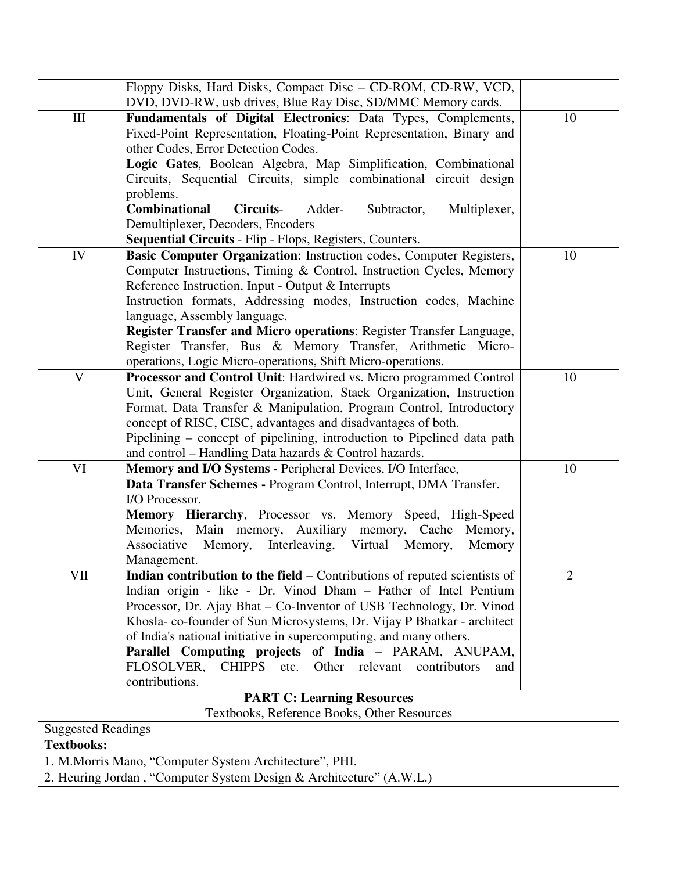|                                                                     | Floppy Disks, Hard Disks, Compact Disc - CD-ROM, CD-RW, VCD,                                                                      |    |  |  |  |  |
|---------------------------------------------------------------------|-----------------------------------------------------------------------------------------------------------------------------------|----|--|--|--|--|
|                                                                     | DVD, DVD-RW, usb drives, Blue Ray Disc, SD/MMC Memory cards.                                                                      |    |  |  |  |  |
| $\rm III$                                                           | Fundamentals of Digital Electronics: Data Types, Complements,                                                                     | 10 |  |  |  |  |
|                                                                     | Fixed-Point Representation, Floating-Point Representation, Binary and                                                             |    |  |  |  |  |
|                                                                     | other Codes, Error Detection Codes.                                                                                               |    |  |  |  |  |
|                                                                     | Logic Gates, Boolean Algebra, Map Simplification, Combinational                                                                   |    |  |  |  |  |
|                                                                     | Circuits, Sequential Circuits, simple combinational circuit design                                                                |    |  |  |  |  |
|                                                                     | problems.                                                                                                                         |    |  |  |  |  |
|                                                                     | <b>Combinational</b><br>Adder-<br><b>Circuits-</b><br>Subtractor,<br>Multiplexer,                                                 |    |  |  |  |  |
|                                                                     | Demultiplexer, Decoders, Encoders                                                                                                 |    |  |  |  |  |
|                                                                     | <b>Sequential Circuits - Flip - Flops, Registers, Counters.</b>                                                                   |    |  |  |  |  |
| IV                                                                  | Basic Computer Organization: Instruction codes, Computer Registers,                                                               | 10 |  |  |  |  |
|                                                                     | Computer Instructions, Timing & Control, Instruction Cycles, Memory                                                               |    |  |  |  |  |
|                                                                     | Reference Instruction, Input - Output & Interrupts                                                                                |    |  |  |  |  |
|                                                                     | Instruction formats, Addressing modes, Instruction codes, Machine                                                                 |    |  |  |  |  |
|                                                                     | language, Assembly language.                                                                                                      |    |  |  |  |  |
|                                                                     | Register Transfer and Micro operations: Register Transfer Language,                                                               |    |  |  |  |  |
|                                                                     | Register Transfer, Bus & Memory Transfer, Arithmetic Micro-                                                                       |    |  |  |  |  |
|                                                                     | operations, Logic Micro-operations, Shift Micro-operations.                                                                       |    |  |  |  |  |
| $\mathbf V$                                                         | <b>Processor and Control Unit: Hardwired vs. Micro programmed Control</b>                                                         | 10 |  |  |  |  |
|                                                                     | Unit, General Register Organization, Stack Organization, Instruction                                                              |    |  |  |  |  |
|                                                                     | Format, Data Transfer & Manipulation, Program Control, Introductory                                                               |    |  |  |  |  |
|                                                                     | concept of RISC, CISC, advantages and disadvantages of both.                                                                      |    |  |  |  |  |
|                                                                     | Pipelining – concept of pipelining, introduction to Pipelined data path<br>and control - Handling Data hazards & Control hazards. |    |  |  |  |  |
| VI                                                                  | Memory and I/O Systems - Peripheral Devices, I/O Interface,                                                                       | 10 |  |  |  |  |
|                                                                     | Data Transfer Schemes - Program Control, Interrupt, DMA Transfer.                                                                 |    |  |  |  |  |
|                                                                     | I/O Processor.                                                                                                                    |    |  |  |  |  |
|                                                                     | Memory Hierarchy, Processor vs. Memory Speed, High-Speed                                                                          |    |  |  |  |  |
|                                                                     | Memories, Main memory, Auxiliary memory, Cache<br>Memory,                                                                         |    |  |  |  |  |
|                                                                     | Memory, Interleaving, Virtual Memory,<br>Associative<br>Memory                                                                    |    |  |  |  |  |
|                                                                     | Management.                                                                                                                       |    |  |  |  |  |
| VII                                                                 | <b>Indian contribution to the field</b> – Contributions of reputed scientists of                                                  | 2  |  |  |  |  |
|                                                                     | Indian origin - like - Dr. Vinod Dham - Father of Intel Pentium                                                                   |    |  |  |  |  |
|                                                                     | Processor, Dr. Ajay Bhat - Co-Inventor of USB Technology, Dr. Vinod                                                               |    |  |  |  |  |
|                                                                     | Khosla-co-founder of Sun Microsystems, Dr. Vijay P Bhatkar - architect                                                            |    |  |  |  |  |
|                                                                     | of India's national initiative in supercomputing, and many others.                                                                |    |  |  |  |  |
|                                                                     | Parallel Computing projects of India - PARAM, ANUPAM,                                                                             |    |  |  |  |  |
|                                                                     | FLOSOLVER,<br>CHIPPS etc. Other relevant<br>contributors<br>and                                                                   |    |  |  |  |  |
|                                                                     | contributions.                                                                                                                    |    |  |  |  |  |
| <b>PART C: Learning Resources</b>                                   |                                                                                                                                   |    |  |  |  |  |
|                                                                     | Textbooks, Reference Books, Other Resources                                                                                       |    |  |  |  |  |
| <b>Suggested Readings</b>                                           |                                                                                                                                   |    |  |  |  |  |
| <b>Textbooks:</b>                                                   |                                                                                                                                   |    |  |  |  |  |
|                                                                     | 1. M. Morris Mano, "Computer System Architecture", PHI.                                                                           |    |  |  |  |  |
| 2. Heuring Jordan, "Computer System Design & Architecture" (A.W.L.) |                                                                                                                                   |    |  |  |  |  |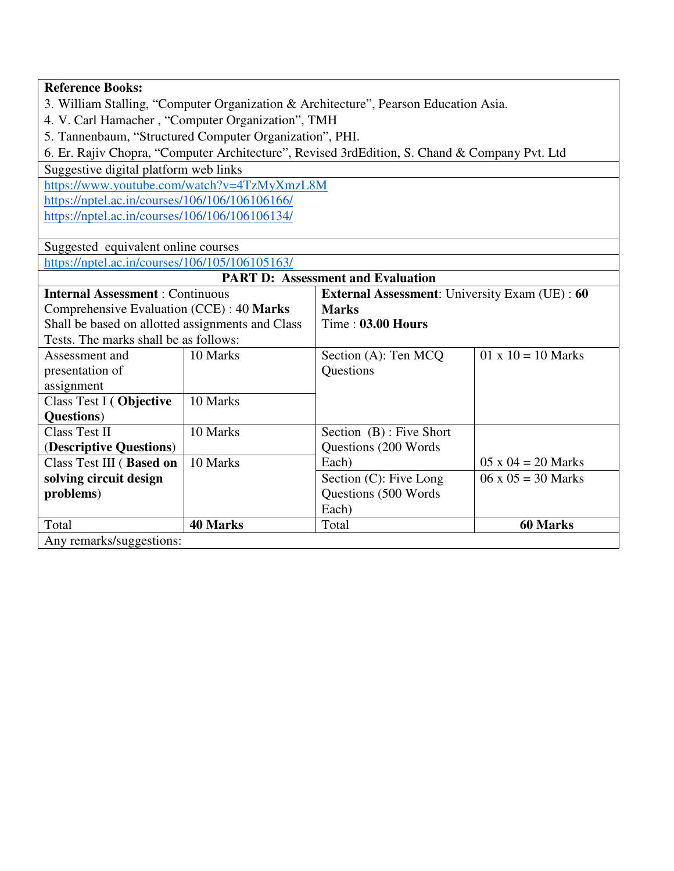|                                                                                               | <b>Reference Books:</b>                                                                        |                                          |                           |  |  |  |  |  |  |
|-----------------------------------------------------------------------------------------------|------------------------------------------------------------------------------------------------|------------------------------------------|---------------------------|--|--|--|--|--|--|
| 3. William Stalling, "Computer Organization & Architecture", Pearson Education Asia.          |                                                                                                |                                          |                           |  |  |  |  |  |  |
| 4. V. Carl Hamacher, "Computer Organization", TMH                                             |                                                                                                |                                          |                           |  |  |  |  |  |  |
| 5. Tannenbaum, "Structured Computer Organization", PHI.                                       |                                                                                                |                                          |                           |  |  |  |  |  |  |
| 6. Er. Rajiv Chopra, "Computer Architecture", Revised 3rdEdition, S. Chand & Company Pvt. Ltd |                                                                                                |                                          |                           |  |  |  |  |  |  |
| Suggestive digital platform web links                                                         |                                                                                                |                                          |                           |  |  |  |  |  |  |
|                                                                                               | https://www.youtube.com/watch?v=4TzMyXmzL8M                                                    |                                          |                           |  |  |  |  |  |  |
| https://nptel.ac.in/courses/106/106/106106166/                                                |                                                                                                |                                          |                           |  |  |  |  |  |  |
| https://nptel.ac.in/courses/106/106/106106134/                                                |                                                                                                |                                          |                           |  |  |  |  |  |  |
|                                                                                               |                                                                                                |                                          |                           |  |  |  |  |  |  |
| Suggested equivalent online courses                                                           |                                                                                                |                                          |                           |  |  |  |  |  |  |
| https://nptel.ac.in/courses/106/105/106105163/                                                |                                                                                                |                                          |                           |  |  |  |  |  |  |
|                                                                                               |                                                                                                | <b>PART D: Assessment and Evaluation</b> |                           |  |  |  |  |  |  |
|                                                                                               | <b>Internal Assessment: Continuous</b><br><b>External Assessment:</b> University Exam (UE): 60 |                                          |                           |  |  |  |  |  |  |
| Comprehensive Evaluation (CCE): 40 Marks                                                      |                                                                                                | <b>Marks</b>                             |                           |  |  |  |  |  |  |
| Shall be based on allotted assignments and Class                                              |                                                                                                | Time: 03.00 Hours                        |                           |  |  |  |  |  |  |
| Tests. The marks shall be as follows:                                                         |                                                                                                |                                          |                           |  |  |  |  |  |  |
| Assessment and                                                                                | 10 Marks                                                                                       | Section (A): Ten MCQ                     | $01 \times 10 = 10$ Marks |  |  |  |  |  |  |
| presentation of                                                                               |                                                                                                | Questions                                |                           |  |  |  |  |  |  |
| assignment                                                                                    |                                                                                                |                                          |                           |  |  |  |  |  |  |
| Class Test I (Objective                                                                       | 10 Marks                                                                                       |                                          |                           |  |  |  |  |  |  |
| Questions)                                                                                    |                                                                                                |                                          |                           |  |  |  |  |  |  |
| <b>Class Test II</b>                                                                          | 10 Marks                                                                                       | Section (B): Five Short                  |                           |  |  |  |  |  |  |
| (Descriptive Questions)                                                                       |                                                                                                | Questions (200 Words                     |                           |  |  |  |  |  |  |
| Class Test III (Based on                                                                      | 10 Marks                                                                                       | Each)                                    | $05 \times 04 = 20$ Marks |  |  |  |  |  |  |
| solving circuit design                                                                        |                                                                                                | Section (C): Five Long                   | $06 \times 05 = 30$ Marks |  |  |  |  |  |  |
| problems)                                                                                     |                                                                                                | Questions (500 Words                     |                           |  |  |  |  |  |  |
|                                                                                               |                                                                                                | Each)                                    |                           |  |  |  |  |  |  |
| Total                                                                                         | <b>40 Marks</b>                                                                                | Total                                    | <b>60 Marks</b>           |  |  |  |  |  |  |
| Any remarks/suggestions:                                                                      |                                                                                                |                                          |                           |  |  |  |  |  |  |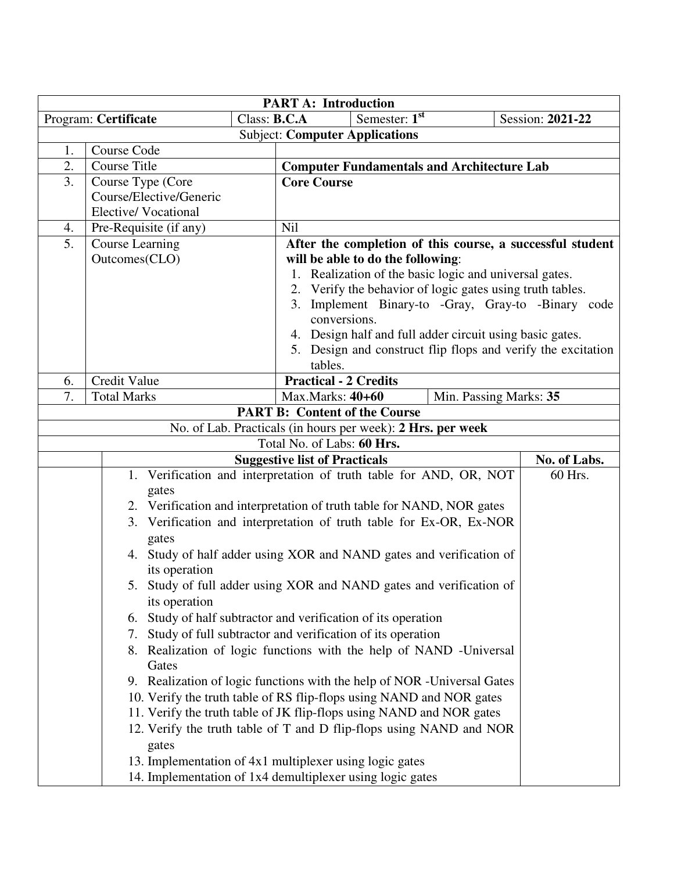| <b>PART A: Introduction</b> |                                                                      |                                                                                                                 |                  |  |  |  |  |
|-----------------------------|----------------------------------------------------------------------|-----------------------------------------------------------------------------------------------------------------|------------------|--|--|--|--|
|                             | Class: $B.C.A$<br>Program: Certificate                               | Semester: $1st$                                                                                                 | Session: 2021-22 |  |  |  |  |
|                             |                                                                      | <b>Subject: Computer Applications</b>                                                                           |                  |  |  |  |  |
| 1.                          | Course Code                                                          |                                                                                                                 |                  |  |  |  |  |
| 2.                          | <b>Course Title</b>                                                  | <b>Computer Fundamentals and Architecture Lab</b>                                                               |                  |  |  |  |  |
| 3.                          | Course Type (Core                                                    | <b>Core Course</b>                                                                                              |                  |  |  |  |  |
|                             | Course/Elective/Generic                                              |                                                                                                                 |                  |  |  |  |  |
|                             | Elective/Vocational                                                  |                                                                                                                 |                  |  |  |  |  |
| 4.                          | Pre-Requisite (if any)                                               | Nil                                                                                                             |                  |  |  |  |  |
| 5.                          | Course Learning                                                      | After the completion of this course, a successful student                                                       |                  |  |  |  |  |
|                             | Outcomes(CLO)                                                        | will be able to do the following:                                                                               |                  |  |  |  |  |
|                             |                                                                      | 1. Realization of the basic logic and universal gates.                                                          |                  |  |  |  |  |
|                             |                                                                      | 2. Verify the behavior of logic gates using truth tables.<br>3. Implement Binary-to -Gray, Gray-to -Binary code |                  |  |  |  |  |
|                             |                                                                      | conversions.                                                                                                    |                  |  |  |  |  |
|                             |                                                                      | 4. Design half and full adder circuit using basic gates.                                                        |                  |  |  |  |  |
|                             |                                                                      | 5. Design and construct flip flops and verify the excitation                                                    |                  |  |  |  |  |
|                             |                                                                      | tables.                                                                                                         |                  |  |  |  |  |
| 6.                          | Credit Value                                                         | <b>Practical - 2 Credits</b>                                                                                    |                  |  |  |  |  |
| 7.                          | <b>Total Marks</b>                                                   | Max.Marks: 40+60<br>Min. Passing Marks: 35                                                                      |                  |  |  |  |  |
|                             |                                                                      | <b>PART B: Content of the Course</b>                                                                            |                  |  |  |  |  |
|                             |                                                                      | No. of Lab. Practicals (in hours per week): 2 Hrs. per week                                                     |                  |  |  |  |  |
|                             |                                                                      | Total No. of Labs: 60 Hrs.                                                                                      |                  |  |  |  |  |
|                             |                                                                      | <b>Suggestive list of Practicals</b>                                                                            | No. of Labs.     |  |  |  |  |
|                             |                                                                      | 1. Verification and interpretation of truth table for AND, OR, NOT                                              | 60 Hrs.          |  |  |  |  |
|                             | gates                                                                |                                                                                                                 |                  |  |  |  |  |
|                             |                                                                      | 2. Verification and interpretation of truth table for NAND, NOR gates                                           |                  |  |  |  |  |
|                             |                                                                      | 3. Verification and interpretation of truth table for Ex-OR, Ex-NOR                                             |                  |  |  |  |  |
|                             | gates                                                                |                                                                                                                 |                  |  |  |  |  |
|                             |                                                                      | 4. Study of half adder using XOR and NAND gates and verification of                                             |                  |  |  |  |  |
|                             | its operation                                                        |                                                                                                                 |                  |  |  |  |  |
|                             |                                                                      | 5. Study of full adder using XOR and NAND gates and verification of                                             |                  |  |  |  |  |
|                             | its operation                                                        |                                                                                                                 |                  |  |  |  |  |
|                             |                                                                      | 6. Study of half subtractor and verification of its operation                                                   |                  |  |  |  |  |
|                             | 7.                                                                   | Study of full subtractor and verification of its operation                                                      |                  |  |  |  |  |
|                             | Gates                                                                | 8. Realization of logic functions with the help of NAND -Universal                                              |                  |  |  |  |  |
|                             |                                                                      | 9. Realization of logic functions with the help of NOR -Universal Gates                                         |                  |  |  |  |  |
|                             | 10. Verify the truth table of RS flip-flops using NAND and NOR gates |                                                                                                                 |                  |  |  |  |  |
|                             |                                                                      | 11. Verify the truth table of JK flip-flops using NAND and NOR gates                                            |                  |  |  |  |  |
|                             |                                                                      | 12. Verify the truth table of T and D flip-flops using NAND and NOR                                             |                  |  |  |  |  |
|                             | gates                                                                |                                                                                                                 |                  |  |  |  |  |
|                             |                                                                      | 13. Implementation of 4x1 multiplexer using logic gates                                                         |                  |  |  |  |  |
|                             | 14. Implementation of 1x4 demultiplexer using logic gates            |                                                                                                                 |                  |  |  |  |  |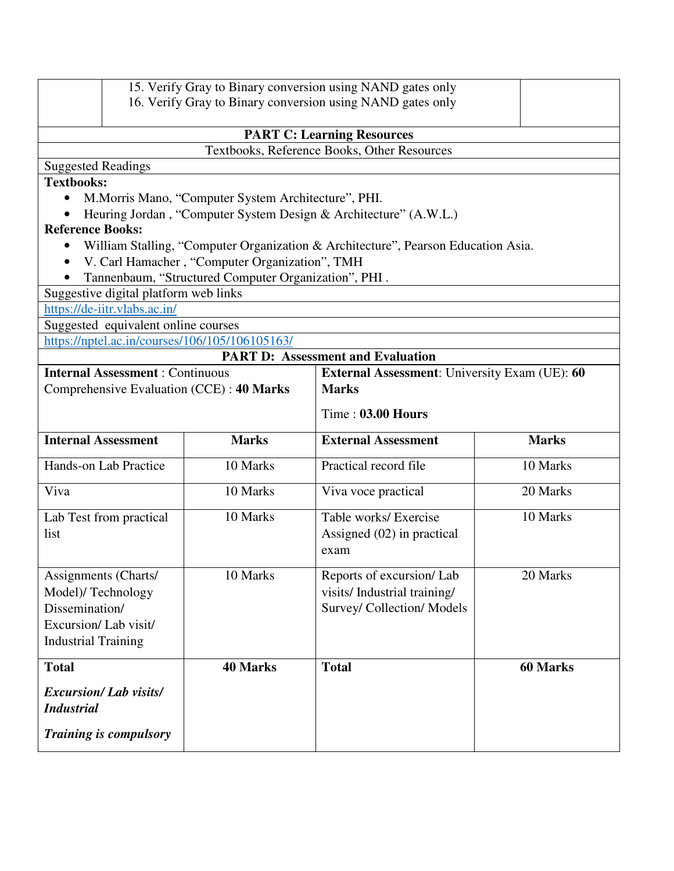| 15. Verify Gray to Binary conversion using NAND gates only<br>16. Verify Gray to Binary conversion using NAND gates only |                                                                  |                                                      |                                                                                   |                 |  |  |  |  |  |
|--------------------------------------------------------------------------------------------------------------------------|------------------------------------------------------------------|------------------------------------------------------|-----------------------------------------------------------------------------------|-----------------|--|--|--|--|--|
|                                                                                                                          |                                                                  |                                                      | <b>PART C: Learning Resources</b><br>Textbooks, Reference Books, Other Resources  |                 |  |  |  |  |  |
| <b>Suggested Readings</b>                                                                                                |                                                                  |                                                      |                                                                                   |                 |  |  |  |  |  |
| <b>Textbooks:</b>                                                                                                        |                                                                  |                                                      |                                                                                   |                 |  |  |  |  |  |
| M. Morris Mano, "Computer System Architecture", PHI.                                                                     |                                                                  |                                                      |                                                                                   |                 |  |  |  |  |  |
|                                                                                                                          | Heuring Jordan, "Computer System Design & Architecture" (A.W.L.) |                                                      |                                                                                   |                 |  |  |  |  |  |
|                                                                                                                          | <b>Reference Books:</b>                                          |                                                      |                                                                                   |                 |  |  |  |  |  |
| ٠                                                                                                                        |                                                                  |                                                      | William Stalling, "Computer Organization & Architecture", Pearson Education Asia. |                 |  |  |  |  |  |
|                                                                                                                          |                                                                  | V. Carl Hamacher, "Computer Organization", TMH       |                                                                                   |                 |  |  |  |  |  |
|                                                                                                                          |                                                                  | Tannenbaum, "Structured Computer Organization", PHI. |                                                                                   |                 |  |  |  |  |  |
|                                                                                                                          | Suggestive digital platform web links                            |                                                      |                                                                                   |                 |  |  |  |  |  |
|                                                                                                                          | https://de-iitr.vlabs.ac.in/                                     |                                                      |                                                                                   |                 |  |  |  |  |  |
|                                                                                                                          | Suggested equivalent online courses                              |                                                      |                                                                                   |                 |  |  |  |  |  |
|                                                                                                                          |                                                                  | https://nptel.ac.in/courses/106/105/106105163/       |                                                                                   |                 |  |  |  |  |  |
|                                                                                                                          |                                                                  |                                                      | <b>PART D: Assessment and Evaluation</b>                                          |                 |  |  |  |  |  |
|                                                                                                                          | <b>Internal Assessment: Continuous</b>                           |                                                      | <b>External Assessment:</b> University Exam (UE): 60                              |                 |  |  |  |  |  |
|                                                                                                                          |                                                                  | Comprehensive Evaluation (CCE): 40 Marks             | <b>Marks</b>                                                                      |                 |  |  |  |  |  |
|                                                                                                                          |                                                                  |                                                      | Time: 03.00 Hours                                                                 |                 |  |  |  |  |  |
| <b>Internal Assessment</b>                                                                                               |                                                                  | <b>Marks</b>                                         | <b>External Assessment</b>                                                        | <b>Marks</b>    |  |  |  |  |  |
| <b>Hands-on Lab Practice</b>                                                                                             |                                                                  | 10 Marks                                             | Practical record file                                                             | 10 Marks        |  |  |  |  |  |
| Viva                                                                                                                     |                                                                  | 10 Marks                                             | Viva voce practical                                                               | 20 Marks        |  |  |  |  |  |
| Lab Test from practical<br>list                                                                                          |                                                                  | 10 Marks                                             | Table works/ Exercise                                                             | 10 Marks        |  |  |  |  |  |
|                                                                                                                          |                                                                  |                                                      | Assigned $(02)$ in practical<br>exam                                              |                 |  |  |  |  |  |
| Assignments (Charts/                                                                                                     |                                                                  | 10 Marks                                             | Reports of excursion/Lab                                                          | 20 Marks        |  |  |  |  |  |
| Model)/Technology                                                                                                        |                                                                  |                                                      | visits/Industrial training/                                                       |                 |  |  |  |  |  |
| Dissemination/                                                                                                           |                                                                  |                                                      | Survey/ Collection/ Models                                                        |                 |  |  |  |  |  |
| Excursion/Lab visit/                                                                                                     |                                                                  |                                                      |                                                                                   |                 |  |  |  |  |  |
| <b>Industrial Training</b>                                                                                               |                                                                  |                                                      |                                                                                   |                 |  |  |  |  |  |
| <b>Total</b>                                                                                                             |                                                                  | <b>40 Marks</b>                                      | <b>Total</b>                                                                      | <b>60 Marks</b> |  |  |  |  |  |
| <b>Excursion/Lab visits/</b><br><b>Industrial</b>                                                                        |                                                                  |                                                      |                                                                                   |                 |  |  |  |  |  |
| <b>Training is compulsory</b>                                                                                            |                                                                  |                                                      |                                                                                   |                 |  |  |  |  |  |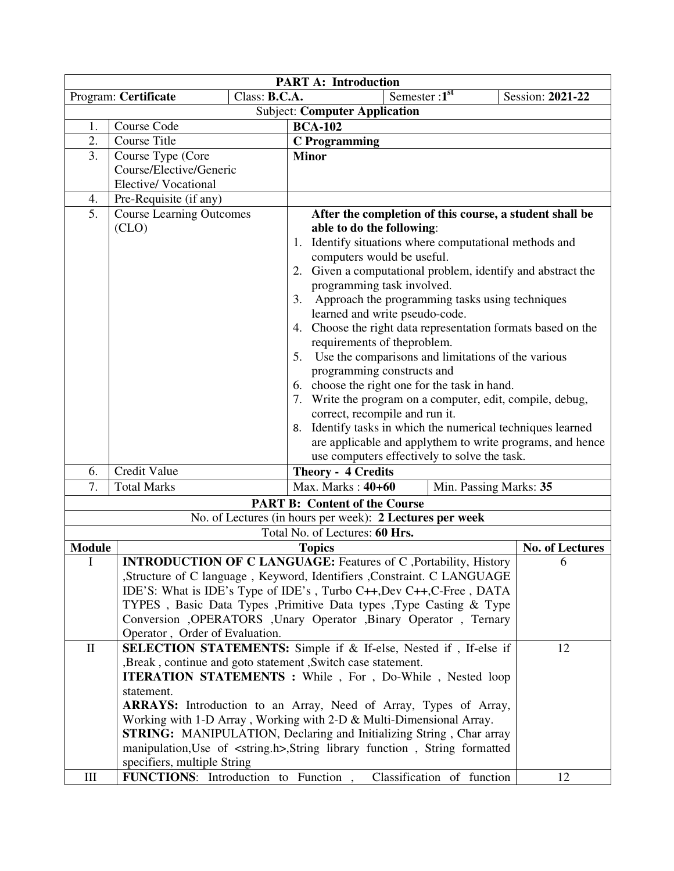| <b>PART A: Introduction</b> |                                                             |               |                                                                                            |                  |  |  |  |
|-----------------------------|-------------------------------------------------------------|---------------|--------------------------------------------------------------------------------------------|------------------|--|--|--|
|                             | Program: Certificate                                        | Class: B.C.A. | Semester: $1st$                                                                            | Session: 2021-22 |  |  |  |
|                             |                                                             |               | <b>Subject: Computer Application</b>                                                       |                  |  |  |  |
| 1.                          | Course Code                                                 |               | <b>BCA-102</b>                                                                             |                  |  |  |  |
| 2.                          | <b>Course Title</b>                                         |               | <b>C</b> Programming                                                                       |                  |  |  |  |
| 3.                          | Course Type (Core                                           |               | <b>Minor</b>                                                                               |                  |  |  |  |
|                             | Course/Elective/Generic                                     |               |                                                                                            |                  |  |  |  |
|                             | Elective/Vocational                                         |               |                                                                                            |                  |  |  |  |
| 4.                          | Pre-Requisite (if any)                                      |               |                                                                                            |                  |  |  |  |
| 5.                          | <b>Course Learning Outcomes</b>                             |               | After the completion of this course, a student shall be                                    |                  |  |  |  |
|                             | (CLO)                                                       |               | able to do the following:                                                                  |                  |  |  |  |
|                             |                                                             |               | 1. Identify situations where computational methods and                                     |                  |  |  |  |
|                             |                                                             |               | computers would be useful.                                                                 |                  |  |  |  |
|                             |                                                             |               | 2. Given a computational problem, identify and abstract the                                |                  |  |  |  |
|                             |                                                             |               | programming task involved.                                                                 |                  |  |  |  |
|                             |                                                             |               | Approach the programming tasks using techniques<br>3.                                      |                  |  |  |  |
|                             |                                                             |               | learned and write pseudo-code.                                                             |                  |  |  |  |
|                             |                                                             |               | 4. Choose the right data representation formats based on the                               |                  |  |  |  |
|                             | requirements of theproblem.                                 |               |                                                                                            |                  |  |  |  |
|                             |                                                             |               | 5. Use the comparisons and limitations of the various                                      |                  |  |  |  |
|                             | programming constructs and                                  |               |                                                                                            |                  |  |  |  |
|                             | 6. choose the right one for the task in hand.               |               |                                                                                            |                  |  |  |  |
|                             | 7. Write the program on a computer, edit, compile, debug,   |               |                                                                                            |                  |  |  |  |
|                             |                                                             |               | correct, recompile and run it.                                                             |                  |  |  |  |
|                             |                                                             |               | 8. Identify tasks in which the numerical techniques learned                                |                  |  |  |  |
|                             |                                                             |               | are applicable and applythem to write programs, and hence                                  |                  |  |  |  |
|                             |                                                             |               | use computers effectively to solve the task.                                               |                  |  |  |  |
| 6.                          | Credit Value                                                |               | <b>Theory - 4 Credits</b>                                                                  |                  |  |  |  |
| 7.                          | <b>Total Marks</b>                                          |               | Max. Marks: 40+60<br>Min. Passing Marks: 35                                                |                  |  |  |  |
|                             |                                                             |               | <b>PART B: Content of the Course</b>                                                       |                  |  |  |  |
|                             |                                                             |               |                                                                                            |                  |  |  |  |
|                             |                                                             |               | No. of Lectures (in hours per week): 2 Lectures per week<br>Total No. of Lectures: 60 Hrs. |                  |  |  |  |
|                             |                                                             |               |                                                                                            |                  |  |  |  |
| <b>Module</b>               |                                                             |               | <b>Topics</b>                                                                              | No. of Lectures  |  |  |  |
| I                           |                                                             |               | INTRODUCTION OF C LANGUAGE: Features of C ,Portability, History                            | 6                |  |  |  |
|                             |                                                             |               | ,Structure of C language, Keyword, Identifiers ,Constraint. C LANGUAGE                     |                  |  |  |  |
|                             |                                                             |               | IDE'S: What is IDE's Type of IDE's, Turbo C++, Dev C++, C-Free, DATA                       |                  |  |  |  |
|                             |                                                             |               | TYPES, Basic Data Types , Primitive Data types , Type Casting & Type                       |                  |  |  |  |
|                             |                                                             |               | Conversion , OPERATORS , Unary Operator , Binary Operator , Ternary                        |                  |  |  |  |
|                             | Operator, Order of Evaluation.                              |               |                                                                                            |                  |  |  |  |
| $\mathbf{I}$                |                                                             |               | SELECTION STATEMENTS: Simple if & If-else, Nested if, If-else if                           | 12               |  |  |  |
|                             | ,Break, continue and goto statement, Switch case statement. |               |                                                                                            |                  |  |  |  |
|                             | statement.                                                  |               | <b>ITERATION STATEMENTS</b> : While, For, Do-While, Nested loop                            |                  |  |  |  |
|                             |                                                             |               | ARRAYS: Introduction to an Array, Need of Array, Types of Array,                           |                  |  |  |  |
|                             |                                                             |               |                                                                                            |                  |  |  |  |
|                             |                                                             |               | Working with 1-D Array, Working with 2-D & Multi-Dimensional Array.                        |                  |  |  |  |
|                             |                                                             |               | <b>STRING:</b> MANIPULATION, Declaring and Initializing String, Char array                 |                  |  |  |  |
|                             | specifiers, multiple String                                 |               | manipulation, Use of <string.h>, String library function, String formatted</string.h>      |                  |  |  |  |
|                             |                                                             |               |                                                                                            |                  |  |  |  |
| Ш                           | <b>FUNCTIONS:</b> Introduction to Function,                 |               | Classification of function                                                                 | 12               |  |  |  |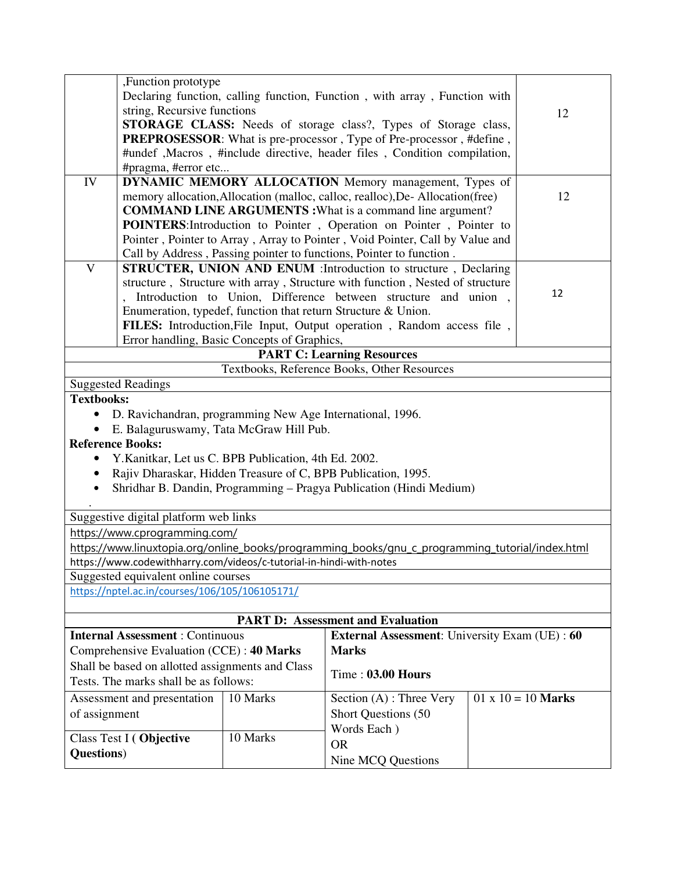|                           | ,Function prototype                                                                                                                                    |                                             |                                                                                                 |  |                           |  |  |  |  |  |
|---------------------------|--------------------------------------------------------------------------------------------------------------------------------------------------------|---------------------------------------------|-------------------------------------------------------------------------------------------------|--|---------------------------|--|--|--|--|--|
|                           |                                                                                                                                                        |                                             | Declaring function, calling function, Function, with array, Function with                       |  |                           |  |  |  |  |  |
|                           | string, Recursive functions                                                                                                                            |                                             |                                                                                                 |  |                           |  |  |  |  |  |
|                           |                                                                                                                                                        |                                             | STORAGE CLASS: Needs of storage class?, Types of Storage class,                                 |  | 12                        |  |  |  |  |  |
|                           |                                                                                                                                                        |                                             |                                                                                                 |  |                           |  |  |  |  |  |
|                           |                                                                                                                                                        |                                             | <b>PREPROSESSOR:</b> What is pre-processor, Type of Pre-processor, #define,                     |  |                           |  |  |  |  |  |
|                           | #undef , Macros, #include directive, header files, Condition compilation,<br>#pragma, #error etc                                                       |                                             |                                                                                                 |  |                           |  |  |  |  |  |
|                           | DYNAMIC MEMORY ALLOCATION Memory management, Types of                                                                                                  |                                             |                                                                                                 |  |                           |  |  |  |  |  |
| IV                        |                                                                                                                                                        |                                             |                                                                                                 |  |                           |  |  |  |  |  |
|                           | memory allocation, Allocation (malloc, calloc, realloc), De-Allocation (free)<br>12<br><b>COMMAND LINE ARGUMENTS:</b> What is a command line argument? |                                             |                                                                                                 |  |                           |  |  |  |  |  |
|                           |                                                                                                                                                        |                                             |                                                                                                 |  |                           |  |  |  |  |  |
|                           |                                                                                                                                                        |                                             | POINTERS: Introduction to Pointer, Operation on Pointer, Pointer to                             |  |                           |  |  |  |  |  |
|                           |                                                                                                                                                        |                                             | Pointer, Pointer to Array, Array to Pointer, Void Pointer, Call by Value and                    |  |                           |  |  |  |  |  |
|                           |                                                                                                                                                        |                                             | Call by Address, Passing pointer to functions, Pointer to function.                             |  |                           |  |  |  |  |  |
| $\overline{\overline{V}}$ |                                                                                                                                                        |                                             | STRUCTER, UNION AND ENUM : Introduction to structure, Declaring                                 |  |                           |  |  |  |  |  |
|                           |                                                                                                                                                        |                                             | structure, Structure with array, Structure with function, Nested of structure                   |  |                           |  |  |  |  |  |
|                           |                                                                                                                                                        |                                             | Introduction to Union, Difference between structure and union,                                  |  | 12                        |  |  |  |  |  |
|                           |                                                                                                                                                        |                                             | Enumeration, typedef, function that return Structure & Union.                                   |  |                           |  |  |  |  |  |
|                           |                                                                                                                                                        |                                             | FILES: Introduction, File Input, Output operation, Random access file,                          |  |                           |  |  |  |  |  |
|                           |                                                                                                                                                        | Error handling, Basic Concepts of Graphics, |                                                                                                 |  |                           |  |  |  |  |  |
|                           |                                                                                                                                                        |                                             | <b>PART C: Learning Resources</b>                                                               |  |                           |  |  |  |  |  |
|                           |                                                                                                                                                        |                                             | Textbooks, Reference Books, Other Resources                                                     |  |                           |  |  |  |  |  |
|                           | <b>Suggested Readings</b>                                                                                                                              |                                             |                                                                                                 |  |                           |  |  |  |  |  |
| <b>Textbooks:</b>         |                                                                                                                                                        |                                             |                                                                                                 |  |                           |  |  |  |  |  |
| $\bullet$                 | D. Ravichandran, programming New Age International, 1996.                                                                                              |                                             |                                                                                                 |  |                           |  |  |  |  |  |
|                           | E. Balaguruswamy, Tata McGraw Hill Pub.                                                                                                                |                                             |                                                                                                 |  |                           |  |  |  |  |  |
| <b>Reference Books:</b>   |                                                                                                                                                        |                                             |                                                                                                 |  |                           |  |  |  |  |  |
|                           | Y.Kanitkar, Let us C. BPB Publication, 4th Ed. 2002.                                                                                                   |                                             |                                                                                                 |  |                           |  |  |  |  |  |
| $\bullet$                 |                                                                                                                                                        |                                             | Rajiv Dharaskar, Hidden Treasure of C, BPB Publication, 1995.                                   |  |                           |  |  |  |  |  |
|                           |                                                                                                                                                        |                                             | Shridhar B. Dandin, Programming – Pragya Publication (Hindi Medium)                             |  |                           |  |  |  |  |  |
| $\bullet$                 |                                                                                                                                                        |                                             |                                                                                                 |  |                           |  |  |  |  |  |
|                           | Suggestive digital platform web links                                                                                                                  |                                             |                                                                                                 |  |                           |  |  |  |  |  |
|                           | https://www.cprogramming.com/                                                                                                                          |                                             |                                                                                                 |  |                           |  |  |  |  |  |
|                           |                                                                                                                                                        |                                             |                                                                                                 |  |                           |  |  |  |  |  |
|                           | https://www.codewithharry.com/videos/c-tutorial-in-hindi-with-notes                                                                                    |                                             | https://www.linuxtopia.org/online_books/programming_books/gnu_c_programming_tutorial/index.html |  |                           |  |  |  |  |  |
|                           |                                                                                                                                                        |                                             |                                                                                                 |  |                           |  |  |  |  |  |
|                           | Suggested equivalent online courses                                                                                                                    |                                             |                                                                                                 |  |                           |  |  |  |  |  |
|                           | https://nptel.ac.in/courses/106/105/106105171/                                                                                                         |                                             |                                                                                                 |  |                           |  |  |  |  |  |
|                           |                                                                                                                                                        |                                             | <b>PART D: Assessment and Evaluation</b>                                                        |  |                           |  |  |  |  |  |
|                           | <b>Internal Assessment: Continuous</b>                                                                                                                 |                                             | External Assessment: University Exam (UE): 60                                                   |  |                           |  |  |  |  |  |
|                           | Comprehensive Evaluation (CCE): 40 Marks                                                                                                               |                                             | <b>Marks</b>                                                                                    |  |                           |  |  |  |  |  |
|                           |                                                                                                                                                        |                                             |                                                                                                 |  |                           |  |  |  |  |  |
|                           | Shall be based on allotted assignments and Class<br><b>Time: 03.00 Hours</b><br>Tests. The marks shall be as follows:                                  |                                             |                                                                                                 |  |                           |  |  |  |  |  |
|                           | Assessment and presentation                                                                                                                            | 10 Marks                                    | Section $(A)$ : Three Very                                                                      |  | $01 \times 10 = 10$ Marks |  |  |  |  |  |
| of assignment             |                                                                                                                                                        |                                             | Short Questions (50                                                                             |  |                           |  |  |  |  |  |
|                           |                                                                                                                                                        |                                             |                                                                                                 |  |                           |  |  |  |  |  |
|                           | Class Test I (Objective                                                                                                                                | 10 Marks                                    | Words Each)                                                                                     |  |                           |  |  |  |  |  |
| <b>Questions</b> )        |                                                                                                                                                        |                                             | <b>OR</b>                                                                                       |  |                           |  |  |  |  |  |
|                           |                                                                                                                                                        |                                             | Nine MCQ Questions                                                                              |  |                           |  |  |  |  |  |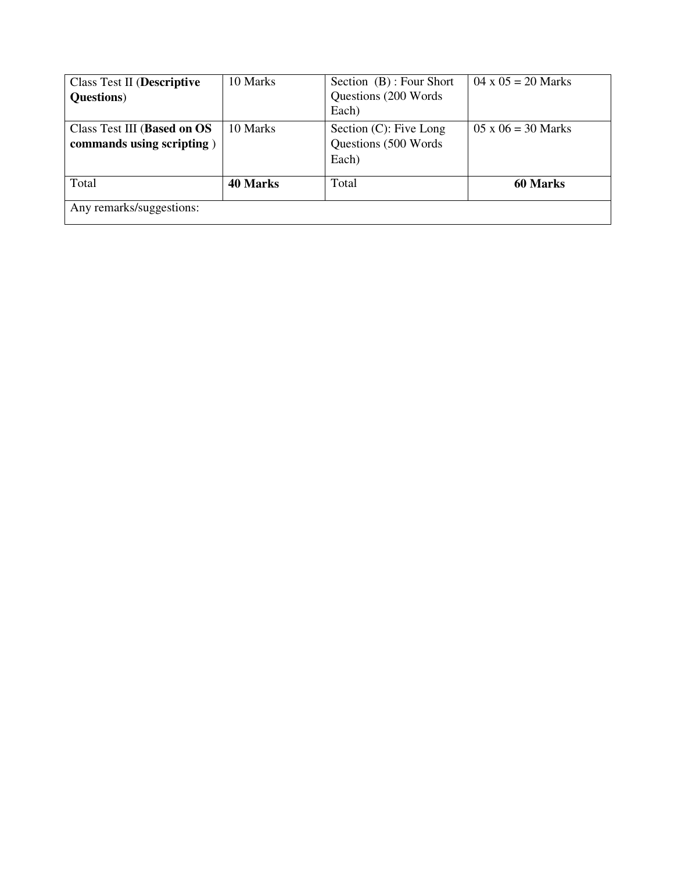| <b>Class Test II (Descriptive</b><br><b>Questions</b> )  | 10 Marks        | Section (B): Four Short<br>Questions (200 Words)<br>Each)   | $04 \times 05 = 20$ Marks |
|----------------------------------------------------------|-----------------|-------------------------------------------------------------|---------------------------|
| Class Test III (Based on OS<br>commands using scripting) | 10 Marks        | Section $(C)$ : Five Long<br>Questions (500 Words)<br>Each) | $05 \times 06 = 30$ Marks |
| Total<br>Any remarks/suggestions:                        | <b>40 Marks</b> | Total                                                       | <b>60 Marks</b>           |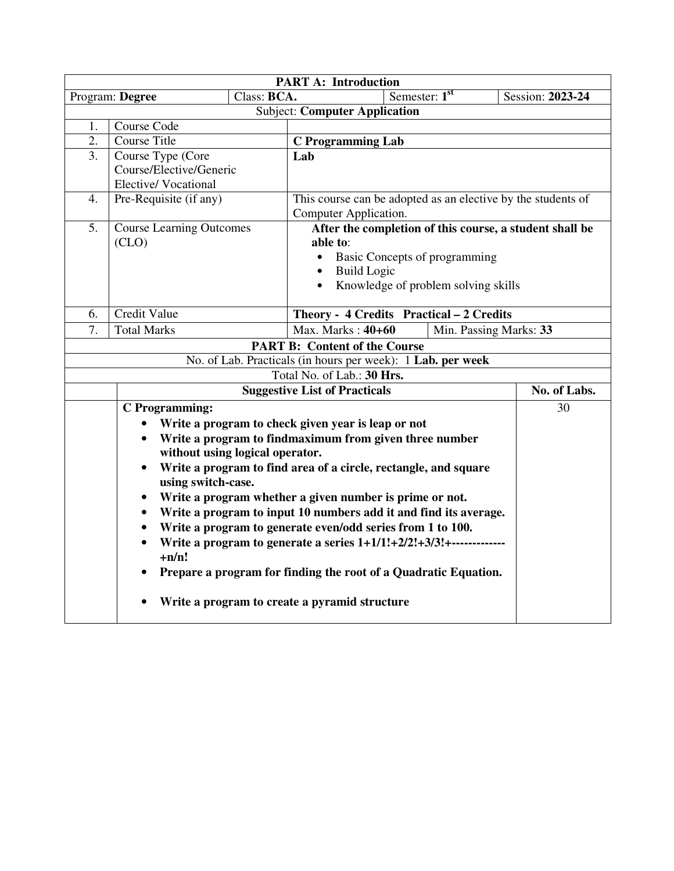|                                                                                                                       | <b>PART A: Introduction</b>                                                                                                                 |             |                                                         |                                                                 |                  |  |
|-----------------------------------------------------------------------------------------------------------------------|---------------------------------------------------------------------------------------------------------------------------------------------|-------------|---------------------------------------------------------|-----------------------------------------------------------------|------------------|--|
|                                                                                                                       | Program: Degree                                                                                                                             | Class: BCA. |                                                         | Semester: 1 <sup>st</sup>                                       | Session: 2023-24 |  |
|                                                                                                                       |                                                                                                                                             |             | <b>Subject: Computer Application</b>                    |                                                                 |                  |  |
| 1.                                                                                                                    | Course Code                                                                                                                                 |             |                                                         |                                                                 |                  |  |
| $\overline{2}$ .                                                                                                      | <b>Course Title</b>                                                                                                                         |             | <b>C</b> Programming Lab                                |                                                                 |                  |  |
| 3.                                                                                                                    | Course Type (Core                                                                                                                           |             | Lab                                                     |                                                                 |                  |  |
| Course/Elective/Generic                                                                                               |                                                                                                                                             |             |                                                         |                                                                 |                  |  |
|                                                                                                                       | <b>Elective/Vocational</b>                                                                                                                  |             |                                                         |                                                                 |                  |  |
| 4.                                                                                                                    | This course can be adopted as an elective by the students of<br>Pre-Requisite (if any)                                                      |             |                                                         |                                                                 |                  |  |
|                                                                                                                       |                                                                                                                                             |             | Computer Application.                                   |                                                                 |                  |  |
| 5.                                                                                                                    | <b>Course Learning Outcomes</b>                                                                                                             |             |                                                         | After the completion of this course, a student shall be         |                  |  |
|                                                                                                                       | (CLO)                                                                                                                                       |             | able to:                                                |                                                                 |                  |  |
|                                                                                                                       |                                                                                                                                             |             |                                                         | Basic Concepts of programming                                   |                  |  |
|                                                                                                                       |                                                                                                                                             |             | <b>Build Logic</b>                                      |                                                                 |                  |  |
|                                                                                                                       |                                                                                                                                             |             |                                                         | Knowledge of problem solving skills                             |                  |  |
| 6.                                                                                                                    | Credit Value                                                                                                                                |             |                                                         |                                                                 |                  |  |
| Theory - 4 Credits Practical - 2 Credits<br>Max. Marks: $40+60$<br>7.<br><b>Total Marks</b><br>Min. Passing Marks: 33 |                                                                                                                                             |             |                                                         |                                                                 |                  |  |
|                                                                                                                       |                                                                                                                                             |             | <b>PART B: Content of the Course</b>                    |                                                                 |                  |  |
|                                                                                                                       |                                                                                                                                             |             |                                                         | No. of Lab. Practicals (in hours per week): 1 Lab. per week     |                  |  |
|                                                                                                                       |                                                                                                                                             |             | Total No. of Lab.: 30 Hrs.                              |                                                                 |                  |  |
|                                                                                                                       |                                                                                                                                             |             | <b>Suggestive List of Practicals</b>                    |                                                                 | No. of Labs.     |  |
|                                                                                                                       | <b>C</b> Programming:                                                                                                                       |             |                                                         |                                                                 | 30               |  |
|                                                                                                                       |                                                                                                                                             |             | Write a program to check given year is leap or not      |                                                                 |                  |  |
|                                                                                                                       | $\bullet$                                                                                                                                   |             | Write a program to findmaximum from given three number  |                                                                 |                  |  |
|                                                                                                                       | without using logical operator.                                                                                                             |             |                                                         |                                                                 |                  |  |
|                                                                                                                       |                                                                                                                                             |             |                                                         | Write a program to find area of a circle, rectangle, and square |                  |  |
|                                                                                                                       | using switch-case.                                                                                                                          |             |                                                         |                                                                 |                  |  |
|                                                                                                                       | $\bullet$                                                                                                                                   |             | Write a program whether a given number is prime or not. |                                                                 |                  |  |
|                                                                                                                       | $\bullet$                                                                                                                                   |             |                                                         |                                                                 |                  |  |
|                                                                                                                       | Write a program to input 10 numbers add it and find its average.<br>Write a program to generate even/odd series from 1 to 100.<br>$\bullet$ |             |                                                         |                                                                 |                  |  |
| Write a program to generate a series $1+1/1!+2/2!+3/3!+$                                                              |                                                                                                                                             |             |                                                         |                                                                 |                  |  |
|                                                                                                                       | $+n/n!$                                                                                                                                     |             |                                                         |                                                                 |                  |  |
|                                                                                                                       |                                                                                                                                             |             |                                                         | Prepare a program for finding the root of a Quadratic Equation. |                  |  |
|                                                                                                                       | Write a program to create a pyramid structure                                                                                               |             |                                                         |                                                                 |                  |  |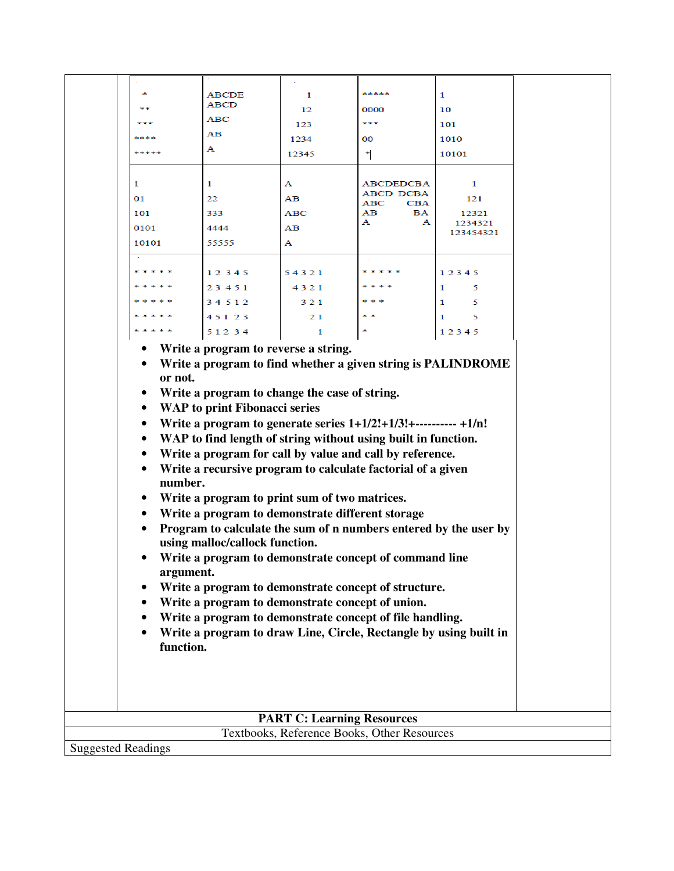|                           |                                                                                                                                                                                                                                                                                                                                                                                                                                                                                                                                                                                                                                                                                                                                                                                                                                                                                                                                                                                                  |                      |                                             | *****                          | $\mathbf{1}$ |  |  |
|---------------------------|--------------------------------------------------------------------------------------------------------------------------------------------------------------------------------------------------------------------------------------------------------------------------------------------------------------------------------------------------------------------------------------------------------------------------------------------------------------------------------------------------------------------------------------------------------------------------------------------------------------------------------------------------------------------------------------------------------------------------------------------------------------------------------------------------------------------------------------------------------------------------------------------------------------------------------------------------------------------------------------------------|----------------------|---------------------------------------------|--------------------------------|--------------|--|--|
|                           |                                                                                                                                                                                                                                                                                                                                                                                                                                                                                                                                                                                                                                                                                                                                                                                                                                                                                                                                                                                                  | <b>ABCDE</b><br>ABCD | 1                                           |                                |              |  |  |
|                           |                                                                                                                                                                                                                                                                                                                                                                                                                                                                                                                                                                                                                                                                                                                                                                                                                                                                                                                                                                                                  | ABC                  | 12                                          | 0000                           | 10           |  |  |
|                           |                                                                                                                                                                                                                                                                                                                                                                                                                                                                                                                                                                                                                                                                                                                                                                                                                                                                                                                                                                                                  | AВ                   | 123                                         | ***                            | 101          |  |  |
|                           | ****                                                                                                                                                                                                                                                                                                                                                                                                                                                                                                                                                                                                                                                                                                                                                                                                                                                                                                                                                                                             | А                    | 1234                                        | $^{00}$                        | 1010         |  |  |
|                           | *****                                                                                                                                                                                                                                                                                                                                                                                                                                                                                                                                                                                                                                                                                                                                                                                                                                                                                                                                                                                            |                      | 12345                                       | ۴                              | 10101        |  |  |
|                           |                                                                                                                                                                                                                                                                                                                                                                                                                                                                                                                                                                                                                                                                                                                                                                                                                                                                                                                                                                                                  |                      |                                             |                                |              |  |  |
|                           | 1                                                                                                                                                                                                                                                                                                                                                                                                                                                                                                                                                                                                                                                                                                                                                                                                                                                                                                                                                                                                | 1                    | А                                           | ABCDEDCBA                      | 1            |  |  |
|                           | 01                                                                                                                                                                                                                                                                                                                                                                                                                                                                                                                                                                                                                                                                                                                                                                                                                                                                                                                                                                                               | 22                   | AВ                                          | <b>ABCD DCBA</b><br>ABC<br>CBA | 121          |  |  |
|                           | 101                                                                                                                                                                                                                                                                                                                                                                                                                                                                                                                                                                                                                                                                                                                                                                                                                                                                                                                                                                                              | 333                  | ABC                                         | AВ<br>BA                       | 12321        |  |  |
|                           | 0101                                                                                                                                                                                                                                                                                                                                                                                                                                                                                                                                                                                                                                                                                                                                                                                                                                                                                                                                                                                             | 4444                 | AВ                                          | А<br>А                         | 1234321      |  |  |
|                           | 10101                                                                                                                                                                                                                                                                                                                                                                                                                                                                                                                                                                                                                                                                                                                                                                                                                                                                                                                                                                                            | 55555                | А                                           |                                | 123454321    |  |  |
|                           |                                                                                                                                                                                                                                                                                                                                                                                                                                                                                                                                                                                                                                                                                                                                                                                                                                                                                                                                                                                                  |                      |                                             |                                |              |  |  |
|                           |                                                                                                                                                                                                                                                                                                                                                                                                                                                                                                                                                                                                                                                                                                                                                                                                                                                                                                                                                                                                  | 12345                | 54321                                       |                                | 12345        |  |  |
|                           |                                                                                                                                                                                                                                                                                                                                                                                                                                                                                                                                                                                                                                                                                                                                                                                                                                                                                                                                                                                                  | 23 4 5 1             |                                             |                                | 1<br>5       |  |  |
|                           |                                                                                                                                                                                                                                                                                                                                                                                                                                                                                                                                                                                                                                                                                                                                                                                                                                                                                                                                                                                                  | 34512                | 4321                                        |                                | 1<br>5       |  |  |
|                           |                                                                                                                                                                                                                                                                                                                                                                                                                                                                                                                                                                                                                                                                                                                                                                                                                                                                                                                                                                                                  |                      | 321                                         |                                |              |  |  |
|                           |                                                                                                                                                                                                                                                                                                                                                                                                                                                                                                                                                                                                                                                                                                                                                                                                                                                                                                                                                                                                  | 45123                | 21                                          |                                | 5<br>1       |  |  |
|                           |                                                                                                                                                                                                                                                                                                                                                                                                                                                                                                                                                                                                                                                                                                                                                                                                                                                                                                                                                                                                  | 51234                | 1                                           |                                | 12345        |  |  |
|                           | Write a program to find whether a given string is PALINDROME<br>or not.<br>Write a program to change the case of string.<br>$\bullet$<br><b>WAP</b> to print Fibonacci series<br>$\bullet$<br>Write a program to generate series $1+1/2!+1/3!+\dots+1/n!$<br>$\bullet$<br>WAP to find length of string without using built in function.<br>$\bullet$<br>Write a program for call by value and call by reference.<br>$\bullet$<br>Write a recursive program to calculate factorial of a given<br>$\bullet$<br>number.<br>Write a program to print sum of two matrices.<br>٠<br>Write a program to demonstrate different storage<br>$\bullet$<br>Program to calculate the sum of n numbers entered by the user by<br>using malloc/callock function.<br>Write a program to demonstrate concept of command line<br>argument.<br>Write a program to demonstrate concept of structure.<br>Write a program to demonstrate concept of union.<br>Write a program to demonstrate concept of file handling. |                      |                                             |                                |              |  |  |
|                           | Write a program to draw Line, Circle, Rectangle by using built in<br>$\bullet$<br>function.<br><b>PART C: Learning Resources</b>                                                                                                                                                                                                                                                                                                                                                                                                                                                                                                                                                                                                                                                                                                                                                                                                                                                                 |                      |                                             |                                |              |  |  |
|                           |                                                                                                                                                                                                                                                                                                                                                                                                                                                                                                                                                                                                                                                                                                                                                                                                                                                                                                                                                                                                  |                      | Textbooks, Reference Books, Other Resources |                                |              |  |  |
| <b>Suggested Readings</b> |                                                                                                                                                                                                                                                                                                                                                                                                                                                                                                                                                                                                                                                                                                                                                                                                                                                                                                                                                                                                  |                      |                                             |                                |              |  |  |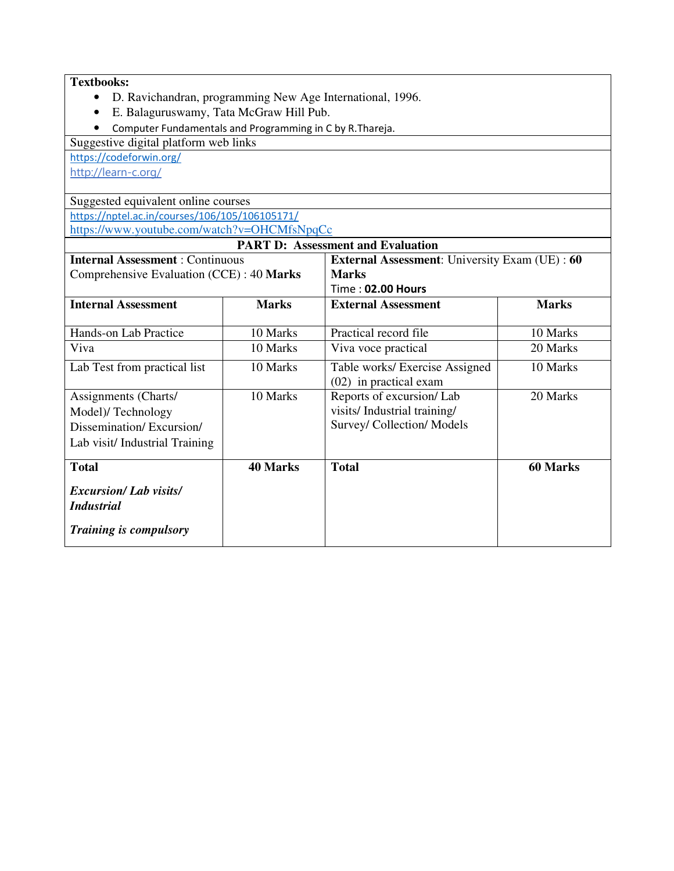### **Textbooks:**

- D. Ravichandran, programming New Age International, 1996.
- E. Balaguruswamy, Tata McGraw Hill Pub.
- Computer Fundamentals and Programming in C by R.Thareja.

Suggestive digital platform web links

https://codeforwin.org/

http://learn-c.org/

Suggested equivalent online courses https://nptel.ac.in/courses/106/105/106105171/ https://www.youtube.com/watch?v=OHCMfsNpqCc

| <b>PART D: Assessment and Evaluation</b>          |                 |                                                      |              |  |  |  |
|---------------------------------------------------|-----------------|------------------------------------------------------|--------------|--|--|--|
| <b>Internal Assessment: Continuous</b>            |                 | <b>External Assessment:</b> University Exam (UE): 60 |              |  |  |  |
| Comprehensive Evaluation (CCE) : 40 Marks         |                 | <b>Marks</b>                                         |              |  |  |  |
|                                                   |                 | Time: 02.00 Hours                                    |              |  |  |  |
| <b>Internal Assessment</b>                        | <b>Marks</b>    | <b>External Assessment</b>                           | <b>Marks</b> |  |  |  |
|                                                   |                 |                                                      |              |  |  |  |
| Hands-on Lab Practice                             | 10 Marks        | Practical record file                                | 10 Marks     |  |  |  |
| Viva                                              | 10 Marks        | Viva voce practical                                  | 20 Marks     |  |  |  |
| Lab Test from practical list                      | 10 Marks        | Table works/ Exercise Assigned                       | 10 Marks     |  |  |  |
|                                                   |                 | (02) in practical exam                               |              |  |  |  |
| Assignments (Charts/                              | 10 Marks        | Reports of excursion/Lab                             | 20 Marks     |  |  |  |
| Model)/Technology                                 |                 | visits/ Industrial training/                         |              |  |  |  |
| Dissemination/Excursion/                          |                 | Survey/ Collection/ Models                           |              |  |  |  |
| Lab visit/Industrial Training                     |                 |                                                      |              |  |  |  |
| <b>Total</b>                                      | <b>40 Marks</b> | <b>Total</b>                                         | 60 Marks     |  |  |  |
| <b>Excursion/Lab visits/</b><br><i>Industrial</i> |                 |                                                      |              |  |  |  |
| <b>Training is compulsory</b>                     |                 |                                                      |              |  |  |  |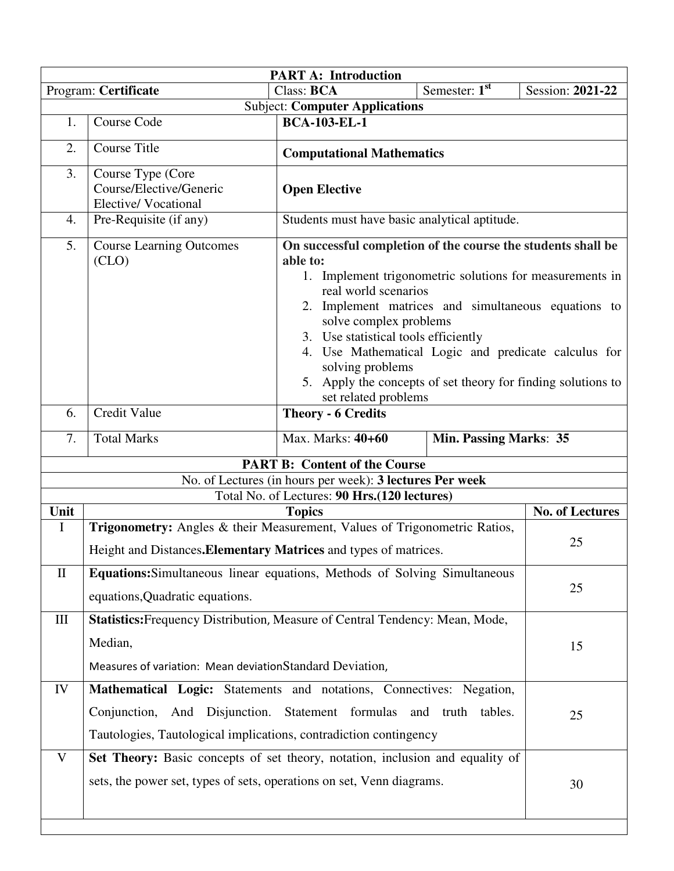|                                                                         | <b>PART A: Introduction</b>                                                                                                                                                                                           |                                                                                                                                                                                                                                                                                                                                                                                                                                   |                                  |                        |  |  |  |  |
|-------------------------------------------------------------------------|-----------------------------------------------------------------------------------------------------------------------------------------------------------------------------------------------------------------------|-----------------------------------------------------------------------------------------------------------------------------------------------------------------------------------------------------------------------------------------------------------------------------------------------------------------------------------------------------------------------------------------------------------------------------------|----------------------------------|------------------------|--|--|--|--|
|                                                                         | Program: Certificate                                                                                                                                                                                                  | Class: BCA                                                                                                                                                                                                                                                                                                                                                                                                                        | Semester: $1st$                  | Session: 2021-22       |  |  |  |  |
|                                                                         |                                                                                                                                                                                                                       | <b>Subject: Computer Applications</b>                                                                                                                                                                                                                                                                                                                                                                                             |                                  |                        |  |  |  |  |
| 1.                                                                      | <b>Course Code</b>                                                                                                                                                                                                    | <b>BCA-103-EL-1</b>                                                                                                                                                                                                                                                                                                                                                                                                               |                                  |                        |  |  |  |  |
| 2.                                                                      | <b>Course Title</b>                                                                                                                                                                                                   |                                                                                                                                                                                                                                                                                                                                                                                                                                   | <b>Computational Mathematics</b> |                        |  |  |  |  |
| 3.                                                                      | Course Type (Core<br>Course/Elective/Generic<br><b>Elective/Vocational</b>                                                                                                                                            | <b>Open Elective</b>                                                                                                                                                                                                                                                                                                                                                                                                              |                                  |                        |  |  |  |  |
| 4.                                                                      | Pre-Requisite (if any)                                                                                                                                                                                                | Students must have basic analytical aptitude.                                                                                                                                                                                                                                                                                                                                                                                     |                                  |                        |  |  |  |  |
| 5.                                                                      | <b>Course Learning Outcomes</b><br>(CLO)                                                                                                                                                                              | On successful completion of the course the students shall be<br>able to:<br>1. Implement trigonometric solutions for measurements in<br>real world scenarios<br>2. Implement matrices and simultaneous equations to<br>solve complex problems<br>3. Use statistical tools efficiently<br>4. Use Mathematical Logic and predicate calculus for<br>solving problems<br>5. Apply the concepts of set theory for finding solutions to |                                  |                        |  |  |  |  |
|                                                                         |                                                                                                                                                                                                                       | set related problems                                                                                                                                                                                                                                                                                                                                                                                                              |                                  |                        |  |  |  |  |
| 6.                                                                      | <b>Credit Value</b>                                                                                                                                                                                                   | <b>Theory - 6 Credits</b>                                                                                                                                                                                                                                                                                                                                                                                                         |                                  |                        |  |  |  |  |
| <b>Total Marks</b><br>Max. Marks: 40+60<br>7.<br>Min. Passing Marks: 35 |                                                                                                                                                                                                                       |                                                                                                                                                                                                                                                                                                                                                                                                                                   |                                  |                        |  |  |  |  |
|                                                                         |                                                                                                                                                                                                                       | <b>PART B: Content of the Course</b>                                                                                                                                                                                                                                                                                                                                                                                              |                                  |                        |  |  |  |  |
|                                                                         |                                                                                                                                                                                                                       | No. of Lectures (in hours per week): 3 lectures Per week                                                                                                                                                                                                                                                                                                                                                                          |                                  |                        |  |  |  |  |
|                                                                         |                                                                                                                                                                                                                       | Total No. of Lectures: 90 Hrs.(120 lectures)                                                                                                                                                                                                                                                                                                                                                                                      |                                  |                        |  |  |  |  |
| Unit<br>$\mathbf I$                                                     | Trigonometry: Angles & their Measurement, Values of Trigonometric Ratios,                                                                                                                                             | <b>Topics</b>                                                                                                                                                                                                                                                                                                                                                                                                                     |                                  | <b>No. of Lectures</b> |  |  |  |  |
|                                                                         | Height and Distances. Elementary Matrices and types of matrices.                                                                                                                                                      |                                                                                                                                                                                                                                                                                                                                                                                                                                   |                                  | 25                     |  |  |  |  |
| $\mathbf{I}$                                                            | Equations: Simultaneous linear equations, Methods of Solving Simultaneous<br>equations, Quadratic equations.                                                                                                          |                                                                                                                                                                                                                                                                                                                                                                                                                                   |                                  | 25                     |  |  |  |  |
| III                                                                     | Statistics: Frequency Distribution, Measure of Central Tendency: Mean, Mode,<br>Median,<br>15<br>Measures of variation: Mean deviationStandard Deviation,                                                             |                                                                                                                                                                                                                                                                                                                                                                                                                                   |                                  |                        |  |  |  |  |
| IV                                                                      | Mathematical Logic: Statements and notations, Connectives: Negation,<br>Conjunction, And Disjunction. Statement formulas and truth tables.<br>25<br>Tautologies, Tautological implications, contradiction contingency |                                                                                                                                                                                                                                                                                                                                                                                                                                   |                                  |                        |  |  |  |  |
| V                                                                       | Set Theory: Basic concepts of set theory, notation, inclusion and equality of<br>sets, the power set, types of sets, operations on set, Venn diagrams.                                                                |                                                                                                                                                                                                                                                                                                                                                                                                                                   |                                  | 30                     |  |  |  |  |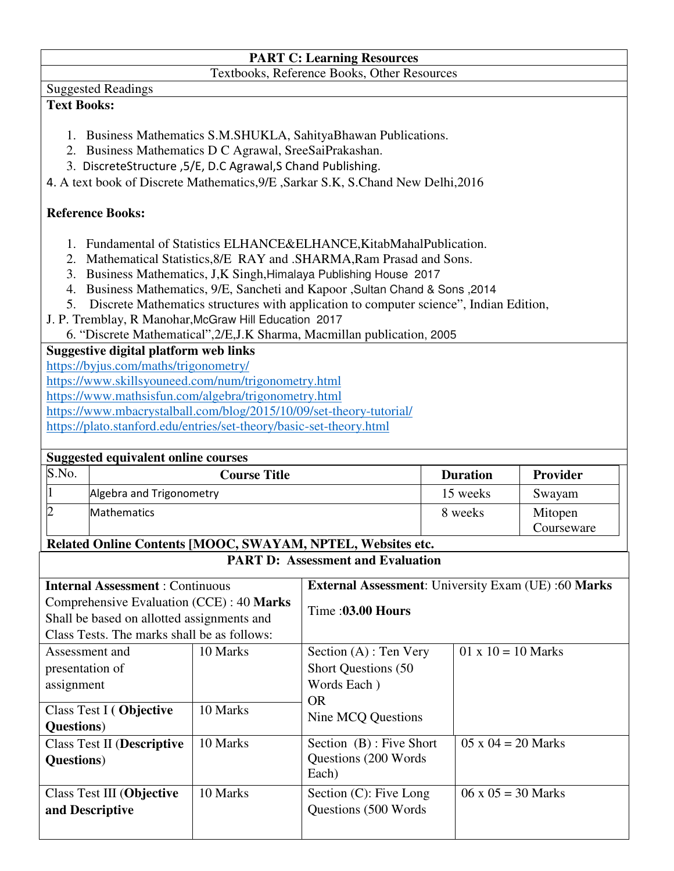## **PART C: Learning Resources**

Textbooks, Reference Books, Other Resources

### Suggested Readings

### **Text Books:**

- 1. Business Mathematics S.M.SHUKLA, SahityaBhawan Publications.
- 2. Business Mathematics D C Agrawal, SreeSaiPrakashan.
- 3. DiscreteStructure ,5/E, D.C Agrawal,S Chand Publishing.

4. A text book of Discrete Mathematics,9/E ,Sarkar S.K, S.Chand New Delhi,2016

### **Reference Books:**

- 1. Fundamental of Statistics ELHANCE&ELHANCE,KitabMahalPublication.
- 2. Mathematical Statistics,8/E RAY and .SHARMA,Ram Prasad and Sons.
- 3. Business Mathematics, J,K Singh,Himalaya Publishing House 2017
- 4. Business Mathematics, 9/E, Sancheti and Kapoor ,Sultan Chand & Sons ,2014
- 5. Discrete Mathematics structures with application to computer science", Indian Edition,
- J. P. Tremblay, R Manohar,McGraw Hill Education 2017
	- 6. "Discrete Mathematical",2/E,J.K Sharma, Macmillan publication, 2005

### **Suggestive digital platform web links**

https://byjus.com/maths/trigonometry/

https://www.skillsyouneed.com/num/trigonometry.html

https://www.mathsisfun.com/algebra/trigonometry.html

https://www.mbacrystalball.com/blog/2015/10/09/set-theory-tutorial/

https://plato.stanford.edu/entries/set-theory/basic-set-theory.html

|                                                                                                     | <b>Suggested equivalent online courses</b>                  |                     |                                          |  |                           |            |  |
|-----------------------------------------------------------------------------------------------------|-------------------------------------------------------------|---------------------|------------------------------------------|--|---------------------------|------------|--|
| S.No.                                                                                               |                                                             | <b>Course Title</b> |                                          |  | <b>Duration</b>           | Provider   |  |
|                                                                                                     | Algebra and Trigonometry                                    |                     |                                          |  | 15 weeks                  | Swayam     |  |
|                                                                                                     | Mathematics                                                 |                     |                                          |  | 8 weeks                   | Mitopen    |  |
|                                                                                                     |                                                             |                     |                                          |  |                           | Courseware |  |
|                                                                                                     | Related Online Contents [MOOC, SWAYAM, NPTEL, Websites etc. |                     |                                          |  |                           |            |  |
|                                                                                                     |                                                             |                     | <b>PART D: Assessment and Evaluation</b> |  |                           |            |  |
| <b>External Assessment:</b> University Exam (UE):60 Marks<br><b>Internal Assessment: Continuous</b> |                                                             |                     |                                          |  |                           |            |  |
| Comprehensive Evaluation (CCE) : 40 Marks<br>Shall be based on allotted assignments and             |                                                             |                     | Time: 03.00 Hours                        |  |                           |            |  |
| Class Tests. The marks shall be as follows:                                                         |                                                             |                     |                                          |  |                           |            |  |
| Assessment and                                                                                      |                                                             | 10 Marks            | Section $(A)$ : Ten Very                 |  | $01 \times 10 = 10$ Marks |            |  |
| presentation of                                                                                     |                                                             |                     | <b>Short Questions (50)</b>              |  |                           |            |  |
| assignment                                                                                          |                                                             |                     | Words Each)                              |  |                           |            |  |
|                                                                                                     | Class Test I (Objective                                     | 10 Marks            | <b>OR</b>                                |  |                           |            |  |
| <b>Questions</b> )                                                                                  |                                                             |                     | Nine MCQ Questions                       |  |                           |            |  |
|                                                                                                     | <b>Class Test II (Descriptive</b>                           | 10 Marks            | Section (B): Five Short                  |  | $05 \times 04 = 20$ Marks |            |  |
| Questions)                                                                                          |                                                             |                     | Questions (200 Words                     |  |                           |            |  |
|                                                                                                     |                                                             |                     | Each)                                    |  |                           |            |  |
|                                                                                                     | <b>Class Test III (Objective</b>                            | 10 Marks            | Section (C): Five Long                   |  | $06 \times 05 = 30$ Marks |            |  |
|                                                                                                     | and Descriptive                                             |                     | Questions (500 Words)                    |  |                           |            |  |
|                                                                                                     |                                                             |                     |                                          |  |                           |            |  |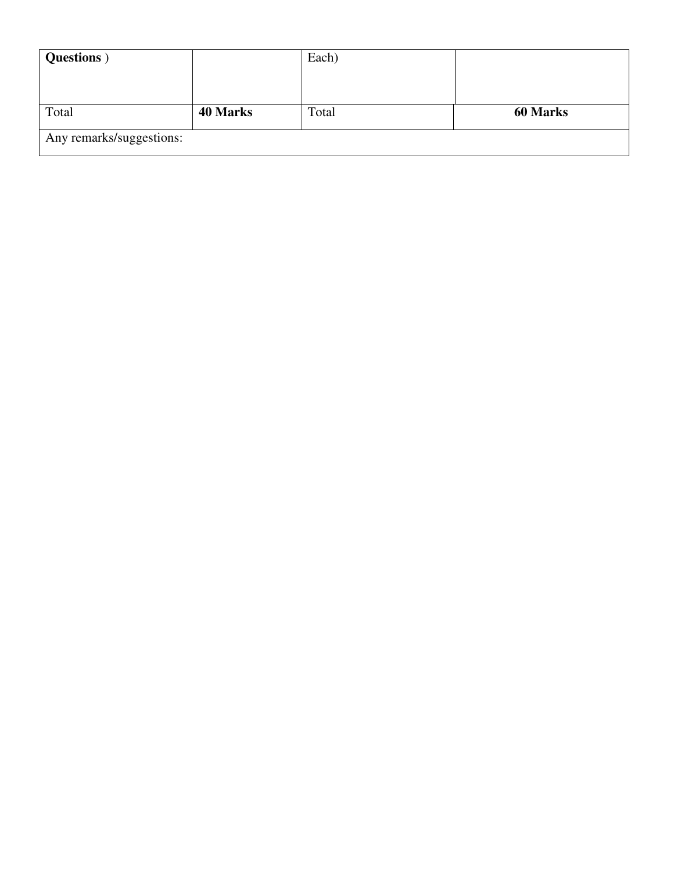| <b>Questions</b> )       |                 | Each) |                 |
|--------------------------|-----------------|-------|-----------------|
|                          |                 |       |                 |
|                          |                 |       |                 |
| Total                    | <b>40 Marks</b> | Total | <b>60 Marks</b> |
| Any remarks/suggestions: |                 |       |                 |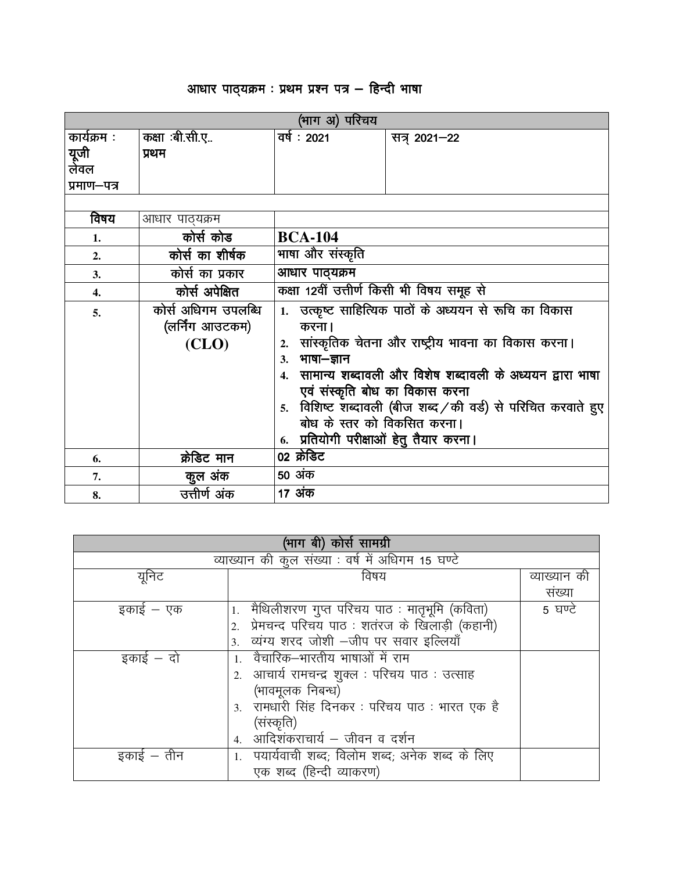## *vk/kkj ikB ~;Øe % izFke iz"u i= & fgUnh Hkk'kk vk/kkj ikB i= & Hkk'kk*

|                  |                     | (भाग अ) परिचय                             |                                                              |  |  |  |
|------------------|---------------------|-------------------------------------------|--------------------------------------------------------------|--|--|--|
| कार्यक्रम :      | कक्षा :बी.सी.ए      | वर्षः 2021                                | सत्र् 2021-22                                                |  |  |  |
| यूजी<br>लेवल     | प्रथम               |                                           |                                                              |  |  |  |
|                  |                     |                                           |                                                              |  |  |  |
| प्रमाण–पत्र      |                     |                                           |                                                              |  |  |  |
|                  |                     |                                           |                                                              |  |  |  |
| विषय             | आधार पाठ्यक्रम      |                                           |                                                              |  |  |  |
| 1.               | कोर्स कोड           | <b>BCA-104</b>                            |                                                              |  |  |  |
| 2.               | कोर्स का शीर्षक     | भाषा और संस्कृति                          |                                                              |  |  |  |
| 3.               | कोर्स का प्रकार     | आधार पाठ्यक्रम                            |                                                              |  |  |  |
| $\overline{4}$ . | कोर्स अपेक्षित      | कक्षा 12वीं उत्तीर्ण किसी भी विषय समूह से |                                                              |  |  |  |
| 5.               | कोर्स अधिगम उपलब्धि |                                           | 1. उत्कृष्ट साहित्यिक पाठों के अध्ययन से रूचि का विकास       |  |  |  |
|                  | (लर्निंग आउटकम)     | करना ।                                    |                                                              |  |  |  |
|                  | (CLO)               | 2.                                        | सांस्कृतिक चेतना और राष्ट्रीय भावना का विकास करना।           |  |  |  |
|                  |                     | 3. भाषा-ज्ञान                             |                                                              |  |  |  |
|                  |                     |                                           | 4.  सामान्य शब्दावली और विशेष शब्दावली के अध्ययन द्वारा भाषा |  |  |  |
|                  |                     |                                           | एवं संस्कृति बोध का विकास करना                               |  |  |  |
|                  |                     | 5.                                        | विशिष्ट शब्दावली (बीज शब्द / की वर्ड) से परिचित करवाते हुए   |  |  |  |
|                  |                     | बोध के स्तर को विकसित करना।               |                                                              |  |  |  |
|                  |                     | 6. प्रतियोगी परीक्षाओं हेतु तैयार करना।   |                                                              |  |  |  |
| 6.               | क्रेडिट मान         | 02 क्रेडिट                                |                                                              |  |  |  |
| 7.               | कुल अंक             | 50 अंक                                    |                                                              |  |  |  |
| 8.               | उत्तीर्ण अंक        | 17 अंक                                    |                                                              |  |  |  |

|            | (भाग बी) कोर्स सामग्री                            |              |
|------------|---------------------------------------------------|--------------|
|            | व्याख्यान की कुल संख्या : वर्ष में अधिगम 15 घण्टे |              |
| यूनिट      | विषय                                              | व्याख्यान की |
|            |                                                   | संख्या       |
| इकाई — एक  | 1.  मैथिलीशरण गुप्त परिचय पाठ : मातृभूमि (कविता)  | 5 घण्टे      |
|            | 2. प्रेमचन्द परिचय पाठ : शतंरज के खिलाड़ी (कहानी) |              |
|            | 3. व्यंग्य शरद जोशी -जीप पर सवार इल्लियाँ         |              |
| इकाई – दो  | 1. वैचारिक–भारतीय भाषाओं में राम                  |              |
|            | 2. आचार्य रामचन्द्र शुक्ल : परिचय पाठ : उत्साह    |              |
|            | (भावमूलक निबन्ध)                                  |              |
|            | 3. रामधारी सिंह दिनकर: परिचय पाठ: भारत एक है      |              |
|            | (संस्कृति)                                        |              |
|            | 4. आदिशंकराचार्य – जीवन व दर्शन                   |              |
| इकाई – तीन | 1. पयार्यवाची शब्द; विलोम शब्द; अनेक शब्द के लिए  |              |
|            | एक शब्द (हिन्दी व्याकरण)                          |              |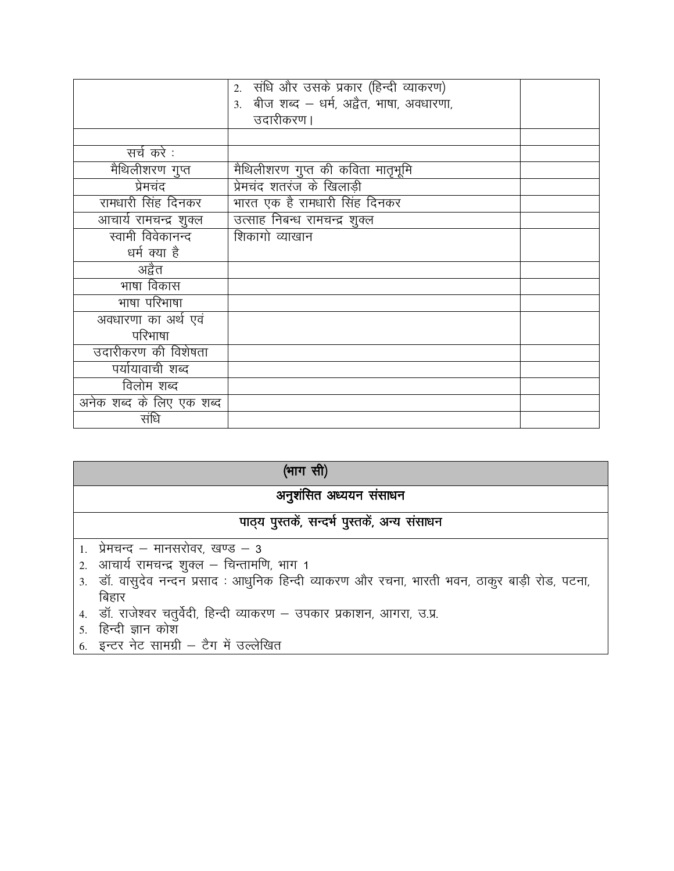|                          | 2. संधि और उसके प्रकार (हिन्दी व्याकरण)    |  |
|--------------------------|--------------------------------------------|--|
|                          | 3. बीज शब्द - धर्म, अद्वैत, भाषा, अवधारणा, |  |
|                          | उदारीकरण ।                                 |  |
|                          |                                            |  |
| सर्च करे :               |                                            |  |
| मेथिलीशरण गुप्त          | मैथिलीशरण गुप्त की कविता मातृभूमि          |  |
| प्रेमचंद                 | प्रेमचंद शतरंज के खिलाडी                   |  |
| रामधारी सिंह दिनकर       | भारत एक है रामधारी सिंह दिनकर              |  |
| आचार्य रामचन्द्र शुक्ल   | उत्साह निबन्ध रामचन्द्र शुक्ल              |  |
| स्वामी विवेकानन्द        | शिकागो व्याखान                             |  |
| धर्म क्या है             |                                            |  |
| अद्वैत                   |                                            |  |
| भाषा विकास               |                                            |  |
| भाषा परिभाषा             |                                            |  |
| अवधारणा का अर्थ एवं      |                                            |  |
| परिभाषा                  |                                            |  |
| उदारीकरण की विशेषता      |                                            |  |
| पर्यायावाची शब्द         |                                            |  |
| विलोम शब्द               |                                            |  |
| अनेक शब्द के लिए एक शब्द |                                            |  |
| संधि                     |                                            |  |

| (भाग सी)                                                                                      |  |  |  |  |
|-----------------------------------------------------------------------------------------------|--|--|--|--|
| अनुशंसित अध्ययन संसाधन                                                                        |  |  |  |  |
| पाठ्य पुस्तकें, सन्दर्भ पुस्तकें, अन्य संसाधन                                                 |  |  |  |  |
| 1. प्रेमचन्द – मानसरोवर, खण्ड – 3                                                             |  |  |  |  |
| 2. आचार्य रामचन्द्र शुक्ल - चिन्तामणि, भाग 1                                                  |  |  |  |  |
| 3. डॉ. वासुदेव नन्दन प्रसाद: आधुनिक हिन्दी व्याकरण और रचना, भारती भवन, ठाकुर बाड़ी रोड, पटना, |  |  |  |  |
| बिहार                                                                                         |  |  |  |  |

- 4. डॉ. राजेश्वर चतुर्वेदी, हिन्दी व्याकरण उपकार प्रकाशन, आगरा, उ.प्र.
- 5. हिन्दी ज्ञान कोश
- 6. इन्टर नेट सामग्री टैग में उल्लेखित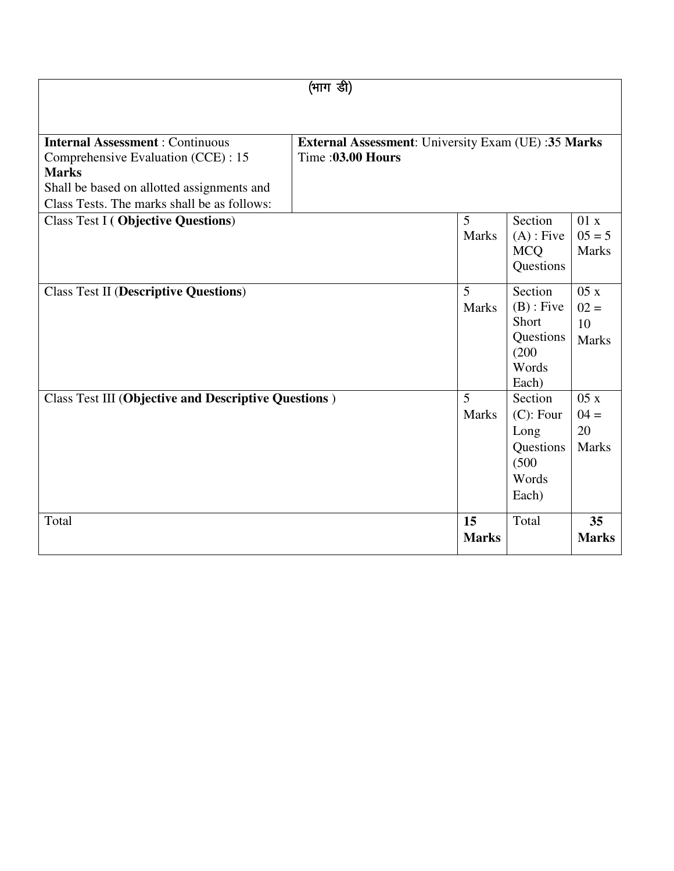| (भाग डी)                                                                                                                                                                                   |                                                                                |                                |                                                                          |                                     |  |
|--------------------------------------------------------------------------------------------------------------------------------------------------------------------------------------------|--------------------------------------------------------------------------------|--------------------------------|--------------------------------------------------------------------------|-------------------------------------|--|
|                                                                                                                                                                                            |                                                                                |                                |                                                                          |                                     |  |
| <b>Internal Assessment: Continuous</b><br>Comprehensive Evaluation (CCE) : 15<br><b>Marks</b><br>Shall be based on allotted assignments and<br>Class Tests. The marks shall be as follows: | <b>External Assessment:</b> University Exam (UE):35 Marks<br>Time: 03.00 Hours |                                |                                                                          |                                     |  |
| <b>Class Test I (Objective Questions)</b>                                                                                                                                                  |                                                                                | 5<br><b>Marks</b>              | Section<br>$(A)$ : Five<br><b>MCQ</b><br>Questions                       | 01 x<br>$05 = 5$<br><b>Marks</b>    |  |
| <b>Class Test II (Descriptive Questions)</b>                                                                                                                                               |                                                                                | 5<br><b>Marks</b>              | Section<br>$(B)$ : Five<br>Short<br>Questions<br>(200)<br>Words<br>Each) | 05x<br>$02 =$<br>10<br><b>Marks</b> |  |
| <b>Class Test III (Objective and Descriptive Questions)</b>                                                                                                                                |                                                                                | $\overline{5}$<br><b>Marks</b> | Section<br>$(C)$ : Four<br>Long<br>Questions<br>(500)<br>Words<br>Each)  | 05x<br>$04 =$<br>20<br><b>Marks</b> |  |
| Total                                                                                                                                                                                      |                                                                                | 15<br><b>Marks</b>             | Total                                                                    | 35<br><b>Marks</b>                  |  |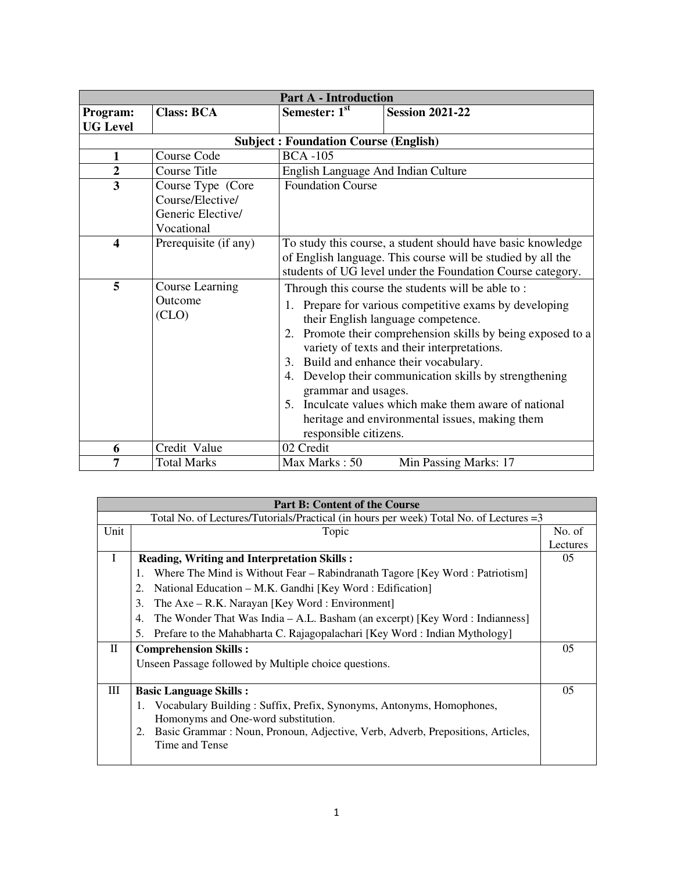|                         |                                                                          | <b>Part A - Introduction</b>                                                                                                                                                                                                                                                                                                                                                                                                                                                                                                            |                        |  |  |
|-------------------------|--------------------------------------------------------------------------|-----------------------------------------------------------------------------------------------------------------------------------------------------------------------------------------------------------------------------------------------------------------------------------------------------------------------------------------------------------------------------------------------------------------------------------------------------------------------------------------------------------------------------------------|------------------------|--|--|
| Program:                | <b>Class: BCA</b>                                                        | Semester: 1st                                                                                                                                                                                                                                                                                                                                                                                                                                                                                                                           | <b>Session 2021-22</b> |  |  |
| <b>UG Level</b>         |                                                                          |                                                                                                                                                                                                                                                                                                                                                                                                                                                                                                                                         |                        |  |  |
|                         |                                                                          | <b>Subject: Foundation Course (English)</b>                                                                                                                                                                                                                                                                                                                                                                                                                                                                                             |                        |  |  |
| $\mathbf{1}$            | Course Code                                                              | <b>BCA-105</b>                                                                                                                                                                                                                                                                                                                                                                                                                                                                                                                          |                        |  |  |
| $\overline{2}$          | <b>Course Title</b>                                                      | English Language And Indian Culture                                                                                                                                                                                                                                                                                                                                                                                                                                                                                                     |                        |  |  |
| $\overline{3}$          | Course Type (Core<br>Course/Elective/<br>Generic Elective/<br>Vocational | <b>Foundation Course</b>                                                                                                                                                                                                                                                                                                                                                                                                                                                                                                                |                        |  |  |
| $\overline{\mathbf{4}}$ | Prerequisite (if any)                                                    | To study this course, a student should have basic knowledge<br>of English language. This course will be studied by all the<br>students of UG level under the Foundation Course category.                                                                                                                                                                                                                                                                                                                                                |                        |  |  |
| 5                       | <b>Course Learning</b><br>Outcome<br>(CLO)                               | Through this course the students will be able to:<br>Prepare for various competitive exams by developing<br>1.<br>their English language competence.<br>Promote their comprehension skills by being exposed to a<br>2.<br>variety of texts and their interpretations.<br>3. Build and enhance their vocabulary.<br>Develop their communication skills by strengthening<br>4.<br>grammar and usages.<br>5. Inculcate values which make them aware of national<br>heritage and environmental issues, making them<br>responsible citizens. |                        |  |  |
| 6                       | Credit Value                                                             | 02 Credit                                                                                                                                                                                                                                                                                                                                                                                                                                                                                                                               |                        |  |  |
| 7                       | <b>Total Marks</b>                                                       | Max Marks: 50                                                                                                                                                                                                                                                                                                                                                                                                                                                                                                                           | Min Passing Marks: 17  |  |  |

|           | <b>Part B: Content of the Course</b>                                                    |                |
|-----------|-----------------------------------------------------------------------------------------|----------------|
|           | Total No. of Lectures/Tutorials/Practical (in hours per week) Total No. of Lectures = 3 |                |
| Unit      | Topic                                                                                   | No. of         |
|           |                                                                                         | Lectures       |
| L         | <b>Reading, Writing and Interpretation Skills:</b>                                      | 05             |
|           | Where The Mind is Without Fear – Rabindranath Tagore [Key Word: Patriotism]<br>1.       |                |
|           | National Education – M.K. Gandhi [Key Word: Edification]<br>2.                          |                |
|           | The Axe - R.K. Narayan [Key Word : Environment]<br>3.                                   |                |
|           | The Wonder That Was India – A.L. Basham (an excerpt) [Key Word: Indianness]<br>4.       |                |
|           | 5.<br>Prefare to the Mahabharta C. Rajagopalachari [Key Word: Indian Mythology]         |                |
| $\rm{II}$ | <b>Comprehension Skills:</b>                                                            | 05             |
|           | Unseen Passage followed by Multiple choice questions.                                   |                |
|           |                                                                                         |                |
| Ш         | <b>Basic Language Skills:</b>                                                           | 0 <sub>5</sub> |
|           | Vocabulary Building: Suffix, Prefix, Synonyms, Antonyms, Homophones,<br>1.              |                |
|           | Homonyms and One-word substitution.                                                     |                |
|           | Basic Grammar : Noun, Pronoun, Adjective, Verb, Adverb, Prepositions, Articles,<br>2.   |                |
|           | Time and Tense                                                                          |                |
|           |                                                                                         |                |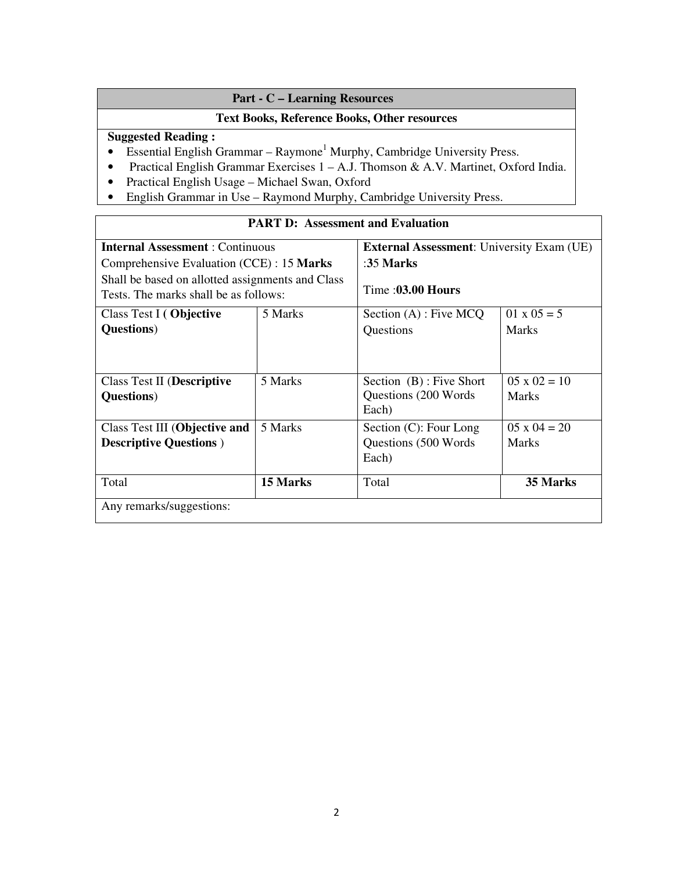### **Part - C – Learning Resources**

### **Text Books, Reference Books, Other resources**

### **Suggested Reading :**

 $\overline{\Gamma}$ 

- Essential English Grammar Raymone<sup>1</sup> Murphy, Cambridge University Press.
- Practical English Grammar Exercises 1 A.J. Thomson & A.V. Martinet, Oxford India.
- Practical English Usage Michael Swan, Oxford
- English Grammar in Use Raymond Murphy, Cambridge University Press.

| TANT D. ASSESSMENT and Evaluation                                                         |          |                                                          |                                     |  |  |
|-------------------------------------------------------------------------------------------|----------|----------------------------------------------------------|-------------------------------------|--|--|
| <b>Internal Assessment: Continuous</b>                                                    |          | <b>External Assessment:</b> University Exam (UE)         |                                     |  |  |
| Comprehensive Evaluation (CCE) : 15 Marks                                                 |          | :35 Marks                                                |                                     |  |  |
| Shall be based on allotted assignments and Class<br>Tests. The marks shall be as follows: |          | Time: $03.00$ Hours                                      |                                     |  |  |
| Class Test I (Objective                                                                   | 5 Marks  | Section $(A)$ : Five MCQ                                 | $01 \times 05 = 5$                  |  |  |
| <b>Questions</b> )                                                                        |          | Questions                                                | <b>Marks</b>                        |  |  |
| <b>Class Test II (Descriptive</b><br><b>Questions</b> )                                   | 5 Marks  | Section (B): Five Short<br>Questions (200 Words<br>Each) | $05 \times 02 = 10$<br><b>Marks</b> |  |  |
| Class Test III (Objective and                                                             | 5 Marks  | Section (C): Four Long                                   | $05 \times 04 = 20$                 |  |  |
| <b>Descriptive Questions</b> )                                                            |          | Questions (500 Words)<br>Each)                           | <b>Marks</b>                        |  |  |
| Total                                                                                     | 15 Marks | Total                                                    | 35 Marks                            |  |  |
| Any remarks/suggestions:                                                                  |          |                                                          |                                     |  |  |

### **PART D: Assessment and Evaluation**

٦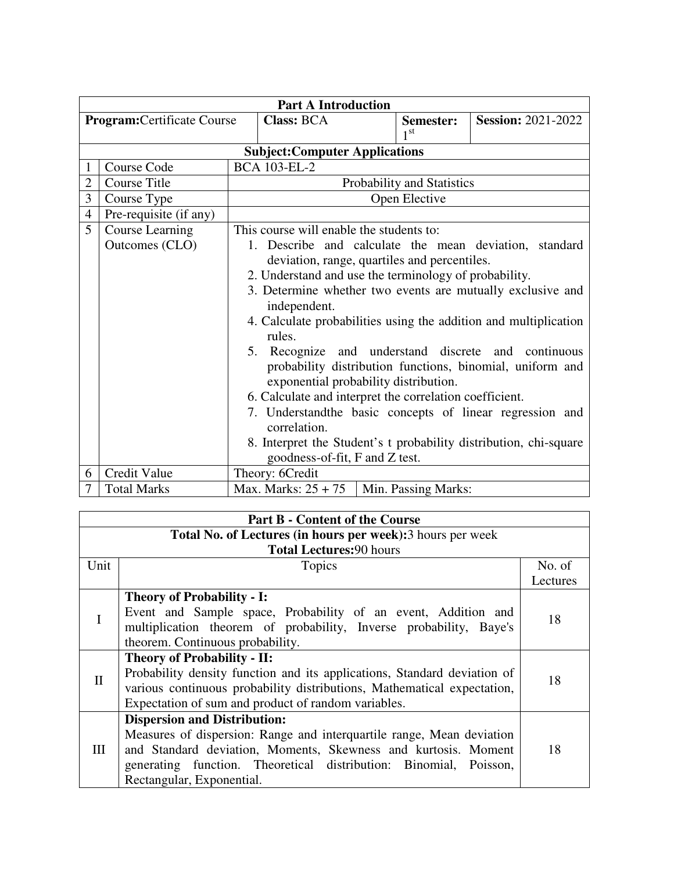|                                    | <b>Part A Introduction</b>     |                                                                                                                                                           |                                          |  |                              |                                                                  |
|------------------------------------|--------------------------------|-----------------------------------------------------------------------------------------------------------------------------------------------------------|------------------------------------------|--|------------------------------|------------------------------------------------------------------|
| <b>Program:</b> Certificate Course |                                |                                                                                                                                                           | <b>Class: BCA</b>                        |  | Semester:<br>1 <sup>st</sup> | <b>Session: 2021-2022</b>                                        |
|                                    |                                |                                                                                                                                                           | <b>Subject:Computer Applications</b>     |  |                              |                                                                  |
|                                    | Course Code                    |                                                                                                                                                           | <b>BCA 103-EL-2</b>                      |  |                              |                                                                  |
| $\overline{2}$                     | <b>Course Title</b>            |                                                                                                                                                           |                                          |  | Probability and Statistics   |                                                                  |
| 3                                  | Course Type                    |                                                                                                                                                           |                                          |  | Open Elective                |                                                                  |
| $\overline{4}$                     | Pre-requisite (if any)         |                                                                                                                                                           |                                          |  |                              |                                                                  |
| 5                                  | Course Learning                |                                                                                                                                                           | This course will enable the students to: |  |                              |                                                                  |
|                                    | Outcomes (CLO)                 |                                                                                                                                                           |                                          |  |                              | 1. Describe and calculate the mean deviation, standard           |
|                                    |                                | deviation, range, quartiles and percentiles.                                                                                                              |                                          |  |                              |                                                                  |
|                                    |                                | 2. Understand and use the terminology of probability.                                                                                                     |                                          |  |                              |                                                                  |
|                                    |                                | 3. Determine whether two events are mutually exclusive and<br>independent.                                                                                |                                          |  |                              |                                                                  |
|                                    |                                |                                                                                                                                                           | rules.                                   |  |                              | 4. Calculate probabilities using the addition and multiplication |
|                                    |                                | 5. Recognize and understand discrete and continuous<br>probability distribution functions, binomial, uniform and<br>exponential probability distribution. |                                          |  |                              |                                                                  |
|                                    |                                | 6. Calculate and interpret the correlation coefficient.                                                                                                   |                                          |  |                              |                                                                  |
|                                    |                                | 7. Understand the basic concepts of linear regression and<br>correlation.                                                                                 |                                          |  |                              |                                                                  |
|                                    |                                | 8. Interpret the Student's t probability distribution, chi-square                                                                                         |                                          |  |                              |                                                                  |
|                                    | goodness-of-fit, F and Z test. |                                                                                                                                                           |                                          |  |                              |                                                                  |
| 6                                  | Credit Value                   |                                                                                                                                                           | Theory: 6Credit                          |  |                              |                                                                  |
| 7                                  | <b>Total Marks</b>             |                                                                                                                                                           | Max. Marks: $25 + 75$                    |  | Min. Passing Marks:          |                                                                  |

|              | <b>Part B - Content of the Course</b>                                    |          |  |  |  |
|--------------|--------------------------------------------------------------------------|----------|--|--|--|
|              | Total No. of Lectures (in hours per week): 3 hours per week              |          |  |  |  |
|              | <b>Total Lectures: 90 hours</b>                                          |          |  |  |  |
| Unit         | Topics                                                                   | No. of   |  |  |  |
|              |                                                                          | Lectures |  |  |  |
|              | <b>Theory of Probability - I:</b>                                        |          |  |  |  |
| T            | Event and Sample space, Probability of an event, Addition and            | 18       |  |  |  |
|              | multiplication theorem of probability, Inverse probability, Baye's       |          |  |  |  |
|              | theorem. Continuous probability.                                         |          |  |  |  |
|              | <b>Theory of Probability - II:</b>                                       |          |  |  |  |
| $\mathbf{I}$ | Probability density function and its applications, Standard deviation of | 18       |  |  |  |
|              | various continuous probability distributions, Mathematical expectation,  |          |  |  |  |
|              | Expectation of sum and product of random variables.                      |          |  |  |  |
|              | <b>Dispersion and Distribution:</b>                                      |          |  |  |  |
| Ш            | Measures of dispersion: Range and interquartile range, Mean deviation    |          |  |  |  |
|              | and Standard deviation, Moments, Skewness and kurtosis. Moment           | 18       |  |  |  |
|              | generating function. Theoretical distribution: Binomial, Poisson,        |          |  |  |  |
|              | Rectangular, Exponential.                                                |          |  |  |  |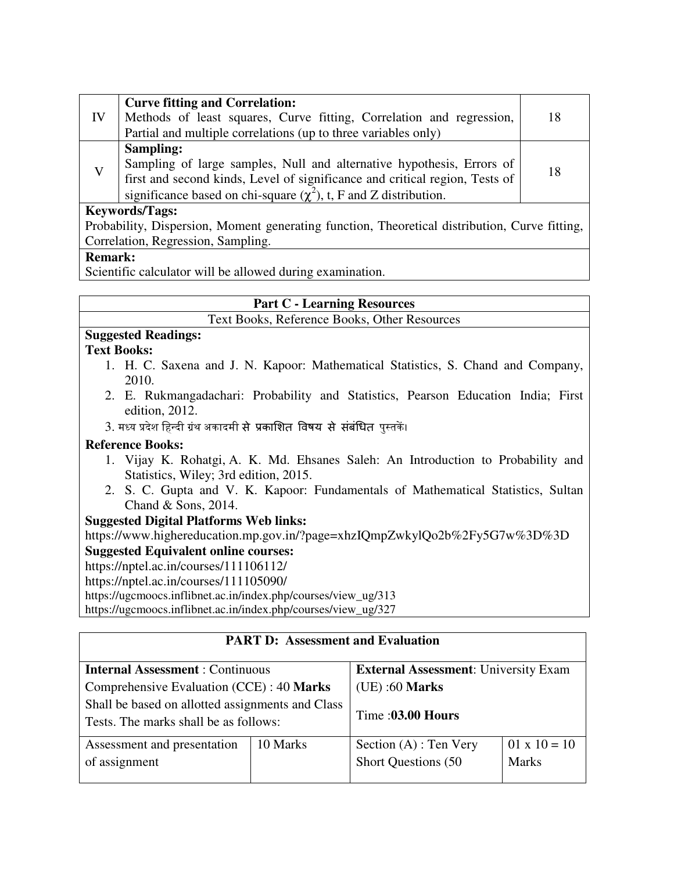| IV           | <b>Curve fitting and Correlation:</b><br>Methods of least squares, Curve fitting, Correlation and regression,<br>Partial and multiple correlations (up to three variables only)                                                             | 18 |  |  |
|--------------|---------------------------------------------------------------------------------------------------------------------------------------------------------------------------------------------------------------------------------------------|----|--|--|
| $\mathbf{V}$ | Sampling:<br>Sampling of large samples, Null and alternative hypothesis, Errors of<br>first and second kinds, Level of significance and critical region, Tests of<br>significance based on chi-square $(\chi^2)$ , t, F and Z distribution. | 18 |  |  |
|              | <b>Keywords/Tags:</b>                                                                                                                                                                                                                       |    |  |  |
|              | Probability, Dispersion, Moment generating function, Theoretical distribution, Curve fitting,                                                                                                                                               |    |  |  |

Correlation, Regression, Sampling.

### **Remark:**

Scientific calculator will be allowed during examination.

## **Part C - Learning Resources**

Text Books, Reference Books, Other Resources

### **Suggested Readings:**

### **Text Books:**

- 1. H. C. Saxena and J. N. Kapoor: Mathematical Statistics, S. Chand and Company, 2010.
- 2. E. Rukmangadachari: Probability and Statistics, Pearson Education India; First edition, 2012.
- 3. मध्य प्रदेश हिन्दी ग्रंथ अकादमी से प्रकाशित विषय से संबंधित पुस्तकें।

### **Reference Books:**

- 1. Vijay K. Rohatgi, A. K. Md. Ehsanes Saleh: An Introduction to Probability and Statistics, Wiley; 3rd edition, 2015.
- 2. S. C. Gupta and V. K. Kapoor: Fundamentals of Mathematical Statistics, Sultan Chand & Sons, 2014.

### **Suggested Digital Platforms Web links:**

https://www.highereducation.mp.gov.in/?page=xhzIQmpZwkylQo2b%2Fy5G7w%3D%3D

### **Suggested Equivalent online courses:**

https://nptel.ac.in/courses/111106112/

https://nptel.ac.in/courses/111105090/

https://ugcmoocs.inflibnet.ac.in/index.php/courses/view\_ug/313

https://ugcmoocs.inflibnet.ac.in/index.php/courses/view\_ug/327

| <b>PART D: Assessment and Evaluation</b>                                                  |  |                             |                     |  |
|-------------------------------------------------------------------------------------------|--|-----------------------------|---------------------|--|
| <b>Internal Assessment: Continuous</b><br><b>External Assessment: University Exam</b>     |  |                             |                     |  |
| Comprehensive Evaluation (CCE) : 40 Marks                                                 |  | $(UE)$ :60 Marks            |                     |  |
| Shall be based on allotted assignments and Class<br>Tests. The marks shall be as follows: |  | Time: 03.00 Hours           |                     |  |
| 10 Marks<br>Assessment and presentation                                                   |  | Section $(A)$ : Ten Very    | $01 \times 10 = 10$ |  |
| of assignment                                                                             |  | <b>Short Questions (50)</b> | <b>Marks</b>        |  |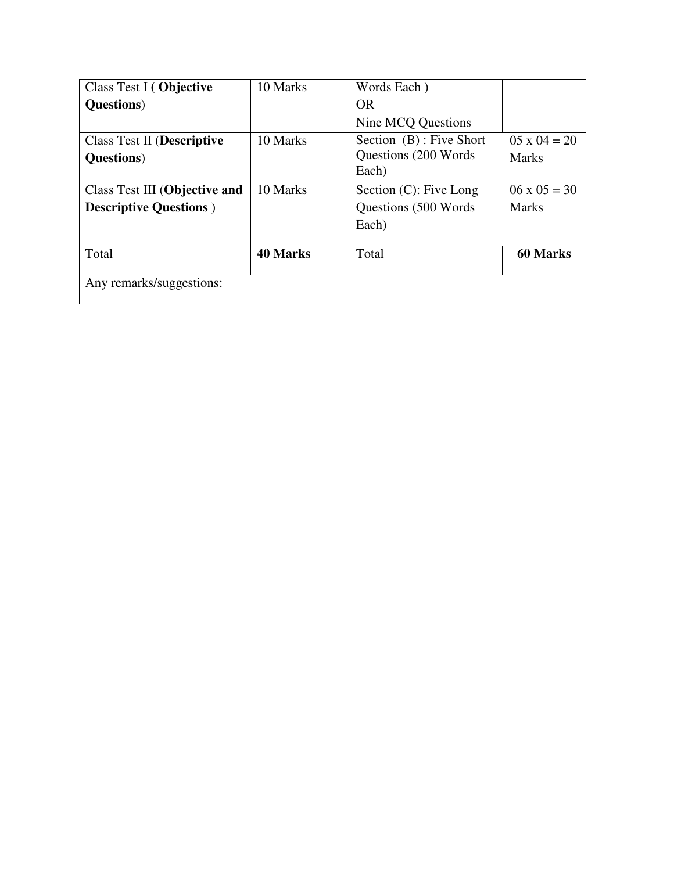| Class Test I (Objective           | 10 Marks        | Words Each)               |                       |
|-----------------------------------|-----------------|---------------------------|-----------------------|
| <b>Questions</b> )                |                 | <b>OR</b>                 |                       |
|                                   |                 | Nine MCQ Questions        |                       |
| <b>Class Test II (Descriptive</b> | 10 Marks        | Section (B): Five Short   | $0.5 \times 0.4 = 20$ |
| <b>Questions</b> )                |                 | Questions (200 Words)     | Marks                 |
|                                   |                 | Each)                     |                       |
| Class Test III (Objective and     | 10 Marks        | Section $(C)$ : Five Long | $06 \times 05 = 30$   |
| <b>Descriptive Questions</b> )    |                 | Questions (500 Words)     | <b>Marks</b>          |
|                                   |                 | Each)                     |                       |
|                                   |                 |                           |                       |
| Total                             | <b>40 Marks</b> | Total                     | <b>60 Marks</b>       |
|                                   |                 |                           |                       |
| Any remarks/suggestions:          |                 |                           |                       |
|                                   |                 |                           |                       |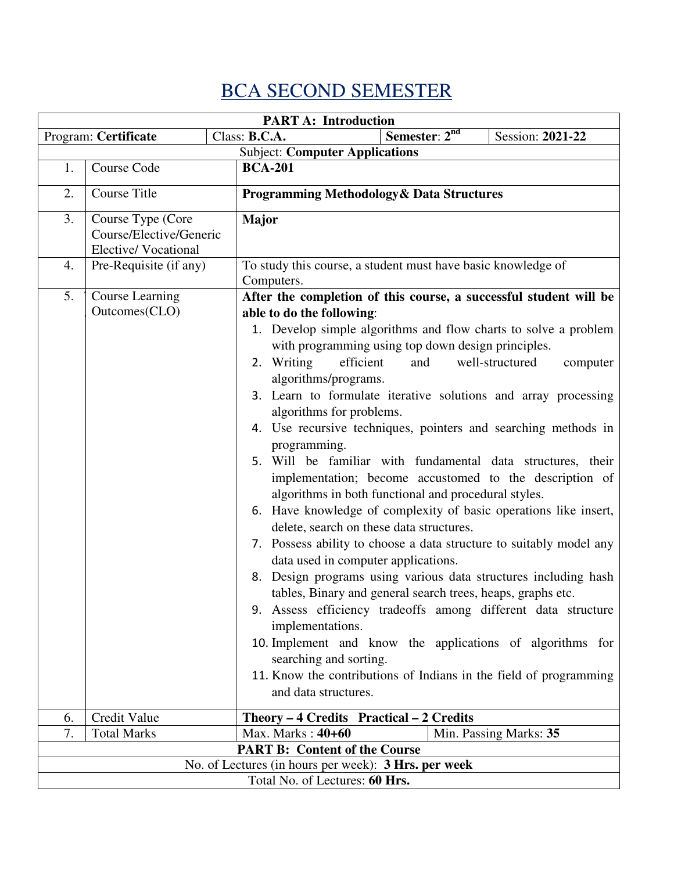## BCA SECOND SEMESTER

|                                                      | <b>PART A: Introduction</b>                                                                                                                                                                                                                                                                                                                                                                                                                                                                                                                                                                                                                                                                                                                                                                                                                                                                                                                                                                                                                                                                                                                                                                                                                                                                   |                                                                |  |  |  |  |
|------------------------------------------------------|-----------------------------------------------------------------------------------------------------------------------------------------------------------------------------------------------------------------------------------------------------------------------------------------------------------------------------------------------------------------------------------------------------------------------------------------------------------------------------------------------------------------------------------------------------------------------------------------------------------------------------------------------------------------------------------------------------------------------------------------------------------------------------------------------------------------------------------------------------------------------------------------------------------------------------------------------------------------------------------------------------------------------------------------------------------------------------------------------------------------------------------------------------------------------------------------------------------------------------------------------------------------------------------------------|----------------------------------------------------------------|--|--|--|--|
|                                                      | Program: Certificate                                                                                                                                                                                                                                                                                                                                                                                                                                                                                                                                                                                                                                                                                                                                                                                                                                                                                                                                                                                                                                                                                                                                                                                                                                                                          | Semester: 2 <sup>nd</sup><br>Class: B.C.A.<br>Session: 2021-22 |  |  |  |  |
|                                                      | <b>Subject: Computer Applications</b>                                                                                                                                                                                                                                                                                                                                                                                                                                                                                                                                                                                                                                                                                                                                                                                                                                                                                                                                                                                                                                                                                                                                                                                                                                                         |                                                                |  |  |  |  |
| 1.                                                   | Course Code                                                                                                                                                                                                                                                                                                                                                                                                                                                                                                                                                                                                                                                                                                                                                                                                                                                                                                                                                                                                                                                                                                                                                                                                                                                                                   | <b>BCA-201</b>                                                 |  |  |  |  |
| 2.                                                   | Course Title<br><b>Programming Methodology &amp; Data Structures</b>                                                                                                                                                                                                                                                                                                                                                                                                                                                                                                                                                                                                                                                                                                                                                                                                                                                                                                                                                                                                                                                                                                                                                                                                                          |                                                                |  |  |  |  |
| 3.                                                   | Course Type (Core<br>Course/Elective/Generic<br>Elective/Vocational                                                                                                                                                                                                                                                                                                                                                                                                                                                                                                                                                                                                                                                                                                                                                                                                                                                                                                                                                                                                                                                                                                                                                                                                                           | <b>Major</b>                                                   |  |  |  |  |
| 4.                                                   | Pre-Requisite (if any)                                                                                                                                                                                                                                                                                                                                                                                                                                                                                                                                                                                                                                                                                                                                                                                                                                                                                                                                                                                                                                                                                                                                                                                                                                                                        | To study this course, a student must have basic knowledge of   |  |  |  |  |
| 5.                                                   | Computers.<br><b>Course Learning</b><br>After the completion of this course, a successful student will be<br>Outcomes(CLO)<br>able to do the following:<br>1. Develop simple algorithms and flow charts to solve a problem<br>with programming using top down design principles.<br>2. Writing<br>efficient<br>and<br>well-structured<br>computer<br>algorithms/programs.<br>3. Learn to formulate iterative solutions and array processing<br>algorithms for problems.<br>4. Use recursive techniques, pointers and searching methods in<br>programming.<br>5. Will be familiar with fundamental data structures, their<br>implementation; become accustomed to the description of<br>algorithms in both functional and procedural styles.<br>Have knowledge of complexity of basic operations like insert,<br>6.<br>delete, search on these data structures.<br>7. Possess ability to choose a data structure to suitably model any<br>data used in computer applications.<br>Design programs using various data structures including hash<br>8.<br>tables, Binary and general search trees, heaps, graphs etc.<br>9. Assess efficiency tradeoffs among different data structure<br>implementations.<br>10. Implement and know the applications of algorithms for<br>searching and sorting. |                                                                |  |  |  |  |
| 6.                                                   | Credit Value                                                                                                                                                                                                                                                                                                                                                                                                                                                                                                                                                                                                                                                                                                                                                                                                                                                                                                                                                                                                                                                                                                                                                                                                                                                                                  | Theory - 4 Credits Practical - 2 Credits                       |  |  |  |  |
| 7.                                                   | <b>Total Marks</b>                                                                                                                                                                                                                                                                                                                                                                                                                                                                                                                                                                                                                                                                                                                                                                                                                                                                                                                                                                                                                                                                                                                                                                                                                                                                            | Max. Marks: 40+60<br>Min. Passing Marks: 35                    |  |  |  |  |
|                                                      |                                                                                                                                                                                                                                                                                                                                                                                                                                                                                                                                                                                                                                                                                                                                                                                                                                                                                                                                                                                                                                                                                                                                                                                                                                                                                               | <b>PART B: Content of the Course</b>                           |  |  |  |  |
| No. of Lectures (in hours per week): 3 Hrs. per week |                                                                                                                                                                                                                                                                                                                                                                                                                                                                                                                                                                                                                                                                                                                                                                                                                                                                                                                                                                                                                                                                                                                                                                                                                                                                                               |                                                                |  |  |  |  |
| Total No. of Lectures: 60 Hrs.                       |                                                                                                                                                                                                                                                                                                                                                                                                                                                                                                                                                                                                                                                                                                                                                                                                                                                                                                                                                                                                                                                                                                                                                                                                                                                                                               |                                                                |  |  |  |  |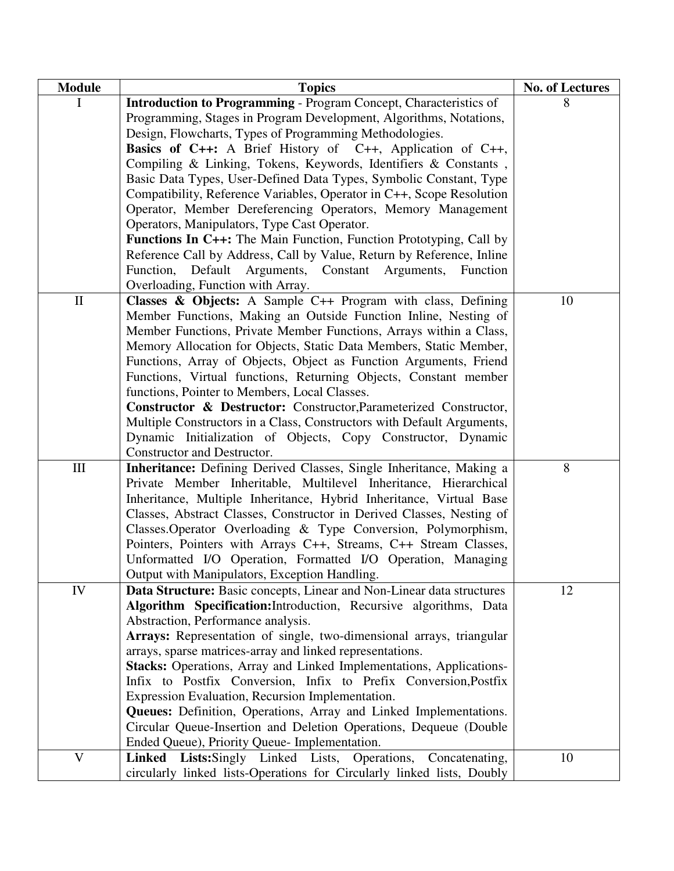| <b>Module</b> | <b>Topics</b>                                                             | No. of Lectures |
|---------------|---------------------------------------------------------------------------|-----------------|
| $\mathbf{I}$  | <b>Introduction to Programming - Program Concept, Characteristics of</b>  |                 |
|               | Programming, Stages in Program Development, Algorithms, Notations,        |                 |
|               | Design, Flowcharts, Types of Programming Methodologies.                   |                 |
|               | <b>Basics of C++:</b> A Brief History of C++, Application of C++,         |                 |
|               | Compiling & Linking, Tokens, Keywords, Identifiers & Constants,           |                 |
|               | Basic Data Types, User-Defined Data Types, Symbolic Constant, Type        |                 |
|               | Compatibility, Reference Variables, Operator in C++, Scope Resolution     |                 |
|               | Operator, Member Dereferencing Operators, Memory Management               |                 |
|               | Operators, Manipulators, Type Cast Operator.                              |                 |
|               | <b>Functions In C++:</b> The Main Function, Function Prototyping, Call by |                 |
|               | Reference Call by Address, Call by Value, Return by Reference, Inline     |                 |
|               | Function, Default Arguments, Constant Arguments, Function                 |                 |
|               | Overloading, Function with Array.                                         |                 |
| $\rm II$      | Classes & Objects: A Sample C++ Program with class, Defining              | 10              |
|               | Member Functions, Making an Outside Function Inline, Nesting of           |                 |
|               | Member Functions, Private Member Functions, Arrays within a Class,        |                 |
|               | Memory Allocation for Objects, Static Data Members, Static Member,        |                 |
|               | Functions, Array of Objects, Object as Function Arguments, Friend         |                 |
|               | Functions, Virtual functions, Returning Objects, Constant member          |                 |
|               | functions, Pointer to Members, Local Classes.                             |                 |
|               | Constructor & Destructor: Constructor, Parameterized Constructor,         |                 |
|               | Multiple Constructors in a Class, Constructors with Default Arguments,    |                 |
|               | Dynamic Initialization of Objects, Copy Constructor, Dynamic              |                 |
|               | Constructor and Destructor.                                               |                 |
| $\rm III$     | Inheritance: Defining Derived Classes, Single Inheritance, Making a       | $8\,$           |
|               | Private Member Inheritable, Multilevel Inheritance, Hierarchical          |                 |
|               | Inheritance, Multiple Inheritance, Hybrid Inheritance, Virtual Base       |                 |
|               | Classes, Abstract Classes, Constructor in Derived Classes, Nesting of     |                 |
|               | Classes. Operator Overloading & Type Conversion, Polymorphism,            |                 |
|               | Pointers, Pointers with Arrays C++, Streams, C++ Stream Classes,          |                 |
|               | Unformatted I/O Operation, Formatted I/O Operation, Managing              |                 |
|               | Output with Manipulators, Exception Handling.                             |                 |
| ${\rm IV}$    | Data Structure: Basic concepts, Linear and Non-Linear data structures     | 12              |
|               | Algorithm Specification: Introduction, Recursive algorithms, Data         |                 |
|               | Abstraction, Performance analysis.                                        |                 |
|               | Arrays: Representation of single, two-dimensional arrays, triangular      |                 |
|               | arrays, sparse matrices-array and linked representations.                 |                 |
|               | Stacks: Operations, Array and Linked Implementations, Applications-       |                 |
|               | Infix to Postfix Conversion, Infix to Prefix Conversion, Postfix          |                 |
|               | Expression Evaluation, Recursion Implementation.                          |                 |
|               | Queues: Definition, Operations, Array and Linked Implementations.         |                 |
|               | Circular Queue-Insertion and Deletion Operations, Dequeue (Double         |                 |
|               | Ended Queue), Priority Queue- Implementation.                             |                 |
| $\mathbf{V}$  | Linked Lists: Singly Linked Lists, Operations,<br>Concatenating,          | 10              |
|               | circularly linked lists-Operations for Circularly linked lists, Doubly    |                 |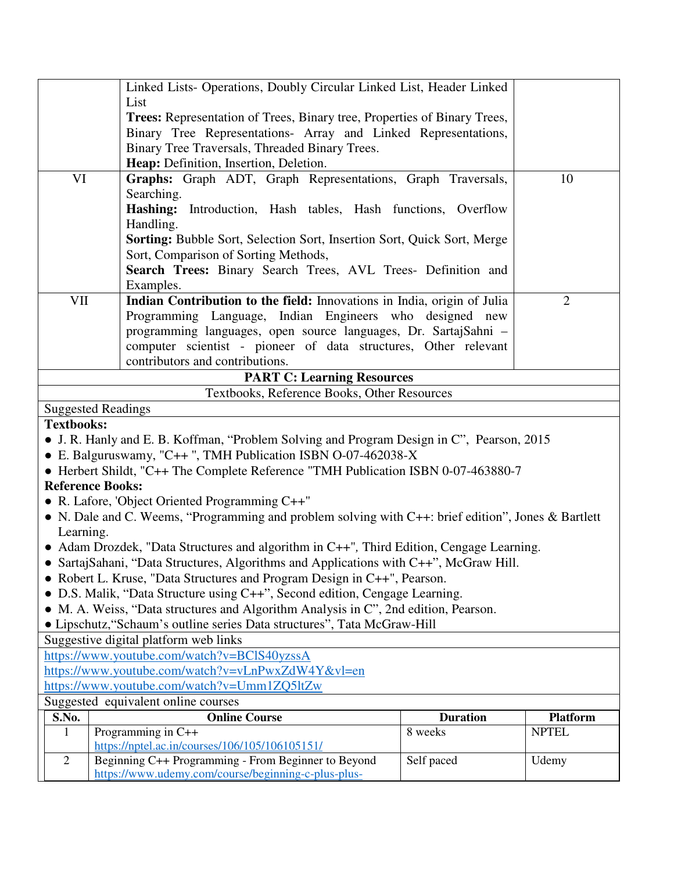|                                             | Linked Lists- Operations, Doubly Circular Linked List, Header Linked<br>List                                                                                  |                 |                 |  |  |  |
|---------------------------------------------|---------------------------------------------------------------------------------------------------------------------------------------------------------------|-----------------|-----------------|--|--|--|
|                                             | Trees: Representation of Trees, Binary tree, Properties of Binary Trees,                                                                                      |                 |                 |  |  |  |
|                                             | Binary Tree Representations- Array and Linked Representations,                                                                                                |                 |                 |  |  |  |
|                                             | Binary Tree Traversals, Threaded Binary Trees.                                                                                                                |                 |                 |  |  |  |
|                                             | Heap: Definition, Insertion, Deletion.                                                                                                                        |                 |                 |  |  |  |
| VI                                          | Graphs: Graph ADT, Graph Representations, Graph Traversals,<br>Searching.                                                                                     |                 | 10              |  |  |  |
|                                             | Hashing: Introduction, Hash tables, Hash functions, Overflow                                                                                                  |                 |                 |  |  |  |
|                                             | Handling.                                                                                                                                                     |                 |                 |  |  |  |
|                                             | <b>Sorting:</b> Bubble Sort, Selection Sort, Insertion Sort, Quick Sort, Merge                                                                                |                 |                 |  |  |  |
|                                             | Sort, Comparison of Sorting Methods,                                                                                                                          |                 |                 |  |  |  |
|                                             | Search Trees: Binary Search Trees, AVL Trees- Definition and                                                                                                  |                 |                 |  |  |  |
| VII                                         | Examples.<br>Indian Contribution to the field: Innovations in India, origin of Julia                                                                          |                 | $\overline{2}$  |  |  |  |
|                                             | Programming Language, Indian Engineers who designed new                                                                                                       |                 |                 |  |  |  |
|                                             | programming languages, open source languages, Dr. SartajSahni -                                                                                               |                 |                 |  |  |  |
|                                             | computer scientist - pioneer of data structures, Other relevant                                                                                               |                 |                 |  |  |  |
|                                             | contributors and contributions.                                                                                                                               |                 |                 |  |  |  |
|                                             | <b>PART C: Learning Resources</b>                                                                                                                             |                 |                 |  |  |  |
|                                             | Textbooks, Reference Books, Other Resources                                                                                                                   |                 |                 |  |  |  |
|                                             | <b>Suggested Readings</b>                                                                                                                                     |                 |                 |  |  |  |
| <b>Textbooks:</b>                           |                                                                                                                                                               |                 |                 |  |  |  |
|                                             | • J. R. Hanly and E. B. Koffman, "Problem Solving and Program Design in C", Pearson, 2015<br>• E. Balguruswamy, "C++", TMH Publication ISBN O-07-462038-X     |                 |                 |  |  |  |
|                                             | • Herbert Shildt, "C++ The Complete Reference "TMH Publication ISBN 0-07-463880-7                                                                             |                 |                 |  |  |  |
|                                             | <b>Reference Books:</b>                                                                                                                                       |                 |                 |  |  |  |
|                                             | • R. Lafore, 'Object Oriented Programming $C++$ "                                                                                                             |                 |                 |  |  |  |
|                                             | • N. Dale and C. Weems, "Programming and problem solving with C++: brief edition", Jones & Bartlett                                                           |                 |                 |  |  |  |
| Learning.                                   |                                                                                                                                                               |                 |                 |  |  |  |
|                                             | • Adam Drozdek, "Data Structures and algorithm in C++", Third Edition, Cengage Learning.                                                                      |                 |                 |  |  |  |
|                                             | • SartajSahani, "Data Structures, Algorithms and Applications with C++", McGraw Hill.                                                                         |                 |                 |  |  |  |
|                                             | • Robert L. Kruse, "Data Structures and Program Design in C++", Pearson.                                                                                      |                 |                 |  |  |  |
|                                             | D.S. Malik, "Data Structure using C++", Second edition, Cengage Learning.                                                                                     |                 |                 |  |  |  |
|                                             | M. A. Weiss, "Data structures and Algorithm Analysis in C", 2nd edition, Pearson.<br>• Lipschutz, "Schaum's outline series Data structures", Tata McGraw-Hill |                 |                 |  |  |  |
|                                             | Suggestive digital platform web links                                                                                                                         |                 |                 |  |  |  |
| https://www.youtube.com/watch?v=BClS40yzssA |                                                                                                                                                               |                 |                 |  |  |  |
|                                             | https://www.youtube.com/watch?v=vLnPwxZdW4Y&vl=en                                                                                                             |                 |                 |  |  |  |
|                                             | https://www.youtube.com/watch?v=Umm1ZQ5ltZw                                                                                                                   |                 |                 |  |  |  |
| Suggested equivalent online courses         |                                                                                                                                                               |                 |                 |  |  |  |
| S.No.                                       | <b>Online Course</b>                                                                                                                                          | <b>Duration</b> | <b>Platform</b> |  |  |  |
| 1                                           | Programming in C++<br>https://nptel.ac.in/courses/106/105/106105151/                                                                                          | 8 weeks         | <b>NPTEL</b>    |  |  |  |
| $\overline{2}$                              | Beginning C++ Programming - From Beginner to Beyond                                                                                                           | Self paced      | Udemy           |  |  |  |
|                                             | https://www.udemy.com/course/beginning-c-plus-plus-                                                                                                           |                 |                 |  |  |  |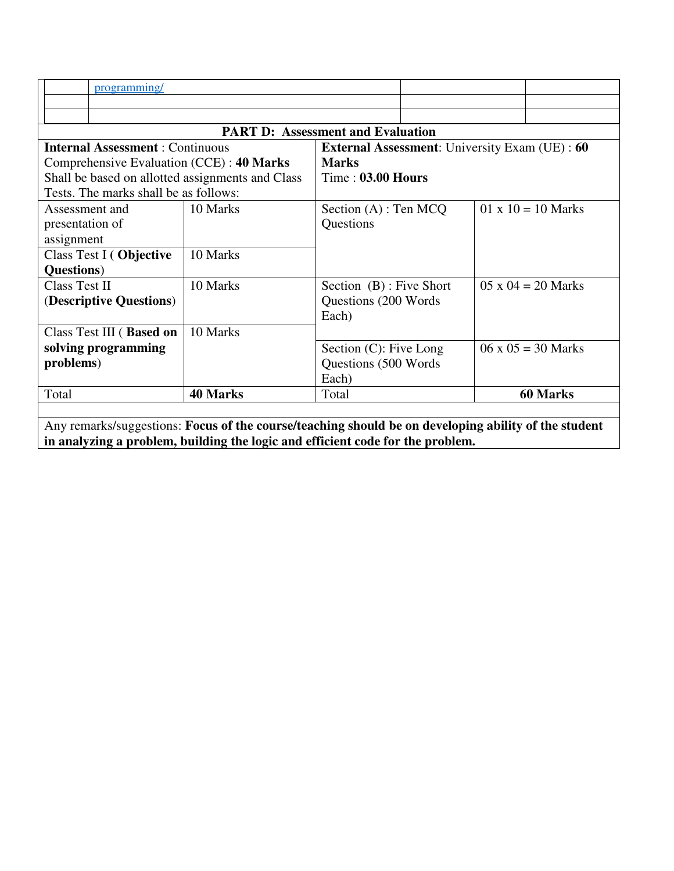| programming/                                                                                                                                                                           |                                          |                                                          |                          |  |                           |  |
|----------------------------------------------------------------------------------------------------------------------------------------------------------------------------------------|------------------------------------------|----------------------------------------------------------|--------------------------|--|---------------------------|--|
|                                                                                                                                                                                        |                                          |                                                          |                          |  |                           |  |
|                                                                                                                                                                                        | <b>PART D: Assessment and Evaluation</b> |                                                          |                          |  |                           |  |
| <b>Internal Assessment: Continuous</b><br><b>External Assessment:</b> University Exam (UE): 60                                                                                         |                                          |                                                          |                          |  |                           |  |
| Comprehensive Evaluation (CCE) : 40 Marks                                                                                                                                              |                                          | <b>Marks</b>                                             |                          |  |                           |  |
| Shall be based on allotted assignments and Class<br>Tests. The marks shall be as follows:                                                                                              |                                          |                                                          | <b>Time: 03.00 Hours</b> |  |                           |  |
| Assessment and<br>presentation of<br>assignment                                                                                                                                        | 10 Marks                                 | Section $(A)$ : Ten MCQ<br>Questions                     |                          |  | $01 \times 10 = 10$ Marks |  |
| Class Test I (Objective                                                                                                                                                                | 10 Marks                                 |                                                          |                          |  |                           |  |
| Questions)                                                                                                                                                                             |                                          |                                                          |                          |  |                           |  |
| Class Test II                                                                                                                                                                          | 10 Marks                                 | Section (B) : Five Short                                 |                          |  | $05 \times 04 = 20$ Marks |  |
| (Descriptive Questions)                                                                                                                                                                |                                          | Questions (200 Words)<br>Each)                           |                          |  |                           |  |
| Class Test III (Based on                                                                                                                                                               | 10 Marks                                 |                                                          |                          |  |                           |  |
| solving programming<br>problems)                                                                                                                                                       |                                          | Section (C): Five Long<br>Questions (500 Words)<br>Each) |                          |  | $06 \times 05 = 30$ Marks |  |
| Total                                                                                                                                                                                  | <b>40 Marks</b>                          | Total                                                    |                          |  | <b>60 Marks</b>           |  |
| Any remarks/suggestions: Focus of the course/teaching should be on developing ability of the student<br>in analyzing a problem, building the logic and efficient code for the problem. |                                          |                                                          |                          |  |                           |  |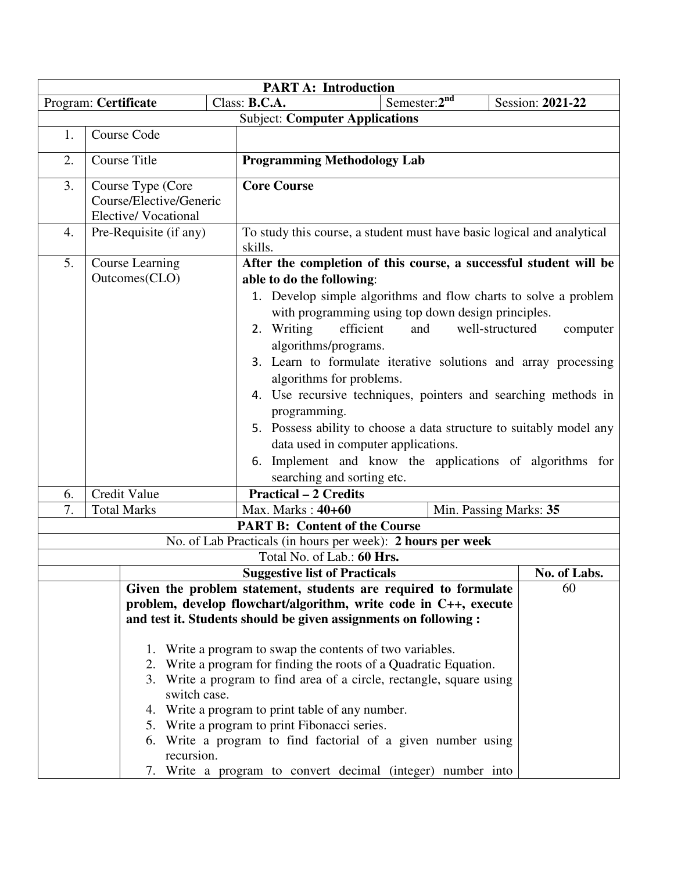| <b>PART A: Introduction</b>                                                     |                                                                            |                                                                            |                                                                                   |              |  |  |  |  |
|---------------------------------------------------------------------------------|----------------------------------------------------------------------------|----------------------------------------------------------------------------|-----------------------------------------------------------------------------------|--------------|--|--|--|--|
| Semester: $2^{nd}$<br>Class: B.C.A.<br>Session: 2021-22<br>Program: Certificate |                                                                            |                                                                            |                                                                                   |              |  |  |  |  |
|                                                                                 | <b>Subject: Computer Applications</b>                                      |                                                                            |                                                                                   |              |  |  |  |  |
| 1.                                                                              |                                                                            | Course Code                                                                |                                                                                   |              |  |  |  |  |
| 2.                                                                              |                                                                            | <b>Course Title</b>                                                        | <b>Programming Methodology Lab</b>                                                |              |  |  |  |  |
| 3.                                                                              |                                                                            | Course Type (Core<br>Course/Elective/Generic<br><b>Elective/Vocational</b> | <b>Core Course</b>                                                                |              |  |  |  |  |
| 4.                                                                              |                                                                            | Pre-Requisite (if any)                                                     | To study this course, a student must have basic logical and analytical<br>skills. |              |  |  |  |  |
| 5.                                                                              |                                                                            | <b>Course Learning</b>                                                     | After the completion of this course, a successful student will be                 |              |  |  |  |  |
|                                                                                 |                                                                            | Outcomes(CLO)                                                              | able to do the following:                                                         |              |  |  |  |  |
|                                                                                 |                                                                            |                                                                            | 1. Develop simple algorithms and flow charts to solve a problem                   |              |  |  |  |  |
|                                                                                 |                                                                            |                                                                            | with programming using top down design principles.                                |              |  |  |  |  |
|                                                                                 |                                                                            |                                                                            | 2. Writing<br>efficient<br>and<br>well-structured                                 | computer     |  |  |  |  |
|                                                                                 |                                                                            |                                                                            | algorithms/programs.                                                              |              |  |  |  |  |
|                                                                                 |                                                                            |                                                                            | 3. Learn to formulate iterative solutions and array processing                    |              |  |  |  |  |
|                                                                                 |                                                                            |                                                                            | algorithms for problems.                                                          |              |  |  |  |  |
|                                                                                 |                                                                            |                                                                            | 4. Use recursive techniques, pointers and searching methods in                    |              |  |  |  |  |
|                                                                                 |                                                                            |                                                                            | programming.                                                                      |              |  |  |  |  |
|                                                                                 |                                                                            |                                                                            | 5. Possess ability to choose a data structure to suitably model any               |              |  |  |  |  |
|                                                                                 |                                                                            |                                                                            | data used in computer applications.                                               |              |  |  |  |  |
|                                                                                 |                                                                            |                                                                            | 6. Implement and know the applications of algorithms for                          |              |  |  |  |  |
|                                                                                 |                                                                            |                                                                            | searching and sorting etc.                                                        |              |  |  |  |  |
| 6.                                                                              |                                                                            | Credit Value                                                               | <b>Practical – 2 Credits</b>                                                      |              |  |  |  |  |
| 7.                                                                              |                                                                            | <b>Total Marks</b>                                                         | Max. Marks: 40+60<br>Min. Passing Marks: 35                                       |              |  |  |  |  |
|                                                                                 |                                                                            |                                                                            | <b>PART B: Content of the Course</b>                                              |              |  |  |  |  |
|                                                                                 |                                                                            |                                                                            | No. of Lab Practicals (in hours per week): 2 hours per week                       |              |  |  |  |  |
|                                                                                 |                                                                            |                                                                            | Total No. of Lab.: 60 Hrs.                                                        |              |  |  |  |  |
|                                                                                 |                                                                            |                                                                            | <b>Suggestive list of Practicals</b>                                              | No. of Labs. |  |  |  |  |
|                                                                                 |                                                                            |                                                                            | Given the problem statement, students are required to formulate                   | 60           |  |  |  |  |
|                                                                                 |                                                                            |                                                                            | problem, develop flowchart/algorithm, write code in C++, execute                  |              |  |  |  |  |
| and test it. Students should be given assignments on following :                |                                                                            |                                                                            |                                                                                   |              |  |  |  |  |
| 1. Write a program to swap the contents of two variables.                       |                                                                            |                                                                            |                                                                                   |              |  |  |  |  |
|                                                                                 |                                                                            |                                                                            | 2. Write a program for finding the roots of a Quadratic Equation.                 |              |  |  |  |  |
| 3. Write a program to find area of a circle, rectangle, square using            |                                                                            |                                                                            |                                                                                   |              |  |  |  |  |
| switch case.                                                                    |                                                                            |                                                                            |                                                                                   |              |  |  |  |  |
| 4. Write a program to print table of any number.                                |                                                                            |                                                                            |                                                                                   |              |  |  |  |  |
|                                                                                 |                                                                            |                                                                            | 5. Write a program to print Fibonacci series.                                     |              |  |  |  |  |
|                                                                                 | 6. Write a program to find factorial of a given number using<br>recursion. |                                                                            |                                                                                   |              |  |  |  |  |
|                                                                                 | 7. Write a program to convert decimal (integer) number into                |                                                                            |                                                                                   |              |  |  |  |  |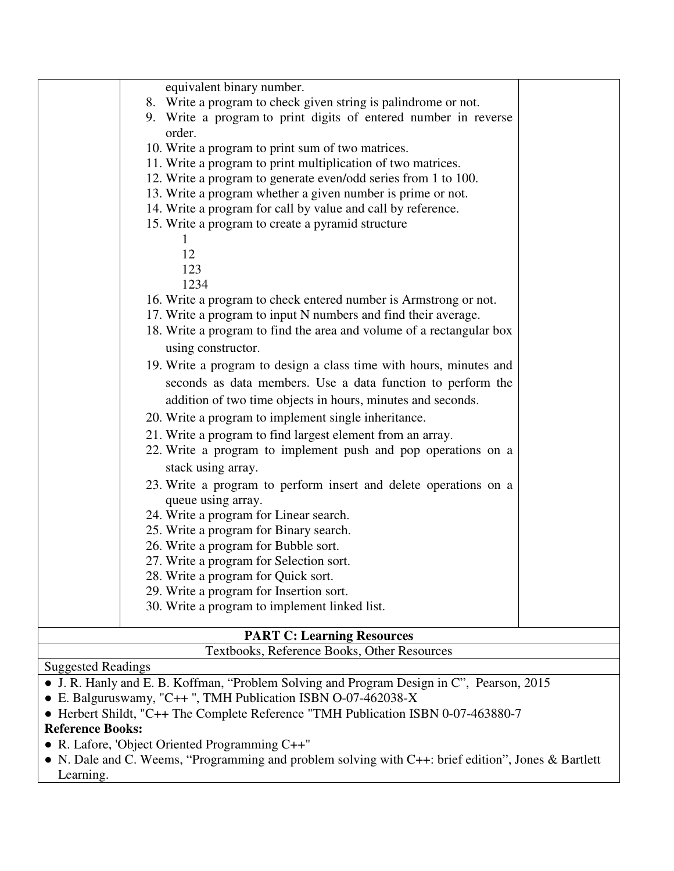| <b>PART C: Learning Resources</b> |                                                                                                                               |  |  |  |  |
|-----------------------------------|-------------------------------------------------------------------------------------------------------------------------------|--|--|--|--|
|                                   | 30. Write a program to implement linked list.                                                                                 |  |  |  |  |
|                                   | 29. Write a program for Insertion sort.                                                                                       |  |  |  |  |
|                                   | 28. Write a program for Quick sort.                                                                                           |  |  |  |  |
|                                   | 27. Write a program for Selection sort.                                                                                       |  |  |  |  |
|                                   | 26. Write a program for Bubble sort.                                                                                          |  |  |  |  |
|                                   | 25. Write a program for Binary search.                                                                                        |  |  |  |  |
|                                   | 24. Write a program for Linear search.                                                                                        |  |  |  |  |
|                                   | queue using array.                                                                                                            |  |  |  |  |
|                                   | 23. Write a program to perform insert and delete operations on a                                                              |  |  |  |  |
|                                   | stack using array.                                                                                                            |  |  |  |  |
|                                   | 22. Write a program to implement push and pop operations on a                                                                 |  |  |  |  |
|                                   | 21. Write a program to find largest element from an array.                                                                    |  |  |  |  |
|                                   | 20. Write a program to implement single inheritance.                                                                          |  |  |  |  |
|                                   | addition of two time objects in hours, minutes and seconds.                                                                   |  |  |  |  |
|                                   | seconds as data members. Use a data function to perform the                                                                   |  |  |  |  |
|                                   | 19. Write a program to design a class time with hours, minutes and                                                            |  |  |  |  |
|                                   | using constructor.                                                                                                            |  |  |  |  |
|                                   | 18. Write a program to find the area and volume of a rectangular box                                                          |  |  |  |  |
|                                   | 17. Write a program to input N numbers and find their average.                                                                |  |  |  |  |
|                                   | 16. Write a program to check entered number is Armstrong or not.                                                              |  |  |  |  |
|                                   | 1234                                                                                                                          |  |  |  |  |
|                                   | 123                                                                                                                           |  |  |  |  |
|                                   | 12                                                                                                                            |  |  |  |  |
|                                   | 1                                                                                                                             |  |  |  |  |
|                                   | 15. Write a program to create a pyramid structure                                                                             |  |  |  |  |
|                                   | 14. Write a program for call by value and call by reference.                                                                  |  |  |  |  |
|                                   | 12. Write a program to generate even/odd series from 1 to 100.<br>13. Write a program whether a given number is prime or not. |  |  |  |  |
|                                   | 11. Write a program to print multiplication of two matrices.                                                                  |  |  |  |  |
|                                   | 10. Write a program to print sum of two matrices.                                                                             |  |  |  |  |
|                                   | order.                                                                                                                        |  |  |  |  |
|                                   | 9. Write a program to print digits of entered number in reverse                                                               |  |  |  |  |
|                                   | 8. Write a program to check given string is palindrome or not.                                                                |  |  |  |  |
|                                   | equivalent binary number.                                                                                                     |  |  |  |  |

### Textbooks, Reference Books, Other Resources

## Suggested Readings

- J. R. Hanly and E. B. Koffman, "Problem Solving and Program Design in C", Pearson, 2015
- E. Balguruswamy, "C++ '', TMH Publication ISBN O-07-462038-X
- Herbert Shildt, "C++ The Complete Reference "TMH Publication ISBN 0-07-463880-7

### **Reference Books:**

- R. Lafore, 'Object Oriented Programming C++"
- N. Dale and C. Weems, "Programming and problem solving with C++: brief edition", Jones & Bartlett Learning.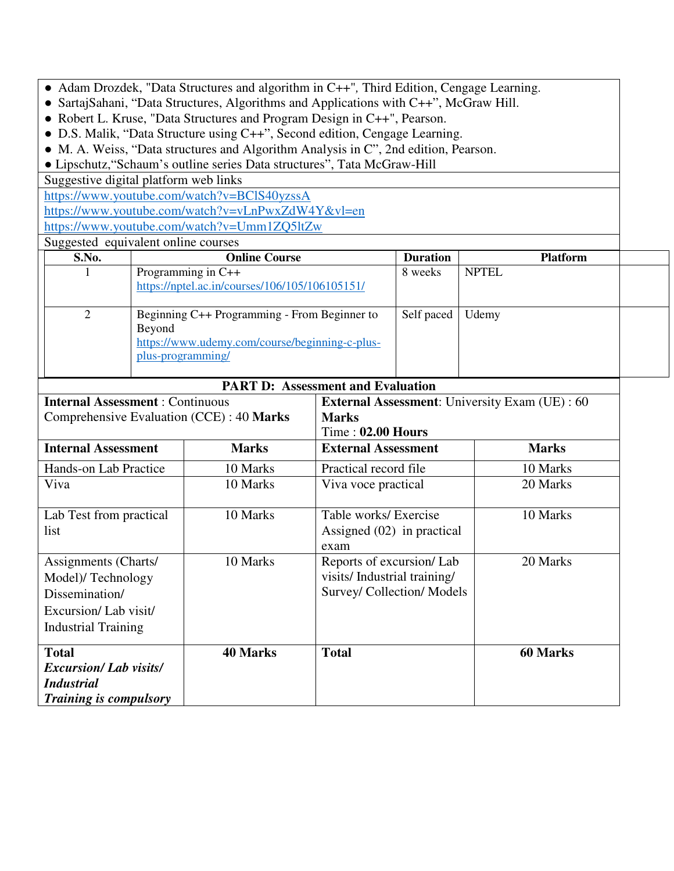- Adam Drozdek, "Data Structures and algorithm in C++"*,* Third Edition, Cengage Learning.
- SartajSahani, "Data Structures, Algorithms and Applications with C++", McGraw Hill.
- Robert L. Kruse, "Data Structures and Program Design in C++", Pearson.
- D.S. Malik, "Data Structure using C++", Second edition, Cengage Learning.
- M. A. Weiss, "Data structures and Algorithm Analysis in C", 2nd edition, Pearson.

● Lipschutz,"Schaum's outline series Data structures", Tata McGraw-Hill

Suggestive digital platform web links

https://www.youtube.com/watch?v=BClS40yzssA

https://www.youtube.com/watch?v=vLnPwxZdW4Y&vl=en https://www.youtube.com/watch?v=Umm1ZQ5ltZw

Suggested equivalent online courses

|          | suggested equivalent online courses            |                 |                 |  |
|----------|------------------------------------------------|-----------------|-----------------|--|
| S.No.    | <b>Online Course</b>                           | <b>Duration</b> | <b>Platform</b> |  |
|          | Programming in C++                             | 8 weeks         | <b>NPTEL</b>    |  |
|          | https://nptel.ac.in/courses/106/105/106105151/ |                 |                 |  |
|          |                                                |                 |                 |  |
| $\gamma$ | Beginning C++ Programming - From Beginner to   | Self paced      | Udemy           |  |
|          | Beyond                                         |                 |                 |  |
|          | https://www.udemy.com/course/beginning-c-plus- |                 |                 |  |
|          | plus-programming/                              |                 |                 |  |
|          |                                                |                 |                 |  |
|          | .<br>------                                    |                 |                 |  |

| <b>PART D: Assessment and Evaluation</b>                                                                          |                 |                                                                                       |                 |  |  |  |
|-------------------------------------------------------------------------------------------------------------------|-----------------|---------------------------------------------------------------------------------------|-----------------|--|--|--|
| <b>Internal Assessment: Continuous</b>                                                                            |                 | <b>External Assessment:</b> University Exam (UE) : 60                                 |                 |  |  |  |
| Comprehensive Evaluation (CCE) : 40 Marks                                                                         |                 | <b>Marks</b>                                                                          |                 |  |  |  |
|                                                                                                                   |                 | $Time: 02.00 Hours$                                                                   |                 |  |  |  |
| <b>Internal Assessment</b>                                                                                        | <b>Marks</b>    | <b>External Assessment</b>                                                            | <b>Marks</b>    |  |  |  |
| Hands-on Lab Practice                                                                                             | 10 Marks        | Practical record file                                                                 | 10 Marks        |  |  |  |
| Viva                                                                                                              | 10 Marks        | Viva voce practical                                                                   | 20 Marks        |  |  |  |
| Lab Test from practical<br>list                                                                                   | 10 Marks        | Table works/ Exercise<br>Assigned $(02)$ in practical<br>exam                         | 10 Marks        |  |  |  |
| Assignments (Charts/<br>Model)/Technology<br>Dissemination/<br>Excursion/Lab visit/<br><b>Industrial Training</b> | 10 Marks        | Reports of excursion/Lab<br>visits/Industrial training/<br>Survey/ Collection/ Models | 20 Marks        |  |  |  |
| <b>Total</b><br><b>Excursion/Lab visits/</b><br><b>Industrial</b><br><i>Training is compulsory</i>                | <b>40 Marks</b> | <b>Total</b>                                                                          | <b>60 Marks</b> |  |  |  |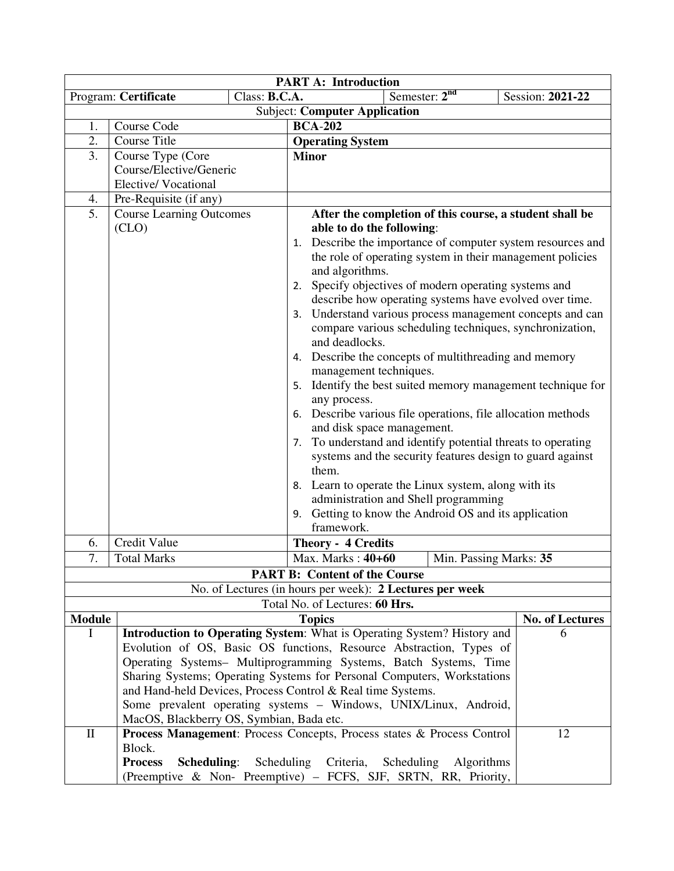| <b>PART A: Introduction</b>          |                                                                         |               |                                                                                            |                        |  |  |
|--------------------------------------|-------------------------------------------------------------------------|---------------|--------------------------------------------------------------------------------------------|------------------------|--|--|
|                                      | Program: Certificate                                                    | Class: B.C.A. | Semester: 2 <sup>nd</sup>                                                                  | Session: 2021-22       |  |  |
| <b>Subject: Computer Application</b> |                                                                         |               |                                                                                            |                        |  |  |
| 1.                                   | <b>BCA-202</b><br>Course Code                                           |               |                                                                                            |                        |  |  |
| 2.                                   | <b>Course Title</b>                                                     |               | <b>Operating System</b>                                                                    |                        |  |  |
| 3.                                   | Course Type (Core                                                       |               | <b>Minor</b>                                                                               |                        |  |  |
|                                      | Course/Elective/Generic                                                 |               |                                                                                            |                        |  |  |
|                                      | <b>Elective/Vocational</b>                                              |               |                                                                                            |                        |  |  |
| 4.                                   | Pre-Requisite (if any)                                                  |               |                                                                                            |                        |  |  |
| 5.                                   | <b>Course Learning Outcomes</b>                                         |               | After the completion of this course, a student shall be                                    |                        |  |  |
|                                      | (CLO)                                                                   |               | able to do the following:                                                                  |                        |  |  |
|                                      |                                                                         |               | 1. Describe the importance of computer system resources and                                |                        |  |  |
|                                      |                                                                         |               | the role of operating system in their management policies                                  |                        |  |  |
|                                      |                                                                         |               | and algorithms.                                                                            |                        |  |  |
|                                      |                                                                         |               | 2. Specify objectives of modern operating systems and                                      |                        |  |  |
|                                      |                                                                         |               | describe how operating systems have evolved over time.                                     |                        |  |  |
|                                      |                                                                         |               | 3. Understand various process management concepts and can                                  |                        |  |  |
|                                      |                                                                         |               | compare various scheduling techniques, synchronization,                                    |                        |  |  |
|                                      |                                                                         |               | and deadlocks.                                                                             |                        |  |  |
|                                      |                                                                         |               | 4. Describe the concepts of multithreading and memory                                      |                        |  |  |
|                                      |                                                                         |               | management techniques.                                                                     |                        |  |  |
|                                      |                                                                         |               | 5. Identify the best suited memory management technique for                                |                        |  |  |
|                                      |                                                                         |               | any process.                                                                               |                        |  |  |
|                                      |                                                                         |               | 6. Describe various file operations, file allocation methods<br>and disk space management. |                        |  |  |
|                                      |                                                                         |               | 7. To understand and identify potential threats to operating                               |                        |  |  |
|                                      |                                                                         |               | systems and the security features design to guard against                                  |                        |  |  |
|                                      |                                                                         |               | them.                                                                                      |                        |  |  |
|                                      |                                                                         |               | 8. Learn to operate the Linux system, along with its                                       |                        |  |  |
|                                      |                                                                         |               | administration and Shell programming                                                       |                        |  |  |
|                                      |                                                                         |               | 9. Getting to know the Android OS and its application                                      |                        |  |  |
|                                      |                                                                         |               | framework.                                                                                 |                        |  |  |
| 6.                                   | Credit Value                                                            |               | <b>Theory - 4 Credits</b>                                                                  |                        |  |  |
| 7.                                   | <b>Total Marks</b>                                                      |               | Max. Marks: 40+60<br>Min. Passing Marks: 35                                                |                        |  |  |
|                                      |                                                                         |               | <b>PART B: Content of the Course</b>                                                       |                        |  |  |
|                                      |                                                                         |               | No. of Lectures (in hours per week): 2 Lectures per week                                   |                        |  |  |
|                                      |                                                                         |               | Total No. of Lectures: 60 Hrs.                                                             |                        |  |  |
| <b>Module</b>                        |                                                                         |               | <b>Topics</b>                                                                              | <b>No. of Lectures</b> |  |  |
| Ι                                    |                                                                         |               | <b>Introduction to Operating System:</b> What is Operating System? History and             | 6                      |  |  |
|                                      |                                                                         |               | Evolution of OS, Basic OS functions, Resource Abstraction, Types of                        |                        |  |  |
|                                      | Operating Systems- Multiprogramming Systems, Batch Systems, Time        |               |                                                                                            |                        |  |  |
|                                      | Sharing Systems; Operating Systems for Personal Computers, Workstations |               |                                                                                            |                        |  |  |
|                                      | and Hand-held Devices, Process Control & Real time Systems.             |               |                                                                                            |                        |  |  |
|                                      |                                                                         |               | Some prevalent operating systems - Windows, UNIX/Linux, Android,                           |                        |  |  |
|                                      | MacOS, Blackberry OS, Symbian, Bada etc.                                |               |                                                                                            |                        |  |  |
| $\mathbf{I}$                         |                                                                         |               | Process Management: Process Concepts, Process states & Process Control                     | 12                     |  |  |
|                                      | Block.                                                                  |               |                                                                                            |                        |  |  |
|                                      | <b>Process</b><br>Scheduling:                                           | Scheduling    | Criteria,<br>Scheduling<br>Algorithms                                                      |                        |  |  |
|                                      | (Preemptive & Non- Preemptive) – FCFS, SJF, SRTN, RR, Priority,         |               |                                                                                            |                        |  |  |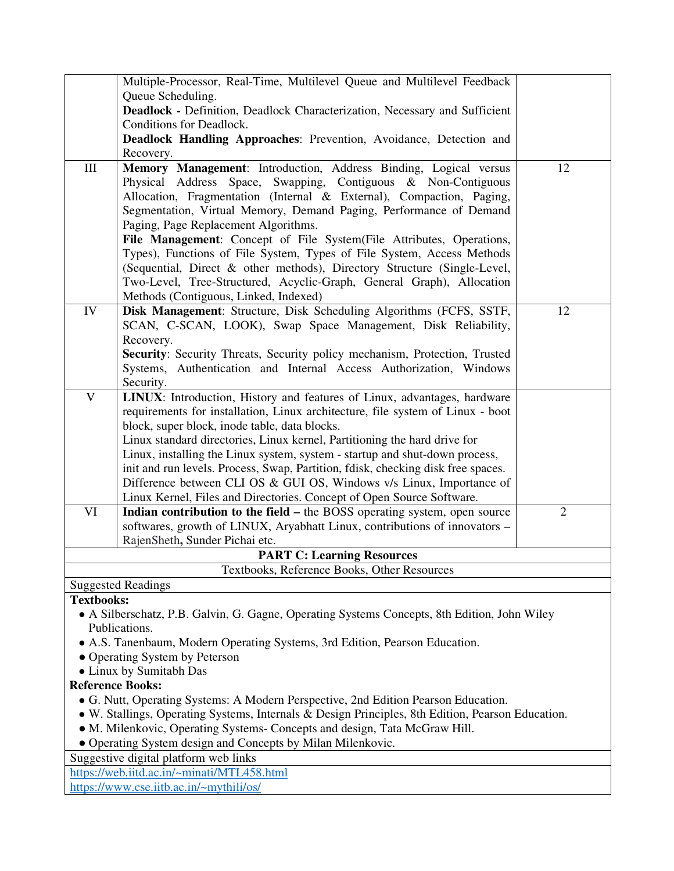|                                                                                                             | Multiple-Processor, Real-Time, Multilevel Queue and Multilevel Feedback                      |              |  |  |  |  |
|-------------------------------------------------------------------------------------------------------------|----------------------------------------------------------------------------------------------|--------------|--|--|--|--|
|                                                                                                             | Queue Scheduling.                                                                            |              |  |  |  |  |
|                                                                                                             | Deadlock - Definition, Deadlock Characterization, Necessary and Sufficient                   |              |  |  |  |  |
|                                                                                                             | Conditions for Deadlock.                                                                     |              |  |  |  |  |
|                                                                                                             | Deadlock Handling Approaches: Prevention, Avoidance, Detection and                           |              |  |  |  |  |
|                                                                                                             | Recovery.                                                                                    |              |  |  |  |  |
| $\rm III$                                                                                                   | Memory Management: Introduction, Address Binding, Logical versus                             | 12           |  |  |  |  |
|                                                                                                             | Physical Address Space, Swapping, Contiguous & Non-Contiguous                                |              |  |  |  |  |
|                                                                                                             | Allocation, Fragmentation (Internal & External), Compaction, Paging,                         |              |  |  |  |  |
|                                                                                                             | Segmentation, Virtual Memory, Demand Paging, Performance of Demand                           |              |  |  |  |  |
|                                                                                                             | Paging, Page Replacement Algorithms.                                                         |              |  |  |  |  |
|                                                                                                             | File Management: Concept of File System(File Attributes, Operations,                         |              |  |  |  |  |
|                                                                                                             | Types), Functions of File System, Types of File System, Access Methods                       |              |  |  |  |  |
|                                                                                                             | (Sequential, Direct & other methods), Directory Structure (Single-Level,                     |              |  |  |  |  |
|                                                                                                             | Two-Level, Tree-Structured, Acyclic-Graph, General Graph), Allocation                        |              |  |  |  |  |
|                                                                                                             | Methods (Contiguous, Linked, Indexed)                                                        |              |  |  |  |  |
| IV                                                                                                          | Disk Management: Structure, Disk Scheduling Algorithms (FCFS, SSTF,                          | 12           |  |  |  |  |
|                                                                                                             | SCAN, C-SCAN, LOOK), Swap Space Management, Disk Reliability,                                |              |  |  |  |  |
|                                                                                                             | Recovery.                                                                                    |              |  |  |  |  |
|                                                                                                             | Security: Security Threats, Security policy mechanism, Protection, Trusted                   |              |  |  |  |  |
|                                                                                                             | Systems, Authentication and Internal Access Authorization, Windows                           |              |  |  |  |  |
|                                                                                                             | Security.                                                                                    |              |  |  |  |  |
| $\mathbf{V}$                                                                                                | LINUX: Introduction, History and features of Linux, advantages, hardware                     |              |  |  |  |  |
|                                                                                                             | requirements for installation, Linux architecture, file system of Linux - boot               |              |  |  |  |  |
|                                                                                                             | block, super block, inode table, data blocks.                                                |              |  |  |  |  |
|                                                                                                             | Linux standard directories, Linux kernel, Partitioning the hard drive for                    |              |  |  |  |  |
|                                                                                                             | Linux, installing the Linux system, system - startup and shut-down process,                  |              |  |  |  |  |
|                                                                                                             | init and run levels. Process, Swap, Partition, fdisk, checking disk free spaces.             |              |  |  |  |  |
|                                                                                                             | Difference between CLI OS & GUI OS, Windows v/s Linux, Importance of                         |              |  |  |  |  |
|                                                                                                             | Linux Kernel, Files and Directories. Concept of Open Source Software.                        |              |  |  |  |  |
| VI                                                                                                          | Indian contribution to the field – the BOSS operating system, open source                    | $\mathbf{2}$ |  |  |  |  |
|                                                                                                             | softwares, growth of LINUX, Aryabhatt Linux, contributions of innovators -                   |              |  |  |  |  |
|                                                                                                             | RajenSheth, Sunder Pichai etc.                                                               |              |  |  |  |  |
|                                                                                                             | <b>PART C: Learning Resources</b>                                                            |              |  |  |  |  |
|                                                                                                             | Textbooks, Reference Books, Other Resources                                                  |              |  |  |  |  |
|                                                                                                             | <b>Suggested Readings</b>                                                                    |              |  |  |  |  |
|                                                                                                             | <b>Textbooks:</b>                                                                            |              |  |  |  |  |
|                                                                                                             | • A Silberschatz, P.B. Galvin, G. Gagne, Operating Systems Concepts, 8th Edition, John Wiley |              |  |  |  |  |
| Publications.                                                                                               |                                                                                              |              |  |  |  |  |
| • A.S. Tanenbaum, Modern Operating Systems, 3rd Edition, Pearson Education.<br>susting Creatang by Datarago |                                                                                              |              |  |  |  |  |

- Operating System by Peterson
- Linux by Sumitabh Das

### **Reference Books:**

- G. Nutt, Operating Systems: A Modern Perspective, 2nd Edition Pearson Education.
- W. Stallings, Operating Systems, Internals & Design Principles, 8th Edition, Pearson Education.
- M. Milenkovic, Operating Systems- Concepts and design, Tata McGraw Hill.
- Operating System design and Concepts by Milan Milenkovic.

Suggestive digital platform web links

https://web.iitd.ac.in/~minati/MTL458.html

https://www.cse.iitb.ac.in/~mythili/os/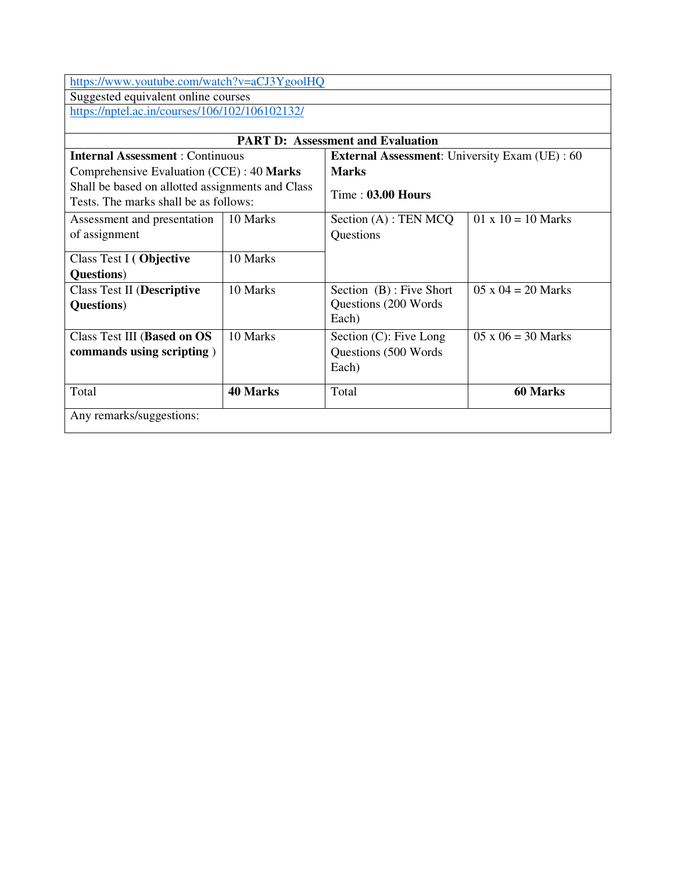https://www.youtube.com/watch?v=aCJ3YgoolHQ

Suggested equivalent online courses

https://nptel.ac.in/courses/106/102/106102132/

| <b>PART D:</b> Assessment and Evaluation         |                 |                                                       |                           |  |
|--------------------------------------------------|-----------------|-------------------------------------------------------|---------------------------|--|
| <b>Internal Assessment: Continuous</b>           |                 | <b>External Assessment:</b> University Exam (UE) : 60 |                           |  |
| Comprehensive Evaluation (CCE) : 40 Marks        |                 | <b>Marks</b>                                          |                           |  |
| Shall be based on allotted assignments and Class |                 |                                                       |                           |  |
| Tests. The marks shall be as follows:            |                 | $Time: 03.00$ Hours                                   |                           |  |
| Assessment and presentation                      | 10 Marks        | Section $(A)$ : TEN MCQ                               | $01 \times 10 = 10$ Marks |  |
| of assignment                                    |                 | Questions                                             |                           |  |
|                                                  |                 |                                                       |                           |  |
| Class Test I (Objective                          | 10 Marks        |                                                       |                           |  |
| <b>Questions</b> )                               |                 |                                                       |                           |  |
| Class Test II (Descriptive                       | 10 Marks        | Section (B): Five Short                               | $05 \times 04 = 20$ Marks |  |
| <b>Questions</b> )                               |                 | Questions (200 Words)                                 |                           |  |
|                                                  |                 | Each)                                                 |                           |  |
| Class Test III (Based on OS                      | 10 Marks        | Section $(C)$ : Five Long                             | $05 \times 06 = 30$ Marks |  |
| commands using scripting)                        |                 | Questions (500 Words)                                 |                           |  |
|                                                  |                 | Each)                                                 |                           |  |
| Total                                            | <b>40 Marks</b> | Total                                                 | 60 Marks                  |  |
| Any remarks/suggestions:                         |                 |                                                       |                           |  |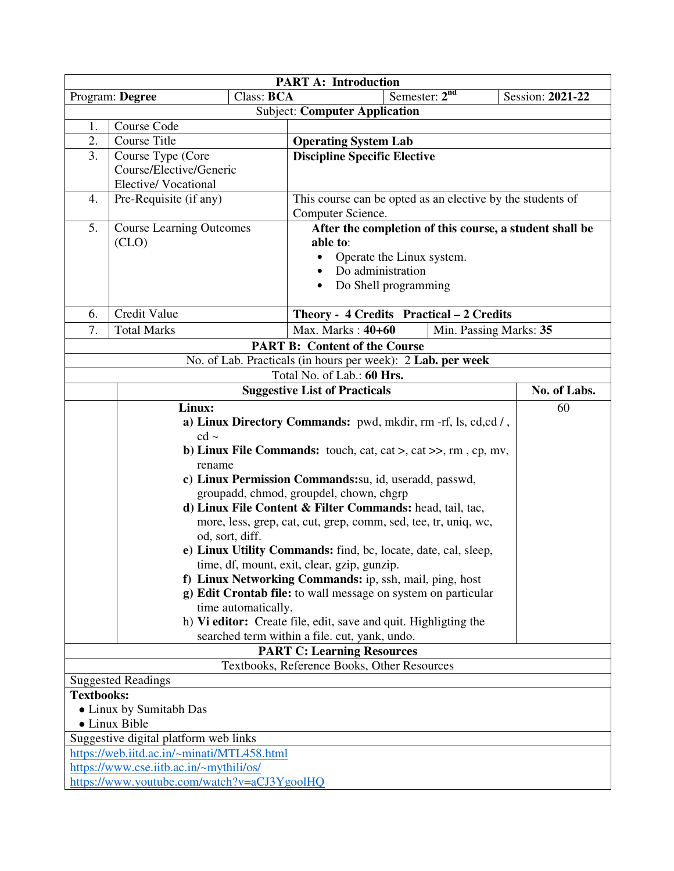| <b>PART A: Introduction</b>                |                                         |                     |                                                                                 |                        |  |  |  |
|--------------------------------------------|-----------------------------------------|---------------------|---------------------------------------------------------------------------------|------------------------|--|--|--|
|                                            | Program: Degree                         | Class: BCA          | Semester: $2nd$                                                                 | Session: 2021-22       |  |  |  |
|                                            | <b>Subject: Computer Application</b>    |                     |                                                                                 |                        |  |  |  |
| 1.                                         | Course Code                             |                     |                                                                                 |                        |  |  |  |
| 2.                                         | <b>Course Title</b>                     |                     | <b>Operating System Lab</b>                                                     |                        |  |  |  |
| 3.                                         | Course Type (Core                       |                     | <b>Discipline Specific Elective</b>                                             |                        |  |  |  |
|                                            | Course/Elective/Generic                 |                     |                                                                                 |                        |  |  |  |
|                                            | <b>Elective/Vocational</b>              |                     |                                                                                 |                        |  |  |  |
| 4.                                         | Pre-Requisite (if any)                  |                     | This course can be opted as an elective by the students of<br>Computer Science. |                        |  |  |  |
| 5.                                         | <b>Course Learning Outcomes</b>         |                     | After the completion of this course, a student shall be                         |                        |  |  |  |
|                                            | (CLO)                                   |                     | able to:                                                                        |                        |  |  |  |
|                                            |                                         |                     | Operate the Linux system.<br>$\bullet$                                          |                        |  |  |  |
|                                            |                                         |                     | Do administration                                                               |                        |  |  |  |
|                                            |                                         |                     | Do Shell programming                                                            |                        |  |  |  |
|                                            |                                         |                     |                                                                                 |                        |  |  |  |
| 6.                                         | Credit Value                            |                     | Theory - 4 Credits Practical - 2 Credits                                        |                        |  |  |  |
| 7.                                         | <b>Total Marks</b>                      |                     | Max. Marks: $40+60$                                                             | Min. Passing Marks: 35 |  |  |  |
|                                            |                                         |                     | <b>PART B: Content of the Course</b>                                            |                        |  |  |  |
|                                            |                                         |                     | No. of Lab. Practicals (in hours per week): 2 Lab. per week                     |                        |  |  |  |
|                                            |                                         |                     | Total No. of Lab.: 60 Hrs.                                                      |                        |  |  |  |
|                                            |                                         |                     | <b>Suggestive List of Practicals</b>                                            | No. of Labs.           |  |  |  |
|                                            | Linux:                                  |                     |                                                                                 | 60                     |  |  |  |
|                                            |                                         |                     | a) Linux Directory Commands: pwd, mkdir, rm -rf, ls, cd, cd /,                  |                        |  |  |  |
|                                            | $cd$ ~                                  |                     |                                                                                 |                        |  |  |  |
|                                            |                                         |                     | b) Linux File Commands: touch, cat, cat >, cat >>, rm, cp, mv,                  |                        |  |  |  |
|                                            | rename                                  |                     |                                                                                 |                        |  |  |  |
|                                            |                                         |                     | c) Linux Permission Commands: su, id, useradd, passwd,                          |                        |  |  |  |
|                                            |                                         |                     | groupadd, chmod, groupdel, chown, chgrp                                         |                        |  |  |  |
|                                            |                                         |                     | d) Linux File Content & Filter Commands: head, tail, tac,                       |                        |  |  |  |
|                                            |                                         | od, sort, diff.     | more, less, grep, cat, cut, grep, comm, sed, tee, tr, uniq, wc,                 |                        |  |  |  |
|                                            |                                         |                     | e) Linux Utility Commands: find, bc, locate, date, cal, sleep,                  |                        |  |  |  |
|                                            |                                         |                     | time, df, mount, exit, clear, gzip, gunzip.                                     |                        |  |  |  |
|                                            |                                         |                     | f) Linux Networking Commands: ip, ssh, mail, ping, host                         |                        |  |  |  |
|                                            |                                         |                     | g) Edit Crontab file: to wall message on system on particular                   |                        |  |  |  |
|                                            |                                         | time automatically. |                                                                                 |                        |  |  |  |
|                                            |                                         |                     | h) Vi editor: Create file, edit, save and quit. Highligting the                 |                        |  |  |  |
|                                            |                                         |                     | searched term within a file. cut, yank, undo.                                   |                        |  |  |  |
|                                            |                                         |                     | <b>PART C: Learning Resources</b>                                               |                        |  |  |  |
|                                            |                                         |                     | Textbooks, Reference Books, Other Resources                                     |                        |  |  |  |
|                                            | <b>Suggested Readings</b>               |                     |                                                                                 |                        |  |  |  |
| <b>Textbooks:</b>                          |                                         |                     |                                                                                 |                        |  |  |  |
| • Linux by Sumitabh Das                    |                                         |                     |                                                                                 |                        |  |  |  |
| • Linux Bible                              |                                         |                     |                                                                                 |                        |  |  |  |
| Suggestive digital platform web links      |                                         |                     |                                                                                 |                        |  |  |  |
| https://web.iitd.ac.in/~minati/MTL458.html |                                         |                     |                                                                                 |                        |  |  |  |
|                                            | https://www.cse.iitb.ac.in/~mythili/os/ |                     |                                                                                 |                        |  |  |  |
|                                            |                                         |                     | https://www.youtube.com/watch?v=aCJ3YgoolHQ                                     |                        |  |  |  |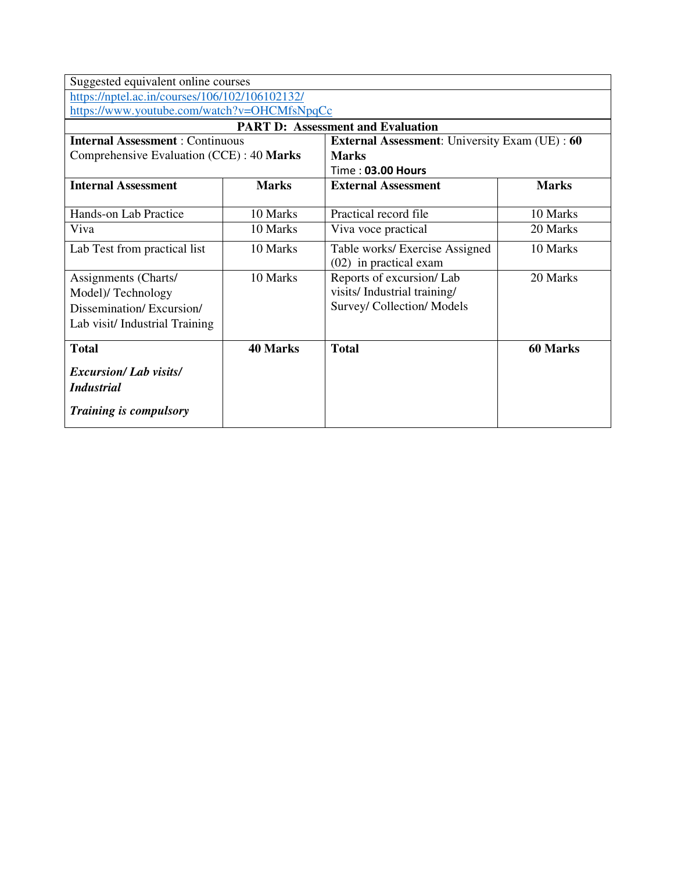|                              | <b>External Assessment:</b> University Exam (UE): 60                                                                                                                                            |                                                                                                                                                                |  |  |  |
|------------------------------|-------------------------------------------------------------------------------------------------------------------------------------------------------------------------------------------------|----------------------------------------------------------------------------------------------------------------------------------------------------------------|--|--|--|
|                              | <b>Marks</b>                                                                                                                                                                                    |                                                                                                                                                                |  |  |  |
|                              | Time: 03.00 Hours                                                                                                                                                                               |                                                                                                                                                                |  |  |  |
| <b>Marks</b>                 | <b>External Assessment</b>                                                                                                                                                                      | <b>Marks</b>                                                                                                                                                   |  |  |  |
|                              |                                                                                                                                                                                                 |                                                                                                                                                                |  |  |  |
| 10 Marks                     |                                                                                                                                                                                                 | 10 Marks                                                                                                                                                       |  |  |  |
| 10 Marks                     | Viva voce practical                                                                                                                                                                             | 20 Marks                                                                                                                                                       |  |  |  |
| 10 Marks                     | Table works/ Exercise Assigned                                                                                                                                                                  | 10 Marks                                                                                                                                                       |  |  |  |
|                              | $(02)$ in practical exam                                                                                                                                                                        |                                                                                                                                                                |  |  |  |
| 10 Marks                     | Reports of excursion/Lab                                                                                                                                                                        | 20 Marks                                                                                                                                                       |  |  |  |
|                              | visits/Industrial training/                                                                                                                                                                     |                                                                                                                                                                |  |  |  |
|                              |                                                                                                                                                                                                 |                                                                                                                                                                |  |  |  |
|                              |                                                                                                                                                                                                 |                                                                                                                                                                |  |  |  |
|                              |                                                                                                                                                                                                 |                                                                                                                                                                |  |  |  |
|                              |                                                                                                                                                                                                 | 60 Marks                                                                                                                                                       |  |  |  |
| <b>Excursion/Lab visits/</b> |                                                                                                                                                                                                 |                                                                                                                                                                |  |  |  |
| <i>Industrial</i>            |                                                                                                                                                                                                 |                                                                                                                                                                |  |  |  |
|                              |                                                                                                                                                                                                 |                                                                                                                                                                |  |  |  |
|                              |                                                                                                                                                                                                 |                                                                                                                                                                |  |  |  |
|                              | Suggested equivalent online courses<br>https://nptel.ac.in/courses/106/102/106102132/<br><b>Internal Assessment: Continuous</b><br>Comprehensive Evaluation (CCE) : 40 Marks<br><b>40 Marks</b> | https://www.youtube.com/watch?v=OHCMfsNpqCc<br><b>PART D: Assessment and Evaluation</b><br>Practical record file<br>Survey/ Collection/ Models<br><b>Total</b> |  |  |  |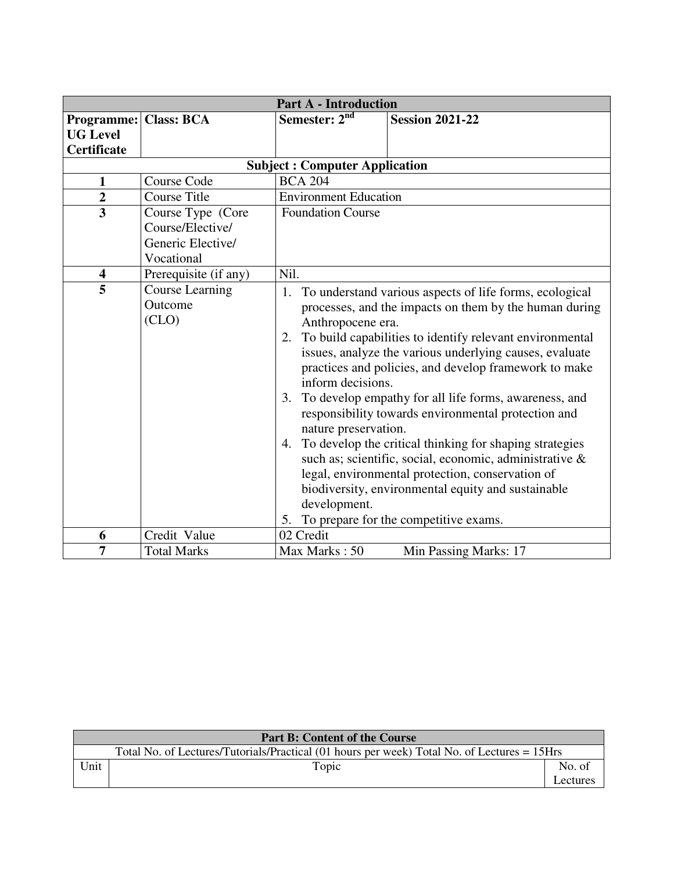|                                                                       |                                                                          | <b>Part A - Introduction</b>                                                                           |                                                                                                                                                                                                                                                                                                                                                                                                                                                                                                                                                                                                                                                                                               |  |  |  |
|-----------------------------------------------------------------------|--------------------------------------------------------------------------|--------------------------------------------------------------------------------------------------------|-----------------------------------------------------------------------------------------------------------------------------------------------------------------------------------------------------------------------------------------------------------------------------------------------------------------------------------------------------------------------------------------------------------------------------------------------------------------------------------------------------------------------------------------------------------------------------------------------------------------------------------------------------------------------------------------------|--|--|--|
| <b>Programme: Class: BCA</b><br><b>UG Level</b><br><b>Certificate</b> |                                                                          | Semester: $2nd$                                                                                        | <b>Session 2021-22</b>                                                                                                                                                                                                                                                                                                                                                                                                                                                                                                                                                                                                                                                                        |  |  |  |
|                                                                       |                                                                          | <b>Subject: Computer Application</b>                                                                   |                                                                                                                                                                                                                                                                                                                                                                                                                                                                                                                                                                                                                                                                                               |  |  |  |
| $\mathbf{1}$                                                          | <b>Course Code</b>                                                       | <b>BCA 204</b>                                                                                         |                                                                                                                                                                                                                                                                                                                                                                                                                                                                                                                                                                                                                                                                                               |  |  |  |
| $\overline{2}$                                                        | <b>Course Title</b>                                                      | <b>Environment Education</b>                                                                           |                                                                                                                                                                                                                                                                                                                                                                                                                                                                                                                                                                                                                                                                                               |  |  |  |
| $\overline{3}$                                                        | Course Type (Core<br>Course/Elective/<br>Generic Elective/<br>Vocational | <b>Foundation Course</b>                                                                               |                                                                                                                                                                                                                                                                                                                                                                                                                                                                                                                                                                                                                                                                                               |  |  |  |
| $\overline{\mathbf{4}}$                                               | Prerequisite (if any)                                                    | Nil.                                                                                                   |                                                                                                                                                                                                                                                                                                                                                                                                                                                                                                                                                                                                                                                                                               |  |  |  |
| 5                                                                     | <b>Course Learning</b><br>Outcome<br>(CLO)                               | 1.<br>Anthropocene era.<br>inform decisions.<br>3.<br>nature preservation.<br>4.<br>development.<br>5. | To understand various aspects of life forms, ecological<br>processes, and the impacts on them by the human during<br>2. To build capabilities to identify relevant environmental<br>issues, analyze the various underlying causes, evaluate<br>practices and policies, and develop framework to make<br>To develop empathy for all life forms, awareness, and<br>responsibility towards environmental protection and<br>To develop the critical thinking for shaping strategies<br>such as; scientific, social, economic, administrative &<br>legal, environmental protection, conservation of<br>biodiversity, environmental equity and sustainable<br>To prepare for the competitive exams. |  |  |  |
| 6                                                                     | Credit Value                                                             | 02 Credit                                                                                              |                                                                                                                                                                                                                                                                                                                                                                                                                                                                                                                                                                                                                                                                                               |  |  |  |
| $\overline{7}$                                                        | <b>Total Marks</b>                                                       | Max Marks: 50                                                                                          | Min Passing Marks: 17                                                                                                                                                                                                                                                                                                                                                                                                                                                                                                                                                                                                                                                                         |  |  |  |

| <b>Part B: Content of the Course</b> |                                                                                             |          |  |  |
|--------------------------------------|---------------------------------------------------------------------------------------------|----------|--|--|
|                                      | Total No. of Lectures/Tutorials/Practical (01 hours per week) Total No. of Lectures = 15Hrs |          |  |  |
| Unit                                 | Topic                                                                                       | No. of   |  |  |
|                                      |                                                                                             | ∟ectures |  |  |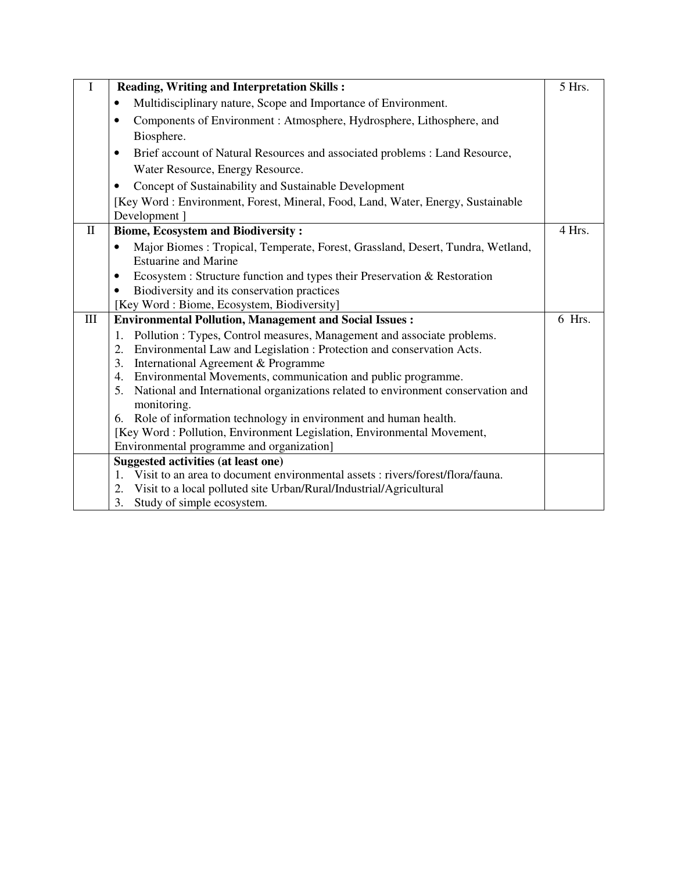|                                  | <b>Reading, Writing and Interpretation Skills:</b>                                                    | 5 Hrs. |
|----------------------------------|-------------------------------------------------------------------------------------------------------|--------|
|                                  | Multidisciplinary nature, Scope and Importance of Environment.<br>$\bullet$                           |        |
|                                  | Components of Environment : Atmosphere, Hydrosphere, Lithosphere, and<br>$\bullet$                    |        |
|                                  | Biosphere.                                                                                            |        |
|                                  | Brief account of Natural Resources and associated problems : Land Resource,<br>$\bullet$              |        |
|                                  | Water Resource, Energy Resource.                                                                      |        |
|                                  | Concept of Sustainability and Sustainable Development<br>$\bullet$                                    |        |
|                                  | [Key Word: Environment, Forest, Mineral, Food, Land, Water, Energy, Sustainable<br>Development ]      |        |
| $\mathbf{I}$                     | <b>Biome, Ecosystem and Biodiversity:</b>                                                             | 4 Hrs. |
|                                  | Major Biomes : Tropical, Temperate, Forest, Grassland, Desert, Tundra, Wetland,<br>$\bullet$          |        |
|                                  | <b>Estuarine and Marine</b>                                                                           |        |
|                                  | Ecosystem : Structure function and types their Preservation & Restoration<br>$\bullet$                |        |
|                                  | Biodiversity and its conservation practices                                                           |        |
|                                  | [Key Word: Biome, Ecosystem, Biodiversity]                                                            |        |
| $\mathop{\mathrm{III}}\nolimits$ | <b>Environmental Pollution, Management and Social Issues:</b>                                         | 6 Hrs. |
|                                  | Pollution : Types, Control measures, Management and associate problems.<br>1.                         |        |
|                                  | Environmental Law and Legislation : Protection and conservation Acts.<br>2.                           |        |
|                                  | International Agreement & Programme<br>3.                                                             |        |
|                                  | Environmental Movements, communication and public programme.<br>4.                                    |        |
|                                  | National and International organizations related to environment conservation and<br>5.<br>monitoring. |        |
|                                  | Role of information technology in environment and human health.<br>6.                                 |        |
|                                  | [Key Word: Pollution, Environment Legislation, Environmental Movement,                                |        |
|                                  | Environmental programme and organization]                                                             |        |
|                                  | Suggested activities (at least one)                                                                   |        |
|                                  | Visit to an area to document environmental assets: rivers/forest/flora/fauna.<br>1.                   |        |
|                                  | Visit to a local polluted site Urban/Rural/Industrial/Agricultural<br>2.                              |        |
|                                  | 3.<br>Study of simple ecosystem.                                                                      |        |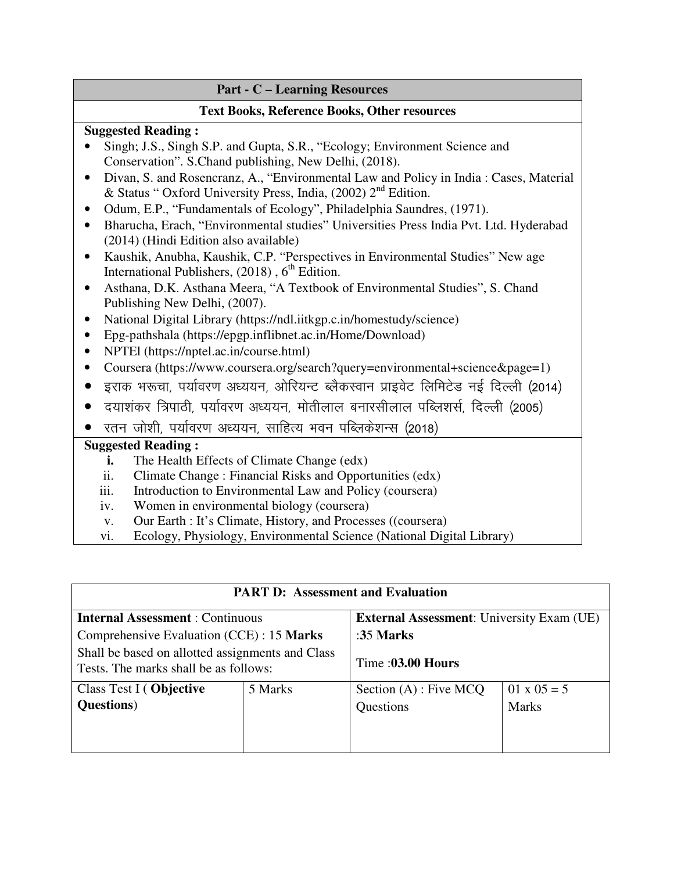| <b>Part - C – Learning Resources</b> |  |
|--------------------------------------|--|
|                                      |  |

#### **Text Books, Reference Books, Other resources**

### **Suggested Reading :**

- Singh; J.S., Singh S.P. and Gupta, S.R., "Ecology; Environment Science and Conservation". S.Chand publishing, New Delhi, (2018).
- Divan, S. and Rosencranz, A., "Environmental Law and Policy in India : Cases, Material & Status " Oxford University Press, India,  $(2002)$   $2<sup>nd</sup>$  Edition.
- Odum, E.P., "Fundamentals of Ecology", Philadelphia Saundres, (1971).
- Bharucha, Erach, "Environmental studies" Universities Press India Pvt. Ltd. Hyderabad (2014) (Hindi Edition also available)
- Kaushik, Anubha, Kaushik, C.P. "Perspectives in Environmental Studies" New age International Publishers,  $(2018)$ ,  $6<sup>th</sup>$  Edition.
- Asthana, D.K. Asthana Meera, "A Textbook of Environmental Studies", S. Chand Publishing New Delhi, (2007).
- National Digital Library (https://ndl.iitkgp.c.in/homestudy/science)
- Epg-pathshala (https://epgp.inflibnet.ac.in/Home/Download)
- NPTEI (https://nptel.ac.in/course.html)
- Coursera (https://www.coursera.org/search?query=environmental+science&page=1)
- इराक भरूचा, पर्यावरण अध्ययन, ओरियन्ट ब्लैकस्वान प्राइवेट लिमिटेड नई दिल्ली (2014)
- दयाशंकर त्रिपाठी, पर्यावरण अध्ययन, मोतीलाल बनारसीलाल पब्लिशर्स, दिल्ली (2005)
- रतन जोशी, पर्यावरण अध्ययन, साहित्य भवन पब्लिकेशन्स (2018)

### **Suggested Reading :**

- **i.** The Health Effects of Climate Change (edx)
- ii. Climate Change : Financial Risks and Opportunities (edx)
- iii. Introduction to Environmental Law and Policy (coursera)
- iv. Women in environmental biology (coursera)
- v. Our Earth : It's Climate, History, and Processes ((coursera)
- vi. Ecology, Physiology, Environmental Science (National Digital Library)

| <b>PART D: Assessment and Evaluation</b>                                                  |         |                                                  |                    |  |  |  |
|-------------------------------------------------------------------------------------------|---------|--------------------------------------------------|--------------------|--|--|--|
| <b>Internal Assessment: Continuous</b>                                                    |         | <b>External Assessment:</b> University Exam (UE) |                    |  |  |  |
| Comprehensive Evaluation (CCE) : 15 Marks                                                 |         | : $35$ Marks                                     |                    |  |  |  |
| Shall be based on allotted assignments and Class<br>Tests. The marks shall be as follows: |         | Time: 03.00 Hours                                |                    |  |  |  |
| Class Test I (Objective                                                                   | 5 Marks | Section $(A)$ : Five MCQ                         | $01 \times 05 = 5$ |  |  |  |
| <b>Questions</b> )                                                                        |         | Questions                                        | <b>Marks</b>       |  |  |  |
|                                                                                           |         |                                                  |                    |  |  |  |
|                                                                                           |         |                                                  |                    |  |  |  |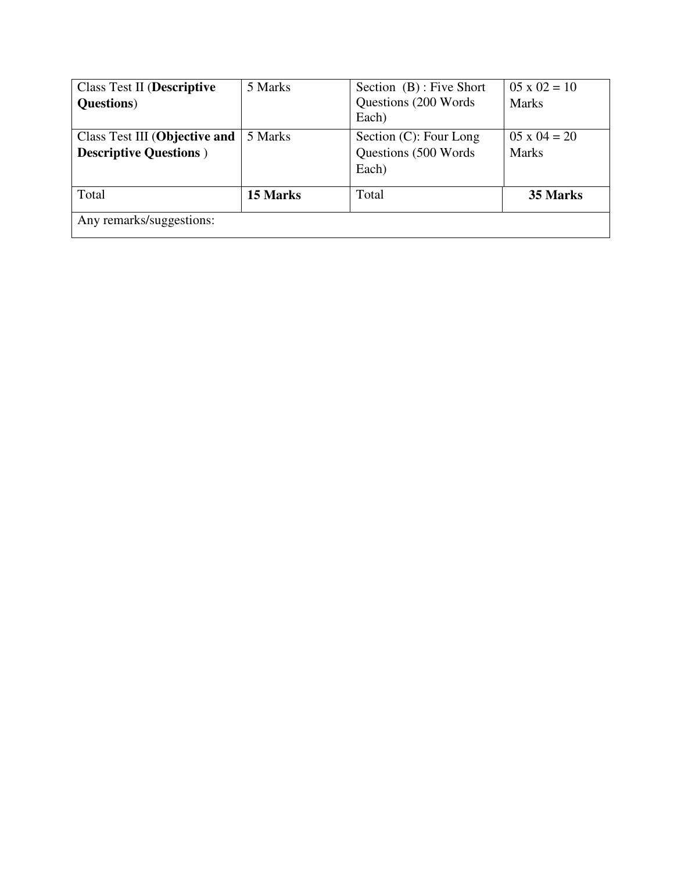| <b>Class Test II (Descriptive</b> | 5 Marks  | Section (B) : Five Short       | $05 \times 02 = 10$ |
|-----------------------------------|----------|--------------------------------|---------------------|
| <b>Questions</b> )                |          | Questions (200 Words)<br>Each) | <b>Marks</b>        |
| Class Test III (Objective and     | 5 Marks  | Section (C): Four Long         | $05 \times 04 = 20$ |
| <b>Descriptive Questions</b> )    |          | Questions (500 Words)          | <b>Marks</b>        |
|                                   |          | Each)                          |                     |
| Total                             | 15 Marks | Total                          | 35 Marks            |
| Any remarks/suggestions:          |          |                                |                     |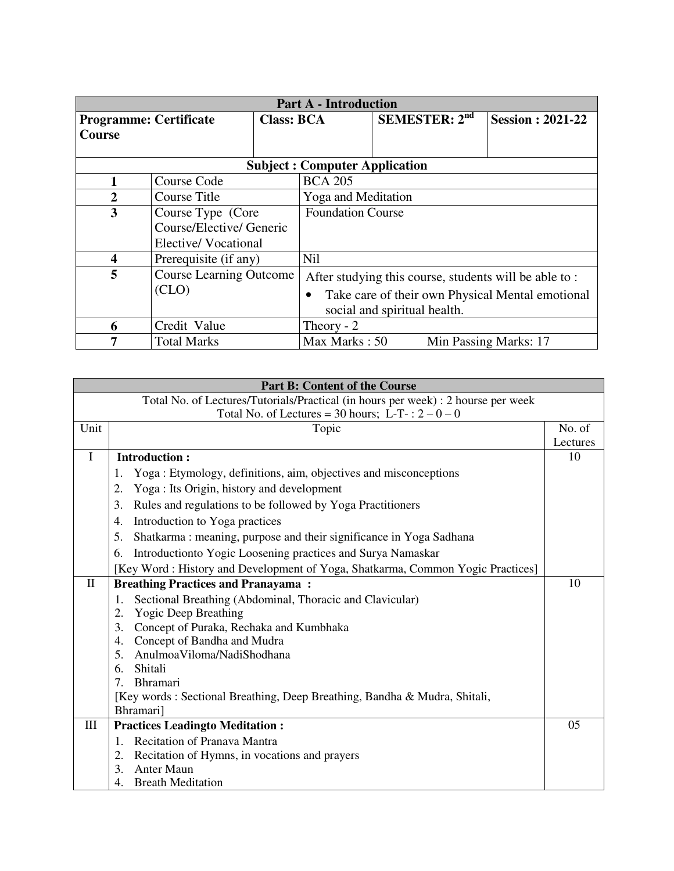| <b>Part A - Introduction</b>  |                                    |                                                                       |                                   |               |                                                                                              |
|-------------------------------|------------------------------------|-----------------------------------------------------------------------|-----------------------------------|---------------|----------------------------------------------------------------------------------------------|
| <b>Programme: Certificate</b> |                                    |                                                                       |                                   |               | <b>Session : 2021-22</b>                                                                     |
|                               |                                    |                                                                       |                                   |               |                                                                                              |
|                               |                                    |                                                                       |                                   |               |                                                                                              |
|                               |                                    |                                                                       |                                   |               |                                                                                              |
| Course Code                   |                                    | <b>BCA 205</b>                                                        |                                   |               |                                                                                              |
| Course Title                  |                                    | <b>Yoga and Meditation</b>                                            |                                   |               |                                                                                              |
| 3                             |                                    | <b>Foundation Course</b>                                              |                                   |               |                                                                                              |
| Course/Elective/ Generic      |                                    |                                                                       |                                   |               |                                                                                              |
| Elective/Vocational           |                                    |                                                                       |                                   |               |                                                                                              |
|                               |                                    | Nil                                                                   |                                   |               |                                                                                              |
|                               |                                    | After studying this course, students will be able to:                 |                                   |               |                                                                                              |
| (CLO)                         |                                    | Take care of their own Physical Mental emotional                      |                                   |               |                                                                                              |
|                               |                                    |                                                                       |                                   |               |                                                                                              |
| 6                             |                                    |                                                                       |                                   |               |                                                                                              |
|                               |                                    | Min Passing Marks: 17                                                 |                                   |               |                                                                                              |
|                               | Credit Value<br><b>Total Marks</b> | Course Type (Core<br>Prerequisite (if any)<br>Course Learning Outcome | <b>Class: BCA</b><br>Theory - $2$ | Max Marks: 50 | <b>SEMESTER: 2nd</b><br><b>Subject: Computer Application</b><br>social and spiritual health. |

| <b>Part B: Content of the Course</b>                                              |                                                                                 |          |  |
|-----------------------------------------------------------------------------------|---------------------------------------------------------------------------------|----------|--|
| Total No. of Lectures/Tutorials/Practical (in hours per week) : 2 hourse per week |                                                                                 |          |  |
|                                                                                   | Total No. of Lectures = 30 hours; L-T-: $2 - 0 - 0$                             |          |  |
| Unit                                                                              | Topic                                                                           | No. of   |  |
|                                                                                   |                                                                                 | Lectures |  |
| $\mathbf I$                                                                       | <b>Introduction:</b>                                                            | 10       |  |
|                                                                                   | Yoga: Etymology, definitions, aim, objectives and misconceptions<br>1.          |          |  |
|                                                                                   | Yoga: Its Origin, history and development<br>2.                                 |          |  |
|                                                                                   | 3.<br>Rules and regulations to be followed by Yoga Practitioners                |          |  |
|                                                                                   | Introduction to Yoga practices<br>4.                                            |          |  |
|                                                                                   | 5.<br>Shatkarma: meaning, purpose and their significance in Yoga Sadhana        |          |  |
|                                                                                   | Introduction to Yogic Loosening practices and Surya Namaskar<br>6.              |          |  |
|                                                                                   | [Key Word : History and Development of Yoga, Shatkarma, Common Yogic Practices] |          |  |
| $\mathbf{I}$                                                                      | <b>Breathing Practices and Pranayama:</b>                                       | 10       |  |
|                                                                                   | Sectional Breathing (Abdominal, Thoracic and Clavicular)<br>1.                  |          |  |
|                                                                                   | <b>Yogic Deep Breathing</b><br>2.                                               |          |  |
|                                                                                   | Concept of Puraka, Rechaka and Kumbhaka<br>3.                                   |          |  |
|                                                                                   | Concept of Bandha and Mudra<br>4.                                               |          |  |
|                                                                                   | Anulmoa Viloma/NadiShodhana<br>5.                                               |          |  |
|                                                                                   | Shitali<br>6.                                                                   |          |  |
|                                                                                   | $7_{\scriptscriptstyle{\ddot{\sim}}}$<br><b>Bhramari</b>                        |          |  |
|                                                                                   | [Key words : Sectional Breathing, Deep Breathing, Bandha & Mudra, Shitali,      |          |  |
|                                                                                   | Bhramari]                                                                       |          |  |
| Ш                                                                                 | <b>Practices Leadingto Meditation:</b>                                          | 05       |  |
|                                                                                   | Recitation of Pranava Mantra<br>$\mathbf{1}$ .                                  |          |  |
|                                                                                   | 2.<br>Recitation of Hymns, in vocations and prayers                             |          |  |
|                                                                                   | <b>Anter Maun</b><br>3.                                                         |          |  |
|                                                                                   | <b>Breath Meditation</b><br>4.                                                  |          |  |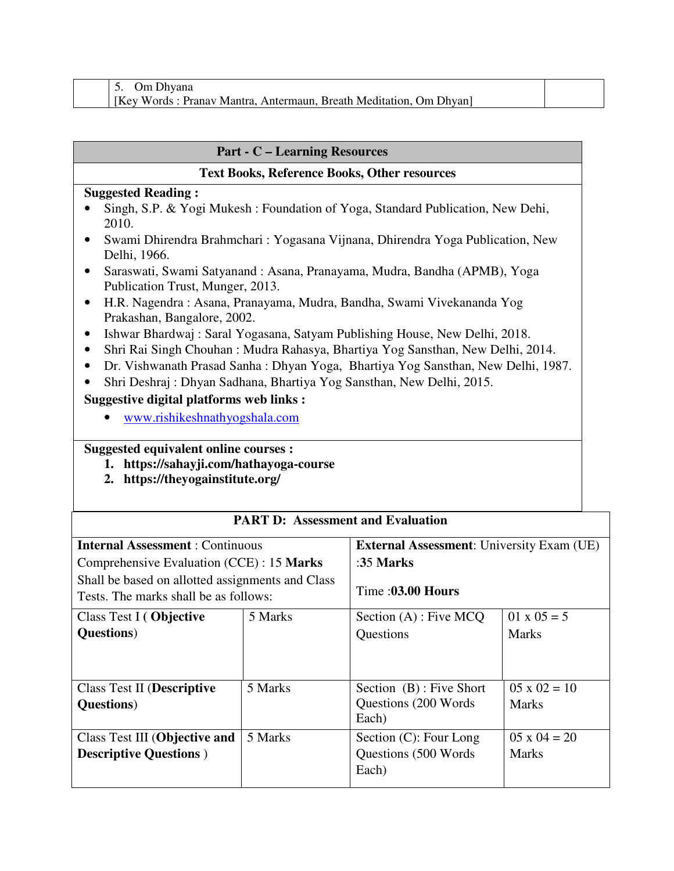| Om Dhvana                                                          |  |
|--------------------------------------------------------------------|--|
| [Key Words: Pranav Mantra, Antermaun, Breath Meditation, Om Dhyan] |  |

### **Part - C – Learning Resources**

#### **Text Books, Reference Books, Other resources**

#### **Suggested Reading :**

- Singh, S.P. & Yogi Mukesh : Foundation of Yoga, Standard Publication, New Dehi, 2010.
- Swami Dhirendra Brahmchari : Yogasana Vijnana, Dhirendra Yoga Publication, New Delhi, 1966.
- Saraswati, Swami Satyanand : Asana, Pranayama, Mudra, Bandha (APMB), Yoga Publication Trust, Munger, 2013.
- H.R. Nagendra : Asana, Pranayama, Mudra, Bandha, Swami Vivekananda Yog Prakashan, Bangalore, 2002.
- Ishwar Bhardwaj : Saral Yogasana, Satyam Publishing House, New Delhi, 2018.
- Shri Rai Singh Chouhan : Mudra Rahasya, Bhartiya Yog Sansthan, New Delhi, 2014.
- Dr. Vishwanath Prasad Sanha : Dhyan Yoga, Bhartiya Yog Sansthan, New Delhi, 1987.
- Shri Deshraj : Dhyan Sadhana, Bhartiya Yog Sansthan, New Delhi, 2015.

### **Suggestive digital platforms web links :**

• www.rishikeshnathyogshala.com

### **Suggested equivalent online courses :**

- **1. https://sahayji.com/hathayoga-course**
- **2. https://theyogainstitute.org/**

| PART D: Assessment and Evaluation                                                         |         |                                                  |                     |  |  |
|-------------------------------------------------------------------------------------------|---------|--------------------------------------------------|---------------------|--|--|
| <b>Internal Assessment: Continuous</b>                                                    |         | <b>External Assessment:</b> University Exam (UE) |                     |  |  |
| Comprehensive Evaluation (CCE) : 15 Marks                                                 |         | : $35$ Marks                                     |                     |  |  |
| Shall be based on allotted assignments and Class<br>Tests. The marks shall be as follows: |         | Time: 03.00 Hours                                |                     |  |  |
| Class Test I (Objective                                                                   | 5 Marks | Section $(A)$ : Five MCQ                         | $01 \times 05 = 5$  |  |  |
| <b>Questions</b> )                                                                        |         | Questions                                        | <b>Marks</b>        |  |  |
|                                                                                           |         |                                                  |                     |  |  |
| Class Test II (Descriptive                                                                | 5 Marks | Section (B): Five Short                          | $05 \times 02 = 10$ |  |  |
| <b>Questions</b> )                                                                        |         | Questions (200 Words)<br>Each)                   | <b>Marks</b>        |  |  |
| Class Test III (Objective and                                                             | 5 Marks | Section $(C)$ : Four Long                        | $05 \times 04 = 20$ |  |  |
| <b>Descriptive Questions</b> )                                                            |         | Questions (500 Words)<br>Each)                   | <b>Marks</b>        |  |  |

### **PART D: Assessment and Evaluation**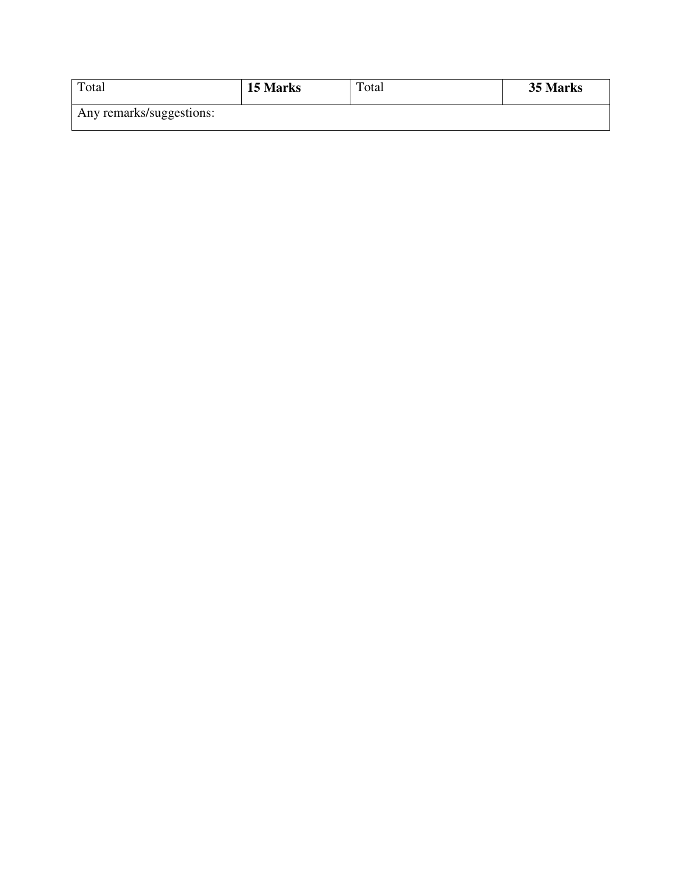| Total                    | 15 Marks | Total | 35 Marks |
|--------------------------|----------|-------|----------|
| Any remarks/suggestions: |          |       |          |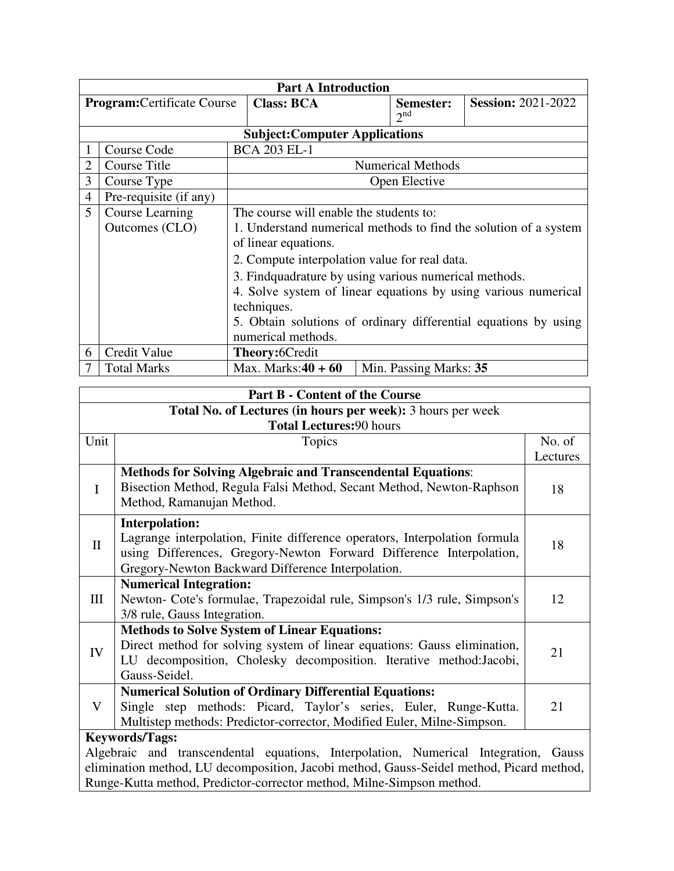|                                    | <b>Part A Introduction</b> |                                                                 |  |                              |                                                                  |  |
|------------------------------------|----------------------------|-----------------------------------------------------------------|--|------------------------------|------------------------------------------------------------------|--|
| <b>Program:</b> Certificate Course |                            | <b>Class: BCA</b>                                               |  | Semester:<br>2 <sup>nd</sup> | <b>Session: 2021-2022</b>                                        |  |
|                                    |                            | <b>Subject:Computer Applications</b>                            |  |                              |                                                                  |  |
|                                    | Course Code                | <b>BCA 203 EL-1</b>                                             |  |                              |                                                                  |  |
| 2                                  | Course Title               |                                                                 |  | <b>Numerical Methods</b>     |                                                                  |  |
| 3                                  | Course Type                |                                                                 |  | Open Elective                |                                                                  |  |
| $\overline{4}$                     | Pre-requisite (if any)     |                                                                 |  |                              |                                                                  |  |
| 5                                  | Course Learning            | The course will enable the students to:                         |  |                              |                                                                  |  |
|                                    | Outcomes (CLO)             |                                                                 |  |                              | 1. Understand numerical methods to find the solution of a system |  |
|                                    |                            | of linear equations.                                            |  |                              |                                                                  |  |
|                                    |                            | 2. Compute interpolation value for real data.                   |  |                              |                                                                  |  |
|                                    |                            | 3. Findquadrature by using various numerical methods.           |  |                              |                                                                  |  |
|                                    |                            | 4. Solve system of linear equations by using various numerical  |  |                              |                                                                  |  |
|                                    |                            | techniques.                                                     |  |                              |                                                                  |  |
|                                    |                            | 5. Obtain solutions of ordinary differential equations by using |  |                              |                                                                  |  |
|                                    |                            | numerical methods.                                              |  |                              |                                                                  |  |
| 6                                  | Credit Value               | <b>Theory:</b> 6Credit                                          |  |                              |                                                                  |  |
|                                    | <b>Total Marks</b>         | Max. Marks: $40 + 60$                                           |  | Min. Passing Marks: 35       |                                                                  |  |

|              | <b>Part B - Content of the Course</b>                                                    |          |  |  |  |  |
|--------------|------------------------------------------------------------------------------------------|----------|--|--|--|--|
|              | Total No. of Lectures (in hours per week): 3 hours per week                              |          |  |  |  |  |
|              | <b>Total Lectures: 90 hours</b>                                                          |          |  |  |  |  |
| Unit         | Topics                                                                                   | No. of   |  |  |  |  |
|              |                                                                                          | Lectures |  |  |  |  |
|              | <b>Methods for Solving Algebraic and Transcendental Equations:</b>                       |          |  |  |  |  |
| $\mathbf I$  | Bisection Method, Regula Falsi Method, Secant Method, Newton-Raphson                     | 18       |  |  |  |  |
|              | Method, Ramanujan Method.                                                                |          |  |  |  |  |
|              | <b>Interpolation:</b>                                                                    |          |  |  |  |  |
| $\mathbf{I}$ | Lagrange interpolation, Finite difference operators, Interpolation formula               | 18       |  |  |  |  |
|              | using Differences, Gregory-Newton Forward Difference Interpolation,                      |          |  |  |  |  |
|              | Gregory-Newton Backward Difference Interpolation.                                        |          |  |  |  |  |
|              | <b>Numerical Integration:</b>                                                            |          |  |  |  |  |
| III          | Newton- Cote's formulae, Trapezoidal rule, Simpson's 1/3 rule, Simpson's                 |          |  |  |  |  |
|              | 3/8 rule, Gauss Integration.                                                             |          |  |  |  |  |
|              | <b>Methods to Solve System of Linear Equations:</b>                                      |          |  |  |  |  |
| IV           | Direct method for solving system of linear equations: Gauss elimination,                 | 21       |  |  |  |  |
|              | LU decomposition, Cholesky decomposition. Iterative method:Jacobi,                       |          |  |  |  |  |
|              | Gauss-Seidel.                                                                            |          |  |  |  |  |
|              | <b>Numerical Solution of Ordinary Differential Equations:</b>                            |          |  |  |  |  |
| $\mathbf{V}$ | Single step methods: Picard, Taylor's series, Euler, Runge-Kutta.                        | 21       |  |  |  |  |
|              | Multistep methods: Predictor-corrector, Modified Euler, Milne-Simpson.                   |          |  |  |  |  |
|              | <b>Keywords/Tags:</b>                                                                    |          |  |  |  |  |
|              | Algebraic and transcendental equations, Interpolation, Numerical Integration, Gauss      |          |  |  |  |  |
|              | elimination method, LU decomposition, Jacobi method, Gauss-Seidel method, Picard method, |          |  |  |  |  |
|              | Runge-Kutta method, Predictor-corrector method, Milne-Simpson method.                    |          |  |  |  |  |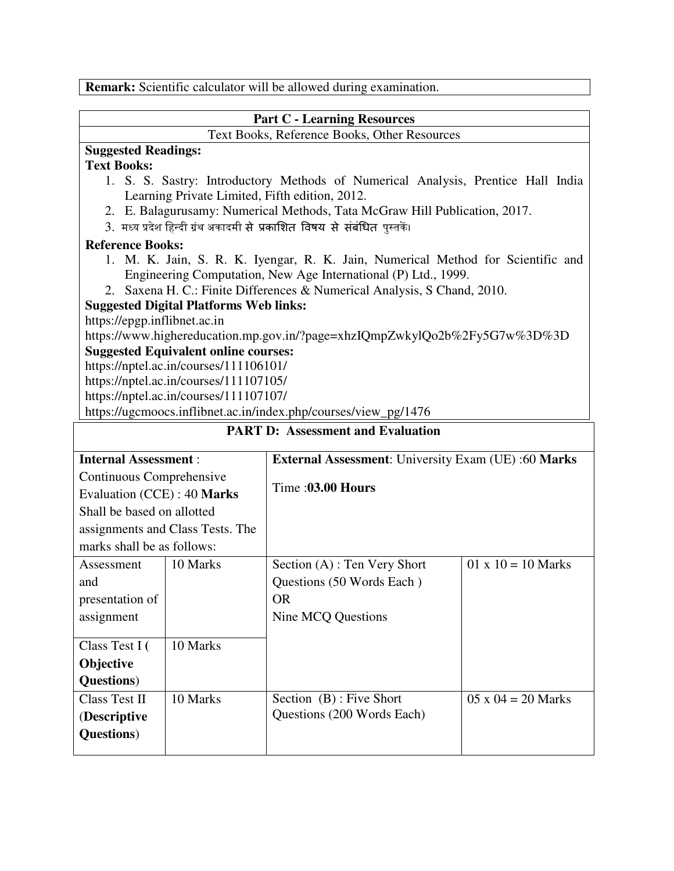**Remark:** Scientific calculator will be allowed during examination.

### **Part C - Learning Resources**  Text Books, Reference Books, Other Resources **Suggested Readings: Text Books:**  1. S. S. Sastry: Introductory Methods of Numerical Analysis, Prentice Hall India Learning Private Limited, Fifth edition, 2012. 2. E. Balagurusamy: Numerical Methods, Tata McGraw Hill Publication, 2017. 3. मध्य प्रदेश हिन्दी ग्रंथ अकादमी सेे प्रकाशित विषय सेे संबंधित पुस्तकें। **Reference Books:** 1. M. K. Jain, S. R. K. Iyengar, R. K. Jain, Numerical Method for Scientific and Engineering Computation, New Age International (P) Ltd., 1999. 2. Saxena H. C.: Finite Differences & Numerical Analysis, S Chand, 2010. **Suggested Digital Platforms Web links:**  https://epgp.inflibnet.ac.in https://www.highereducation.mp.gov.in/?page=xhzIQmpZwkylQo2b%2Fy5G7w%3D%3D **Suggested Equivalent online courses:**  https://nptel.ac.in/courses/111106101/ https://nptel.ac.in/courses/111107105/ https://nptel.ac.in/courses/111107107/ https://ugcmoocs.inflibnet.ac.in/index.php/courses/view\_pg/1476 **PART D: Assessment and Evaluation**

| <b>Internal Assessment:</b> |                                  | <b>External Assessment:</b> University Exam (UE):60 Marks |                           |  |  |  |
|-----------------------------|----------------------------------|-----------------------------------------------------------|---------------------------|--|--|--|
| Continuous Comprehensive    |                                  |                                                           |                           |  |  |  |
| Evaluation (CCE) : 40 Marks |                                  | Time :03.00 Hours                                         |                           |  |  |  |
| Shall be based on allotted  |                                  |                                                           |                           |  |  |  |
|                             | assignments and Class Tests. The |                                                           |                           |  |  |  |
| marks shall be as follows:  |                                  |                                                           |                           |  |  |  |
| Assessment                  | 10 Marks                         | Section $(A)$ : Ten Very Short                            | $01 \times 10 = 10$ Marks |  |  |  |
| and                         |                                  | Questions (50 Words Each)                                 |                           |  |  |  |
| presentation of             |                                  | <b>OR</b>                                                 |                           |  |  |  |
| assignment                  |                                  | Nine MCQ Questions                                        |                           |  |  |  |
|                             |                                  |                                                           |                           |  |  |  |
| Class Test I (              | 10 Marks                         |                                                           |                           |  |  |  |
| <b>Objective</b>            |                                  |                                                           |                           |  |  |  |
| <b>Questions</b> )          |                                  |                                                           |                           |  |  |  |
| <b>Class Test II</b>        | 10 Marks                         | Section (B) : Five Short                                  | $05 \times 04 = 20$ Marks |  |  |  |
| (Descriptive                |                                  | Questions (200 Words Each)                                |                           |  |  |  |
| <b>Questions</b> )          |                                  |                                                           |                           |  |  |  |
|                             |                                  |                                                           |                           |  |  |  |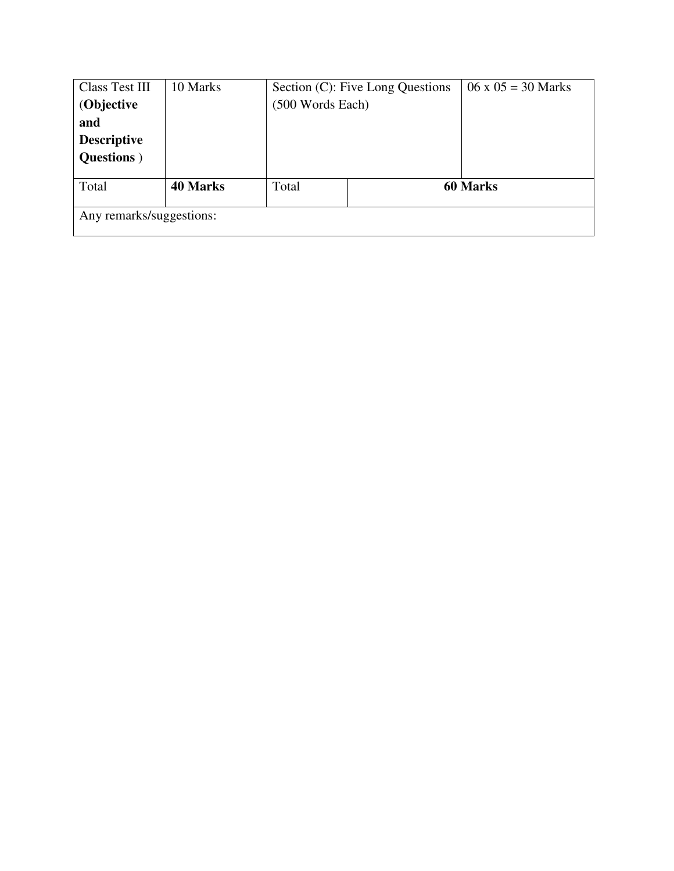| <b>Class Test III</b>    | 10 Marks        |                  | Section (C): Five Long Questions | $06 \times 05 = 30$ Marks |  |  |  |
|--------------------------|-----------------|------------------|----------------------------------|---------------------------|--|--|--|
| (Objective               |                 | (500 Words Each) |                                  |                           |  |  |  |
| and                      |                 |                  |                                  |                           |  |  |  |
| <b>Descriptive</b>       |                 |                  |                                  |                           |  |  |  |
| <b>Questions</b> )       |                 |                  |                                  |                           |  |  |  |
|                          |                 |                  |                                  |                           |  |  |  |
| Total                    | <b>40 Marks</b> | Total            |                                  | <b>60 Marks</b>           |  |  |  |
|                          |                 |                  |                                  |                           |  |  |  |
| Any remarks/suggestions: |                 |                  |                                  |                           |  |  |  |
|                          |                 |                  |                                  |                           |  |  |  |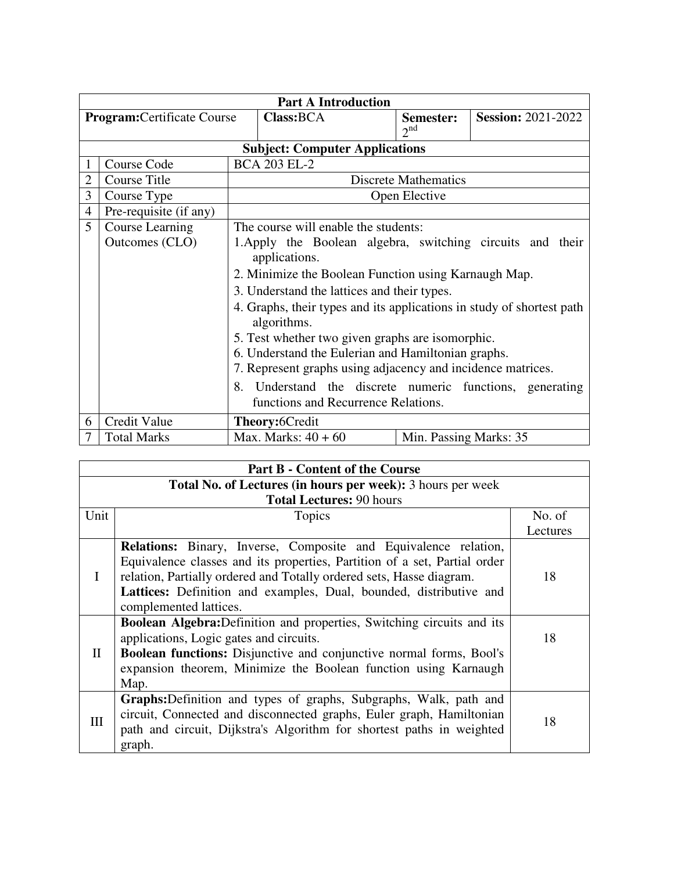| <b>Part A Introduction</b>         |                                    |                                                                                                                                          |                                       |  |                              |                           |
|------------------------------------|------------------------------------|------------------------------------------------------------------------------------------------------------------------------------------|---------------------------------------|--|------------------------------|---------------------------|
|                                    | <b>Program:</b> Certificate Course |                                                                                                                                          | Class: BCA                            |  | Semester:<br>2 <sup>nd</sup> | <b>Session: 2021-2022</b> |
|                                    |                                    |                                                                                                                                          | <b>Subject: Computer Applications</b> |  |                              |                           |
| <b>BCA 203 EL-2</b><br>Course Code |                                    |                                                                                                                                          |                                       |  |                              |                           |
| 2                                  | <b>Course Title</b>                | <b>Discrete Mathematics</b>                                                                                                              |                                       |  |                              |                           |
| 3                                  | Course Type                        | Open Elective                                                                                                                            |                                       |  |                              |                           |
| 4                                  | Pre-requisite (if any)             |                                                                                                                                          |                                       |  |                              |                           |
| 5                                  | Course Learning                    | The course will enable the students:                                                                                                     |                                       |  |                              |                           |
|                                    | Outcomes (CLO)                     | 1. Apply the Boolean algebra, switching circuits and their<br>applications.                                                              |                                       |  |                              |                           |
|                                    |                                    | 2. Minimize the Boolean Function using Karnaugh Map.                                                                                     |                                       |  |                              |                           |
|                                    |                                    | 3. Understand the lattices and their types.                                                                                              |                                       |  |                              |                           |
|                                    |                                    | 4. Graphs, their types and its applications in study of shortest path<br>algorithms.<br>5. Test whether two given graphs are isomorphic. |                                       |  |                              |                           |
|                                    |                                    | 6. Understand the Eulerian and Hamiltonian graphs.                                                                                       |                                       |  |                              |                           |
|                                    |                                    | 7. Represent graphs using adjacency and incidence matrices.                                                                              |                                       |  |                              |                           |
|                                    |                                    | 8.<br>Understand the discrete numeric functions, generating<br>functions and Recurrence Relations.                                       |                                       |  |                              |                           |
| 6                                  | Credit Value                       | Theory:6Credit                                                                                                                           |                                       |  |                              |                           |
| 7                                  | <b>Total Marks</b>                 |                                                                                                                                          | Max. Marks: $40 + 60$                 |  | Min. Passing Marks: 35       |                           |

| <b>Part B - Content of the Course</b>                       |                                                                                                                                                                                                                                                                                                                             |          |  |  |  |
|-------------------------------------------------------------|-----------------------------------------------------------------------------------------------------------------------------------------------------------------------------------------------------------------------------------------------------------------------------------------------------------------------------|----------|--|--|--|
| Total No. of Lectures (in hours per week): 3 hours per week |                                                                                                                                                                                                                                                                                                                             |          |  |  |  |
| <b>Total Lectures: 90 hours</b>                             |                                                                                                                                                                                                                                                                                                                             |          |  |  |  |
| Unit                                                        | Topics                                                                                                                                                                                                                                                                                                                      | No. of   |  |  |  |
|                                                             |                                                                                                                                                                                                                                                                                                                             | Lectures |  |  |  |
|                                                             | <b>Relations:</b> Binary, Inverse, Composite and Equivalence relation,<br>Equivalence classes and its properties, Partition of a set, Partial order<br>relation, Partially ordered and Totally ordered sets, Hasse diagram.<br>Lattices: Definition and examples, Dual, bounded, distributive and<br>complemented lattices. | 18       |  |  |  |
| $\mathbf{I}$                                                | <b>Boolean Algebra:</b> Definition and properties, Switching circuits and its<br>applications, Logic gates and circuits.<br><b>Boolean functions:</b> Disjunctive and conjunctive normal forms, Bool's<br>expansion theorem, Minimize the Boolean function using Karnaugh<br>Map.                                           | 18       |  |  |  |
| IΙI                                                         | <b>Graphs:</b> Definition and types of graphs, Subgraphs, Walk, path and<br>circuit, Connected and disconnected graphs, Euler graph, Hamiltonian<br>path and circuit, Dijkstra's Algorithm for shortest paths in weighted<br>graph.                                                                                         | 18       |  |  |  |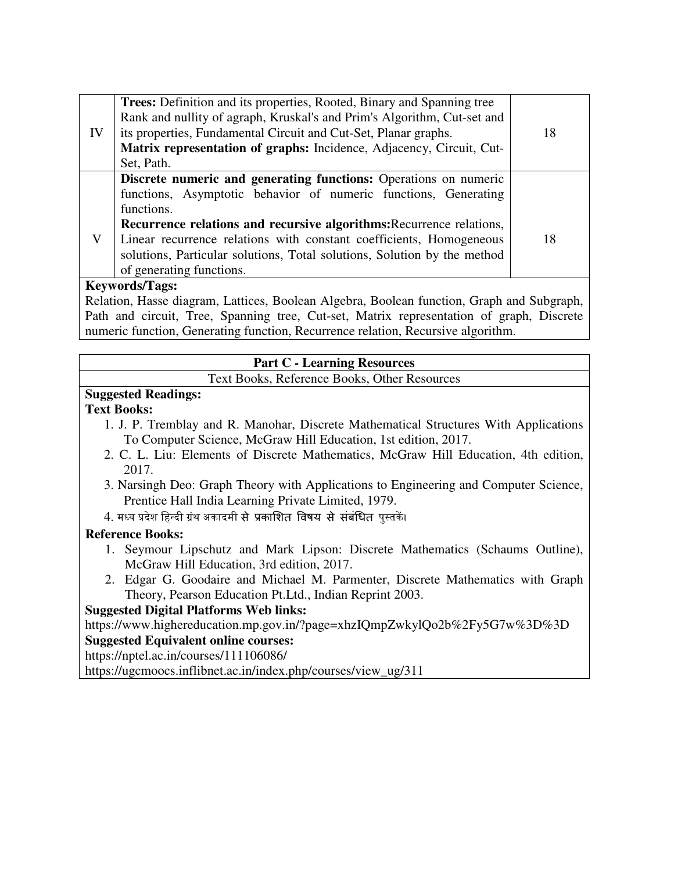|    | <b>Trees:</b> Definition and its properties, Rooted, Binary and Spanning tree |    |  |  |  |
|----|-------------------------------------------------------------------------------|----|--|--|--|
|    | Rank and nullity of agraph, Kruskal's and Prim's Algorithm, Cut-set and       |    |  |  |  |
| IV | its properties, Fundamental Circuit and Cut-Set, Planar graphs.               | 18 |  |  |  |
|    | Matrix representation of graphs: Incidence, Adjacency, Circuit, Cut-          |    |  |  |  |
|    | Set, Path.                                                                    |    |  |  |  |
|    | Discrete numeric and generating functions: Operations on numeric              |    |  |  |  |
|    | functions, Asymptotic behavior of numeric functions, Generating               |    |  |  |  |
|    | functions.                                                                    |    |  |  |  |
|    | Recurrence relations and recursive algorithms: Recurrence relations,          |    |  |  |  |
| V  | Linear recurrence relations with constant coefficients, Homogeneous           | 18 |  |  |  |
|    | solutions, Particular solutions, Total solutions, Solution by the method      |    |  |  |  |
|    | of generating functions.                                                      |    |  |  |  |
|    | $V \sim$                                                                      |    |  |  |  |

### **Keywords/Tags:**

Relation, Hasse diagram, Lattices, Boolean Algebra, Boolean function, Graph and Subgraph, Path and circuit, Tree, Spanning tree, Cut-set, Matrix representation of graph, Discrete numeric function, Generating function, Recurrence relation, Recursive algorithm.

#### **Part C - Learning Resources**

Text Books, Reference Books, Other Resources

### **Suggested Readings:**

#### **Text Books:**

- 1. J. P. Tremblay and R. Manohar, Discrete Mathematical Structures With Applications To Computer Science, McGraw Hill Education, 1st edition, 2017.
- 2. C. L. Liu: Elements of Discrete Mathematics, McGraw Hill Education, 4th edition, 2017.
- 3. Narsingh Deo: Graph Theory with Applications to Engineering and Computer Science, Prentice Hall India Learning Private Limited, 1979.
- 4. मध्य प्रदेश हिन्दी ग्रंथ अकादमी सेे प्रकाशित विषय सेे संबंधित पुस्तकें।

### **Reference Books:**

- 1. Seymour Lipschutz and Mark Lipson: Discrete Mathematics (Schaums Outline), McGraw Hill Education, 3rd edition, 2017.
- 2. Edgar G. Goodaire and Michael M. Parmenter, Discrete Mathematics with Graph Theory, Pearson Education Pt.Ltd., Indian Reprint 2003.

### **Suggested Digital Platforms Web links:**

https://www.highereducation.mp.gov.in/?page=xhzIQmpZwkylQo2b%2Fy5G7w%3D%3D

### **Suggested Equivalent online courses:**

https://nptel.ac.in/courses/111106086/

https://ugcmoocs.inflibnet.ac.in/index.php/courses/view\_ug/311